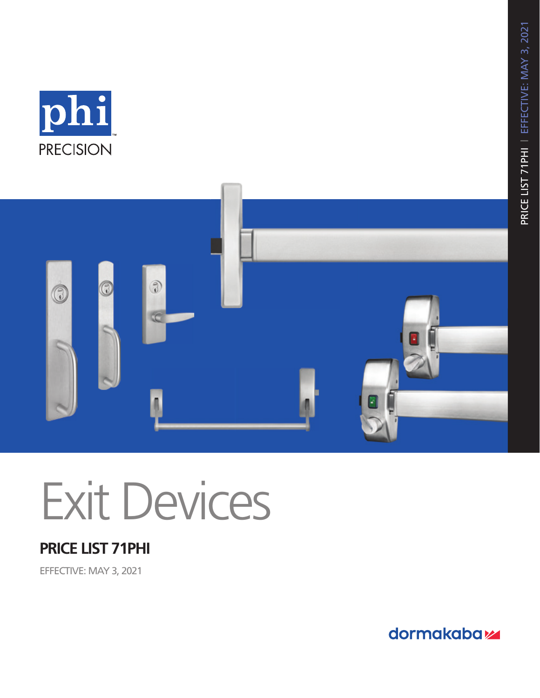



# Exit Devices

# **PRICE LIST 71PHI**

EFFECTIVE: MAY 3, 2021

dormakaba<sub>z</sub>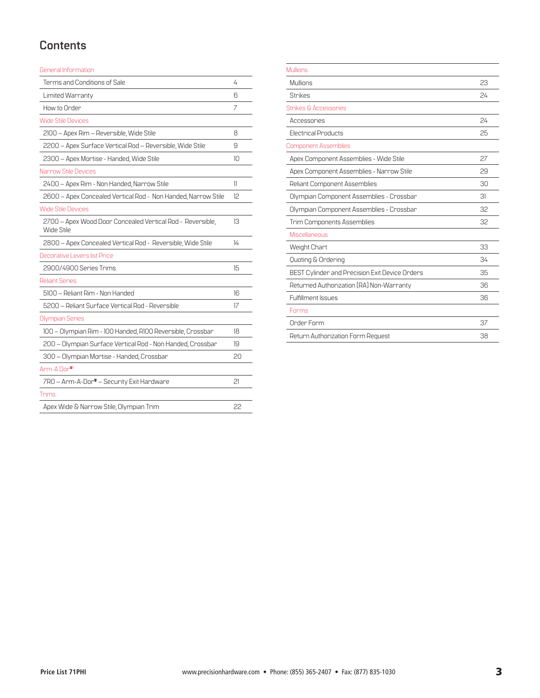### **Contents**

General Information

| Terms and Conditions of Sale                                             | 4  |
|--------------------------------------------------------------------------|----|
| Limited Warranty                                                         | 6  |
| How to Order                                                             | 7  |
| <b>Wide Stile Devices</b>                                                |    |
| 2100 - Apex Rim - Reversible, Wide Stile                                 | 8  |
| 2200 - Apex Surface Vertical Rod - Reversible, Wide Stile                | 9  |
| 2300 - Apex Mortise - Handed, Wide Stile                                 | 10 |
| <b>Narrow Stile Devices</b>                                              |    |
| 2400 - Apex Rim - Non Handed, Narrow Stile                               | 11 |
| 2600 - Apex Concealed Vertical Rod - Non Handed, Narrow Stile            | 12 |
| <b>Wide Stile Devices</b>                                                |    |
| 2700 - Apex Wood Door Concealed Vertical Rod - Reversible,<br>Wide Stile | 13 |
| 2800 - Apex Concealed Vertical Rod - Reversible, Wide Stile              | 14 |
| Decorative Levers list Price                                             |    |
| 2900/4900 Series Trims                                                   | 15 |
| <b>Reliant Series</b>                                                    |    |
| 5100 - Reliant Rim - Non Handed                                          | 16 |
| 5200 - Reliant Surface Vertical Rod - Reversible                         | 17 |
| <b>Olympian Series</b>                                                   |    |
| 100 - Olympian Rim - 100 Handed, R100 Reversible, Crossbar               | 18 |
| 200 - Olympian Surface Vertical Rod - Non Handed, Crossbar               | 19 |
| 300 – Olympian Mortise - Handed, Crossbar                                | 20 |
| Arm-A Dor <sup>®1</sup>                                                  |    |
| 7R0 - Arm-A-Dor® - Security Exit Hardware                                | 21 |
| Trims                                                                    |    |
| Apex Wide & Narrow Stile, Olympian Trim                                  | 22 |
|                                                                          |    |

| <b>Mullions</b>                                |    |
|------------------------------------------------|----|
| Mullions                                       | 23 |
| <b>Strikes</b>                                 | 24 |
| <b>Strikes &amp; Accessories</b>               |    |
| Accessories                                    | 24 |
| <b>Electrical Products</b>                     | 25 |
| <b>Component Assemblies</b>                    |    |
| Apex Component Assemblies - Wide Stile         | 27 |
| Apex Component Assemblies - Narrow Stile       | 29 |
| Reliant Component Assemblies                   | 30 |
| Olympian Component Assemblies - Crossbar       | 31 |
| Olympian Component Assemblies - Crossbar       | 32 |
| <b>Trim Components Assemblies</b>              | 32 |
| Miscellaneous                                  |    |
| Weight Chart                                   | 33 |
| Quoting & Ordering                             | 34 |
| BEST Cylinder and Precision Exit Device Orders | 35 |
| Returned Authorization (RA) Non-Warranty       | 36 |
| Fulfillment Issues                             | 36 |
| Forms                                          |    |
| Order Form                                     | 37 |
| Return Authorization Form Request              | 38 |
|                                                |    |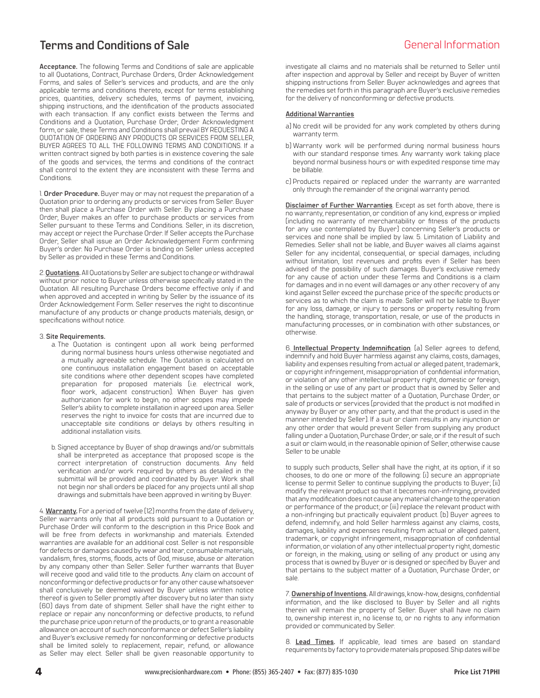### <span id="page-3-0"></span>**Terms and Conditions of Sale** General Information

**Acceptance.** The following Terms and Conditions of sale are applicable to all Quotations, Contract, Purchase Orders, Order Acknowledgement Forms, and sales of Seller's services and products, and are the only applicable terms and conditions thereto, except for terms establishing prices, quantities, delivery schedules, terms of payment, invoicing, shipping instructions, and the identification of the products associated with each transaction. If any conflict exists between the Terms and Conditions and a Quotation, Purchase Order, Order Acknowledgment form, or sale, these Terms and Conditions shall prevail BY REQUESTING A QUOTATION OF ORDERING ANY PRODUCTS OR SERVICES FROM SELLER, BUYER AGREES TO ALL THE FOLLOWING TERMS AND CONDITIONS. If a written contract signed by both parties is in existence covering the sale of the goods and services, the terms and conditions of the contract shall control to the extent they are inconsistent with these Terms and Conditions.

1. **Order Procedure.** Buyer may or may not request the preparation of a Quotation prior to ordering any products or services from Seller. Buyer then shall place a Purchase Order with Seller. By placing a Purchase Order, Buyer makes an offer to purchase products or services from Seller pursuant to these Terms and Conditions. Seller, in its discretion, may accept or reject the Purchase Order. If Seller accepts the Purchase Order, Seller shall issue an Order Acknowledgement Form confirming Buyer's order. No Purchase Order is binding on Seller unless accepted by Seller as provided in these Terms and Conditions.

2. **Quotations.** All Quotations by Seller are subject to change or withdrawal without prior notice to Buyer unless otherwise specifically stated in the Quotation. All resulting Purchase Orders become effective only if and when approved and accepted in writing by Seller by the issuance of its Order Acknowledgement Form. Seller reserves the right to discontinue manufacture of any products or change products materials, design, or specifications without notice.

#### 3. **Site Requirements.**

- a. The Quotation is contingent upon all work being performed during normal business hours unless otherwise negotiated and a mutually agreeable schedule. The Quotation is calculated on one continuous installation engagement based on acceptable site conditions where other dependent scopes have completed preparation for proposed materials (i.e. electrical work, floor work, adjacent construction). When Buyer has given authorization for work to begin, no other scopes may impede Seller's ability to complete installation in agreed upon area. Seller reserves the right to invoice for costs that are incurred due to unacceptable site conditions or delays by others resulting in additional installation visits.
- b. Signed acceptance by Buyer of shop drawings and/or submittals shall be interpreted as acceptance that proposed scope is the correct interpretation of construction documents. Any field verification and/or work required by others as detailed in the submittal will be provided and coordinated by Buyer. Work shall not begin nor shall orders be placed for any projects until all shop drawings and submittals have been approved in writing by Buyer.

4. **Warranty.** For a period of twelve (12) months from the date of delivery, Seller warrants only that all products sold pursuant to a Quotation or Purchase Order will conform to the description in this Price Book and will be free from defects in workmanship and materials. Extended warranties are available for an additional cost. Seller is not responsible for defects or damages caused by wear and tear, consumable materials, vandalism, fires, storms, floods, acts of God, misuse, abuse or alteration by any company other than Seller. Seller further warrants that Buyer will receive good and valid title to the products. Any claim on account of nonconforming or defective products or for any other cause whatsoever shall conclusively be deemed waived by Buyer unless written notice thereof is given to Seller promptly after discovery but no later than sixty (60) days from date of shipment. Seller shall have the right either to replace or repair any nonconforming or defective products, to refund the purchase price upon return of the products, or to grant a reasonable allowance on account of such nonconformance or defect Seller's liability and Buyer's exclusive remedy for nonconforming or defective products shall be limited solely to replacement, repair, refund, or allowance as Seller may elect. Seller shall be given reasonable opportunity to

investigate all claims and no materials shall be returned to Seller until after inspection and approval by Seller and receipt by Buyer of written shipping instructions from Seller. Buyer acknowledges and agrees that the remedies set forth in this paragraph are Buyer's exclusive remedies for the delivery of nonconforming or defective products.

#### **Additional Warranties**

- a) No credit will be provided for any work completed by others during warranty term.
- b) Warranty work will be performed during normal business hours with our standard response times. Any warranty work taking place beyond normal business hours or with expedited response time may be billable.
- c) Products repaired or replaced under the warranty are warranted only through the remainder of the original warranty period.

**Disclaimer of Further Warranties**. Except as set forth above, there is no warranty, representation, or condition of any kind, express or implied (including no warranty of merchantability or fitness of the products for any use contemplated by Buyer) concerning Seller's products or services and none shall be implied by law. 5. Limitation of Liability and Remedies. Seller shall not be liable, and Buyer waives all claims against Seller for any incidental, consequential, or special damages, including without limitation, lost revenues and profits even if Seller has been advised of the possibility of such damages. Buyer's exclusive remedy for any cause of action under these Terms and Conditions is a claim for damages and in no event will damages or any other recovery of any kind against Seller exceed the purchase price of the specific products or services as to which the claim is made. Seller will not be liable to Buyer for any loss, damage, or injury to persons or property resulting from the handling, storage, transportation, resale, or use of the products in manufacturing processes, or in combination with other substances, or otherwise.

6. **Intellectual Property Indemnification**. (a) Seller agrees to defend, indemnify and hold Buyer harmless against any claims, costs, damages, liability and expenses resulting from actual or alleged patent, trademark, or copyright infringement, misappropriation of confidential information, or violation of any other intellectual property right, domestic or foreign, in the selling or use of any part or product that is owned by Seller and that pertains to the subject matter of a Quotation, Purchase Order, or sale of products or services (provided that the product is not modified in anyway by Buyer or any other party, and that the product is used in the manner intended by Seller). If a suit or claim results in any injunction or any other order that would prevent Seller from supplying any product falling under a Quotation, Purchase Order, or sale, or if the result of such a suit or claim would, in the reasonable opinion of Seller, otherwise cause Seller to be unable

to supply such products, Seller shall have the right, at its option, if it so chooses, to do one or more of the following: (i) secure an appropriate license to permit Seller to continue supplying the products to Buyer; (ii) modify the relevant product so that it becomes non-infringing, provided that any modification does not cause any material change to the operation or performance of the product; or (iii) replace the relevant product with a non-infringing but practically equivalent product. (b) Buyer agrees to defend, indemnify, and hold Seller harmless against any claims, costs, damages, liability and expenses resulting from actual or alleged patent, trademark, or copyright infringement, misappropriation of confidential information, or violation of any other intellectual property right, domestic or foreign, in the making, using or selling of any product or using any process that is owned by Buyer or is designed or specified by Buyer and that pertains to the subject matter of a Quotation, Purchase Order, or sale.

7. **Ownership of Inventions.** All drawings, know-how, designs, confidential information, and the like disclosed to Buyer by Seller and all rights therein will remain the property of Seller. Buyer shall have no claim to, ownership interest in, no license to, or no rights to any information provided or communicated by Seller.

8. **Lead Times.** If applicable, lead times are based on standard requirements by factory to provide materials proposed. Ship dates will be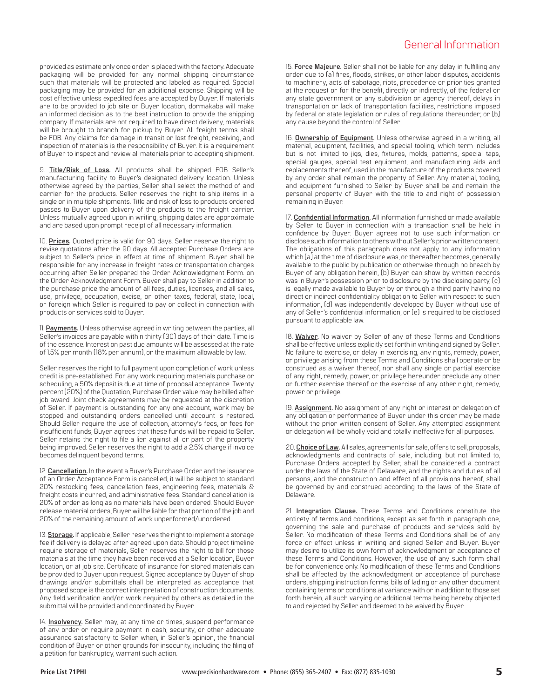### General Information

provided as estimate only once order is placed with the factory. Adequate packaging will be provided for any normal shipping circumstance such that materials will be protected and labeled as required. Special packaging may be provided for an additional expense. Shipping will be cost effective unless expedited fees are accepted by Buyer. If materials are to be provided to job site or Buyer location, dormakaba will make an informed decision as to the best instruction to provide the shipping company. If materials are not required to have direct delivery, materials will be brought to branch for pickup by Buyer. All freight terms shall be FOB. Any claims for damage in transit or lost freight, receiving, and inspection of materials is the responsibility of Buyer. It is a requirement of Buyer to inspect and review all materials prior to accepting shipment.

9. **Title/Risk of Loss.** All products shall be shipped FOB Seller's manufacturing facility to Buyer's designated delivery location. Unless otherwise agreed by the parties, Seller shall select the method of and carrier for the products. Seller reserves the right to ship items in a single or in multiple shipments. Title and risk of loss to products ordered passes to Buyer upon delivery of the products to the freight carrier. Unless mutually agreed upon in writing, shipping dates are approximate and are based upon prompt receipt of all necessary information.

10. **Prices.** Quoted price is valid for 90 days. Seller reserve the right to revise quotations after the 90 days. All accepted Purchase Orders are subject to Seller's price in effect at time of shipment. Buyer shall be responsible for any increase in freight rates or transportation charges occurring after Seller prepared the Order Acknowledgment Form. on the Order Acknowledgment Form. Buyer shall pay to Seller in addition to the purchase price the amount of all fees, duties, licenses, and all sales, use, privilege, occupation, excise, or other taxes, federal, state, local, or foreign which Seller is required to pay or collect in connection with products or services sold to Buyer.

11. **Payments.** Unless otherwise agreed in writing between the parties, all Seller's invoices are payable within thirty (30) days of their date. Time is of the essence. Interest on past due amounts will be assessed at the rate of 1.5% per month (18% per annum), or the maximum allowable by law.

Seller reserves the right to full payment upon completion of work unless credit is pre-established. For any work requiring materials purchase or scheduling, a 50% deposit is due at time of proposal acceptance. Twenty percent (20%) of the Quotation, Purchase Order value may be billed after job award. Joint check agreements may be requested at the discretion of Seller. If payment is outstanding for any one account, work may be stopped and outstanding orders cancelled until account is restored. Should Seller require the use of collection, attorney's fees, or fees for insufficient funds, Buyer agrees that these funds will be repaid to Seller. Seller retains the right to file a lien against all or part of the property being improved. Seller reserves the right to add a 2.5% charge if invoice becomes delinquent beyond terms.

12. **Cancellation.** In the event a Buyer's Purchase Order and the issuance of an Order Acceptance Form is cancelled, it will be subject to standard 20% restocking fees, cancellation fees, engineering fees, materials & freight costs incurred, and administrative fees. Standard cancellation is 20% of order as long as no materials have been ordered. Should Buyer release material orders, Buyer will be liable for that portion of the job and 20% of the remaining amount of work unperformed/unordered.

13. **Storage.** If applicable, Seller reserves the right to implement a storage fee if delivery is delayed after agreed upon date. Should project timeline require storage of materials, Seller reserves the right to bill for those materials at the time they have been received at a Seller location, Buyer location, or at job site. Certificate of insurance for stored materials can be provided to Buyer upon request. Signed acceptance by Buyer of shop drawings and/or submittals shall be interpreted as acceptance that proposed scope is the correct interpretation of construction documents. Any field verification and/or work required by others as detailed in the submittal will be provided and coordinated by Buyer.

14. **Insolvency.** Seller may, at any time or times, suspend performance of any order or require payment in cash, security, or other adequate assurance satisfactory to Seller when, in Seller's opinion, the financial condition of Buyer or other grounds for insecurity, including the filing of a petition for bankruptcy, warrant such action.

15. **Force Majeure.** Seller shall not be liable for any delay in fulfilling any order due to (a) fires, floods, strikes, or other labor disputes, accidents to machinery, acts of sabotage, riots, precedence or priorities granted at the request or for the benefit, directly or indirectly, of the federal or any state government or any subdivision or agency thereof, delays in transportation or lack of transportation facilities, restrictions imposed by federal or state legislation or rules of regulations thereunder; or (b) any cause beyond the control of Seller.

16. **Ownership of Equipment.** Unless otherwise agreed in a writing, all material, equipment, facilities, and special tooling, which term includes but is not limited to jigs, dies, fixtures, molds, patterns, special taps, special gauges, special test equipment, and manufacturing aids and replacements thereof, used in the manufacture of the products covered by any order shall remain the property of Seller. Any material, tooling, and equipment furnished to Seller by Buyer shall be and remain the personal property of Buyer with the title to and right of possession remaining in Buyer.

17. **Confidential Information.** All information furnished or made available by Seller to Buyer in connection with a transaction shall be held in confidence by Buyer. Buyer agrees not to use such information or disclose such information to others without Seller's prior written consent. The obligations of this paragraph does not apply to any information which (a) at the time of disclosure was, or thereafter becomes, generally available to the public by publication or otherwise through no breach by Buyer of any obligation herein, (b) Buyer can show by written records was in Buyer's possession prior to disclosure by the disclosing party, (c) is legally made available to Buyer by or through a third party having no direct or indirect confidentiality obligation to Seller with respect to such information, (d) was independently developed by Buyer without use of any of Seller's confidential information, or (e) is required to be disclosed pursuant to applicable law.

18. **Waiver.** No waiver by Seller of any of these Terms and Conditions shall be effective unless explicitly set forth in writing and signed by Seller. No failure to exercise, or delay in exercising, any rights, remedy, power, or privilege arising from these Terms and Conditions shall operate or be construed as a waiver thereof, nor shall any single or partial exercise of any right, remedy, power, or privilege hereunder preclude any other or further exercise thereof or the exercise of any other right, remedy, power or privilege.

19. **Assignment.** No assignment of any right or interest or delegation of any obligation or performance of Buyer under this order may be made without the prior written consent of Seller. Any attempted assignment or delegation will be wholly void and totally ineffective for all purposes.

20. **Choice of Law.** All sales, agreements for sale, offers to sell, proposals, acknowledgments and contracts of sale, including, but not limited to, Purchase Orders accepted by Seller, shall be considered a contract under the laws of the State of Delaware, and the rights and duties of all persons, and the construction and effect of all provisions hereof, shall be governed by and construed according to the laws of the State of Delaware.

21. **Integration Clause.** These Terms and Conditions constitute the entirety of terms and conditions, except as set forth in paragraph one, governing the sale and purchase of products and services sold by Seller. No modification of these Terms and Conditions shall be of any force or effect unless in writing and signed Seller and Buyer. Buyer may desire to utilize its own form of acknowledgment or acceptance of these Terms and Conditions. However, the use of any such form shall be for convenience only. No modification of these Terms and Conditions shall be affected by the acknowledgment or acceptance of purchase orders, shipping instruction forms, bills of lading or any other document containing terms or conditions at variance with or in addition to those set forth herein, all such varying or additional terms being hereby objected to and rejected by Seller and deemed to be waived by Buyer.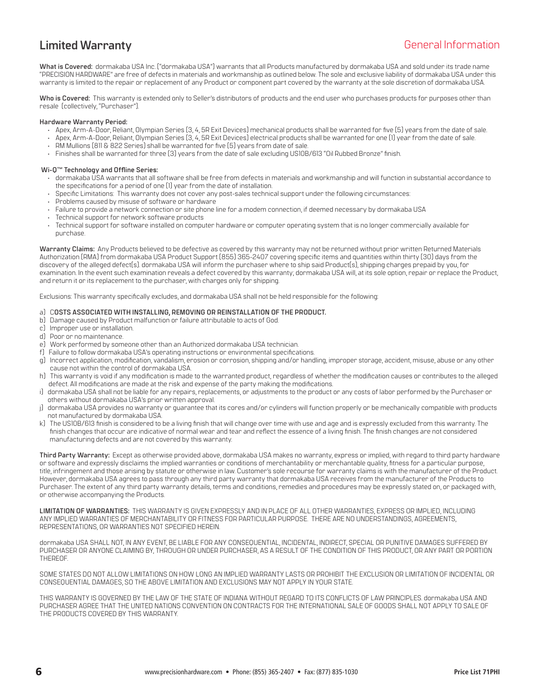### <span id="page-5-0"></span>**Limited Warranty** General Information

**What is Covered:** dormakaba USA Inc. ("dormakaba USA") warrants that all Products manufactured by dormakaba USA and sold under its trade name "PRECISION HARDWARE" are free of defects in materials and workmanship as outlined below. The sole and exclusive liability of dormakaba USA under this warranty is limited to the repair or replacement of any Product or component part covered by the warranty at the sole discretion of dormakaba USA.

**Who is Covered:** This warranty is extended only to Seller's distributors of products and the end user who purchases products for purposes other than resale (collectively, "Purchaser").

#### **Hardware Warranty Period:**

- Apex, Arm-A-Door, Reliant, Olympian Series (3, 4, 5R Exit Devices) mechanical products shall be warranted for five (5) years from the date of sale.
- Apex, Arm-A-Door, Reliant, Olympian Series (3, 4, 5R Exit Devices) electrical products shall be warranted for one (1) year from the date of sale.
- RM Mullions (811 & 822 Series) shall be warranted for five (5) years from date of sale.
- Finishes shall be warranted for three (3) years from the date of sale excluding US10B/613 "Oil Rubbed Bronze" finish.

### **Wi-Q™ Technology and Offline Series:**

- dormakaba USA warrants that all software shall be free from defects in materials and workmanship and will function in substantial accordance to the specifications for a period of one (1) year from the date of installation.
- Specific Limitations: This warranty does not cover any post-sales technical support under the following circumstances:
- Problems caused by misuse of software or hardware
- Failure to provide a network connection or site phone line for a modem connection, if deemed necessary by dormakaba USA
- Technical support for network software products
- Technical support for software installed on computer hardware or computer operating system that is no longer commercially available for purchase.

**Warranty Claims:** Any Products believed to be defective as covered by this warranty may not be returned without prior written Returned Materials Authorization (RMA) from dormakaba USA Product Support (855) 365-2407 covering specific items and quantities within thirty (30) days from the discovery of the alleged defect(s). dormakaba USA will inform the purchaser where to ship said Product(s), shipping charges prepaid by you, for examination. In the event such examination reveals a defect covered by this warranty; dormakaba USA will, at its sole option, repair or replace the Product, and return it or its replacement to the purchaser, with charges only for shipping.

Exclusions: This warranty specifically excludes, and dormakaba USA shall not be held responsible for the following:

#### a) C**OSTS ASSOCIATED WITH INSTALLING, REMOVING OR REINSTALLATION OF THE PRODUCT.**

- b) Damage caused by Product malfunction or failure attributable to acts of God.
- c) Improper use or installation.
- d) Poor or no maintenance.
- e) Work performed by someone other than an Authorized dormakaba USA technician.
- f) Failure to follow dormakaba USA's operating instructions or environmental specifications.
- g) Incorrect application, modification, vandalism, erosion or corrosion, shipping and/or handling, improper storage, accident, misuse, abuse or any other cause not within the control of dormakaba USA.
- h) This warranty is void if any modification is made to the warranted product, regardless of whether the modification causes or contributes to the alleged defect. All modifications are made at the risk and expense of the party making the modifications.
- i) dormakaba USA shall not be liable for any repairs, replacements, or adjustments to the product or any costs of labor performed by the Purchaser or others without dormakaba USA's prior written approval.
- j) dormakaba USA provides no warranty or guarantee that its cores and/or cylinders will function properly or be mechanically compatible with products not manufactured by dormakaba USA.
- The US10B/613 finish is considered to be a living finish that will change over time with use and age and is expressly excluded from this warranty. The finish changes that occur are indicative of normal wear and tear and reflect the essence of a living finish. The finish changes are not considered manufacturing defects and are not covered by this warranty.

**Third Party Warranty:** Except as otherwise provided above, dormakaba USA makes no warranty, express or implied, with regard to third party hardware or software and expressly disclaims the implied warranties or conditions of merchantability or merchantable quality, fitness for a particular purpose, title, infringement and those arising by statute or otherwise in law. Customer's sole recourse for warranty claims is with the manufacturer of the Product. However, dormakaba USA agrees to pass through any third party warranty that dormakaba USA receives from the manufacturer of the Products to Purchaser. The extent of any third party warranty details, terms and conditions, remedies and procedures may be expressly stated on, or packaged with, or otherwise accompanying the Products.

**LIMITATION OF WARRANTIES:** THIS WARRANTY IS GIVEN EXPRESSLY AND IN PLACE OF ALL OTHER WARRANTIES, EXPRESS OR IMPLIED, INCLUDING ANY IMPLIED WARRANTIES OF MERCHANTABILITY OR FITNESS FOR PARTICULAR PURPOSE. THERE ARE NO UNDERSTANDINGS, AGREEMENTS, REPRESENTATIONS, OR WARRANTIES NOT SPECIFIED HEREIN.

dormakaba USA SHALL NOT, IN ANY EVENT, BE LIABLE FOR ANY CONSEQUENTIAL, INCIDENTAL, INDIRECT, SPECIAL OR PUNITIVE DAMAGES SUFFERED BY PURCHASER OR ANYONE CLAIMING BY, THROUGH OR UNDER PURCHASER, AS A RESULT OF THE CONDITION OF THIS PRODUCT, OR ANY PART OR PORTION THEREOF.

SOME STATES DO NOT ALLOW LIMITATIONS ON HOW LONG AN IMPLIED WARRANTY LASTS OR PROHIBIT THE EXCLUSION OR LIMITATION OF INCIDENTAL OR CONSEQUENTIAL DAMAGES, SO THE ABOVE LIMITATION AND EXCLUSIONS MAY NOT APPLY IN YOUR STATE.

THIS WARRANTY IS GOVERNED BY THE LAW OF THE STATE OF INDIANA WITHOUT REGARD TO ITS CONFLICTS OF LAW PRINCIPLES. dormakaba USA AND PURCHASER AGREE THAT THE UNITED NATIONS CONVENTION ON CONTRACTS FOR THE INTERNATIONAL SALE OF GOODS SHALL NOT APPLY TO SALE OF THE PRODUCTS COVERED BY THIS WARRANTY.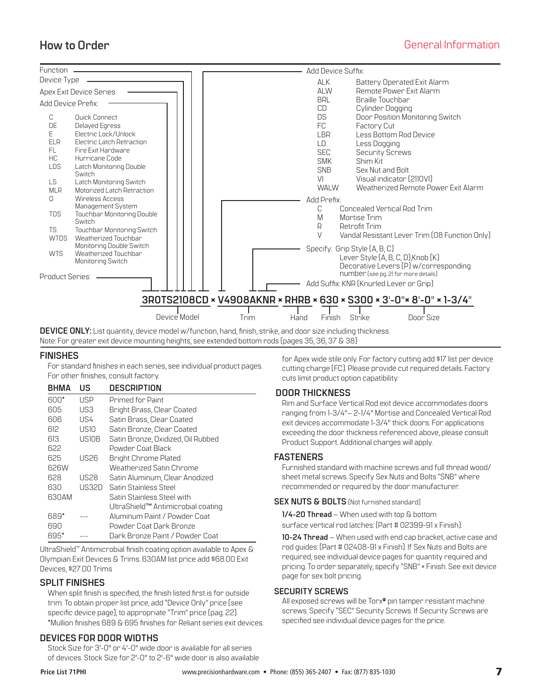<span id="page-6-0"></span>

**DEVICE ONLY:** List quantity, device model w/function, hand, finish, strike, and door size including thickness.

### Note: For greater exit device mounting heights, see extended bottom rods (pages 35, 36, 37 & 38)

### **FINISHES**

For standard finishes in each series, see individual product pages. For other finishes, consult factory.

| BHMA  | US           | <b>DESCRIPTION</b>                 |
|-------|--------------|------------------------------------|
| 600*  | USP          | Primed for Paint                   |
| 605   | US3.         | Bright Brass, Clear Coated         |
| 606   | US4          | Satin Brass, Clear Coated          |
| 612   | USIO         | Satin Bronze, Clear Coated         |
| 613   | <b>USIOB</b> | Satin Bronze, Oxidized, Oil Rubbed |
| 622   |              | Powder Coat Black                  |
| 625   | US26         | <b>Bright Chrome Plated</b>        |
| 626W  |              | Weatherized Satin Chrome           |
| 628   | <b>US28</b>  | Satin Aluminum, Clear Anodized     |
| 630   | LIS32D       | Satin Stainless Steel              |
| 630AM |              | Satin Stainless Steel with         |
|       |              | UltraShield™ Antimicrobial coating |
| 689*  |              | Aluminum Paint / Powder Coat       |
| 690   |              | Powder Coat Dark Bronze            |
| 695*  |              | Dark Bronze Paint / Powder Coat    |

UltraShield™ Antimicrobial finish coating option available to Apex & Olympian Exit Devices & Trims. 630AM list price add \$68.00 Exit Devices, \$27.00 Trims

### **SPLIT FINISHES**

When split finish is specified, the finish listed first is for outside trim. To obtain proper list price, add "Device Only" price (see specific device page), to appropriate "Trim" price (pag. 22). \*Mullion finishes 689 & 695 finishes for Reliant series exit devices.

### **DEVICES FOR DOOR WIDTHS**

Stock Size for 3'-0" or 4'-0" wide door is available for all series of devices. Stock Size for 2'-0" to 2'-6" wide door is also available for Apex wide stile only. For factory cutting add \$17 list per device cutting charge (FC). Please provide cut required details. Factory cuts limit product option capatibility.

### **DOOR THICKNESS**

Rim and Surface Vertical Rod exit device accommodates doors ranging from 1-3/4"– 2-1/4" Mortise and Concealed Vertical Rod exit devices accommodate 1-3/4" thick doors. For applications exceeding the door thickness referenced above, please consult Product Support. Additional charges will apply.

### **FASTENERS**

Furnished standard with machine screws and full thread wood/ sheet metal screws. Specify Sex Nuts and Bolts "SNB" where recommended or required by the door manufacturer.

### **SEX NUTS & BOLTS** (Not furnished standard)

**1/4-20 Thread** – When used with top & bottom surface vertical rod latches: (Part # 02399-91 x Finish).

**10-24 Thread** – When used with end cap bracket, active case and rod guides: (Part # 02408-91 x Finish). If Sex Nuts and Bolts are required, see individual device pages for quantity required and pricing. To order separately, specify "SNB" × Finish. See exit device page for sex bolt pricing.

### **SECURITY SCREWS**

All exposed screws will be Torx® pin tamper resistant machine screws. Specify "SEC" Security Screws. If Security Screws are specified see individual device pages for the price.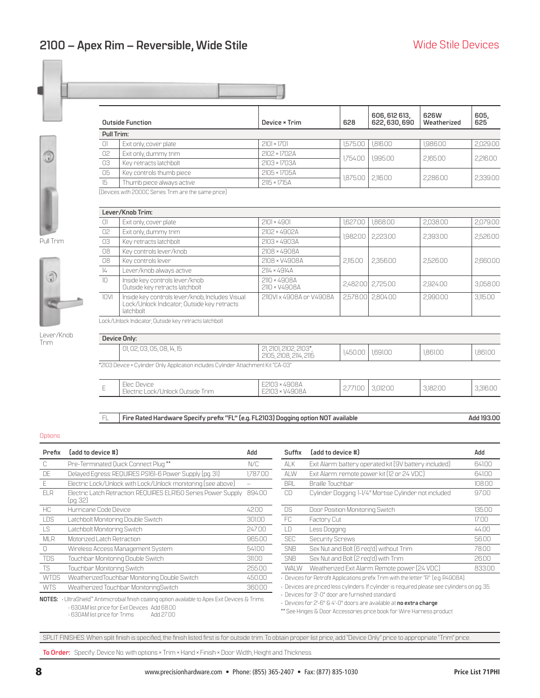<span id="page-7-0"></span>

|            | <b>Outside Function</b>                             | Device × Trim       | 628      | 606, 612 613,<br>622, 630, 690 | 626W<br>Weatherized | 605,<br>625 |
|------------|-----------------------------------------------------|---------------------|----------|--------------------------------|---------------------|-------------|
| Pull Trim: |                                                     |                     |          |                                |                     |             |
| $\Box$     | Exit only, cover plate                              | $2101 \times 1701$  | 1.575.00 | 1,816.00                       | 1,986.00            | 2,029.00    |
| 02         | Exit only, dummy trim                               | 2102 × 1702A        | 1.754.00 | 1,995.00                       | 2,165.00            | 2,216.00    |
| 03         | Key retracts latchbolt                              | 2103 × 1703A        |          |                                |                     |             |
| 05         | Key controls thumb piece                            | 2105 × 1705A        | 1.875.00 | 2.116.00                       | 2,286.00            | 2,339.00    |
| $15 -$     | Thumb piece always active                           | $2115 \times 1715A$ |          |                                |                     |             |
|            | [Devices with 2000C Series Trim are the same price] |                     |          |                                |                     |             |
|            | Lever/Knob Trim:                                    |                     |          |                                |                     |             |
| $\bigcap$  | Exit only, cover plate                              | $2101 \times 4901$  | 1.627.00 | 1.868.00                       | 2.038.00            | 2.079.00    |
| 02         | Exit only, dummy trim                               | 2102 × 4902A        | 1982.00  | 2,223.00                       | 2.393.00            | 2.526.00    |
| 03         | Key retracts latchbolt                              | 2103 × 4903A        |          |                                |                     |             |

Pull Trim



| Lever/Knob |
|------------|
| Irım       |

|               | [Devices with 2000C Series Trim are the same price]                                                         |                                                  |          |          |          |          |
|---------------|-------------------------------------------------------------------------------------------------------------|--------------------------------------------------|----------|----------|----------|----------|
|               | Lever/Knob Trim:                                                                                            |                                                  |          |          |          |          |
| O1            | Exit only, cover plate                                                                                      | $2101 \times 4901$                               | 1.627.00 | 1.868.00 | 2.038.00 | 2,079.00 |
| 02            | Exit only, dummy trim                                                                                       | 2102 × 4902A                                     | 982.00   | 2,223,00 | 2.393.00 |          |
| 03            | Key retracts latchbolt                                                                                      | 2103 × 4903A                                     |          |          |          | 2,526.00 |
| 08            | Key controls lever/knob                                                                                     | 2108 × 4908A                                     |          |          |          |          |
| 08            | Key controls lever                                                                                          | 2108 × V4908A                                    | 2,115.00 | 2,356.00 | 2,526.00 | 2,660.00 |
| $\frac{1}{4}$ | Lever/knob always active                                                                                    | 2114 × 4914A                                     |          |          |          |          |
| 10            | Inside key controls lever/knob<br>Outside key retracts latchbolt                                            | 2110 × 4908A<br>2110 × V4908A                    | 2.482.00 | 2,725.00 | 2,924.00 | 3,058.00 |
| 10V1          | Inside key controls lever/knob, Includes Visual<br>Lock/Unlock Indicator, Outside key retracts<br>latchbolt | 2110VI x 4908A or V4908A                         | 2.578.00 | 2,804.00 | 2.990.00 | 3,115.00 |
|               | Lock/Unlock Indicator, Outside key retracts latchbolt                                                       |                                                  |          |          |          |          |
|               | Device Only:                                                                                                |                                                  |          |          |          |          |
|               | 01, 02, 03, 05, 08, 14, 15                                                                                  | 21, 2101, 2102, 2103*,<br>2105, 2108, 2114, 2115 | 1.450.00 | 1,691.00 | 1.861.00 | 1.861.00 |
|               |                                                                                                             |                                                  |          |          |          |          |

\*2103 Device × Cylinder Only Application includes Cylinder Attachment Kit "CA-03"

|  | $\sim$<br>$-$ | $-$<br><b>COL</b><br>Elec<br>11 <sup>2</sup><br>ハーハー<br>-<br>Tnin<br>$\sim$<br><b>Jnlock</b><br>Uutside<br>Electr<br>LUUN<br>$\cup$ | 1001<br>$\sim$<br>"НA<br>ー<br>- | 1.UU<br>- | 3.UI2.UU | $\cap$ $\cap$ $\cap$<br>18<br>$\sim$ | KIN |
|--|---------------|-------------------------------------------------------------------------------------------------------------------------------------|---------------------------------|-----------|----------|--------------------------------------|-----|
|--|---------------|-------------------------------------------------------------------------------------------------------------------------------------|---------------------------------|-----------|----------|--------------------------------------|-----|

FL **Fire Rated Hardware Specify prefix "FL" (e.g. FL2103) Dogging option NOT available <b>Add 193.00** Add 193.00

#### **Options**

| Prefix      | (add to device #)                                                          | Add      | Suffix      | (add to device #)                                                                                                                                                                                              | Add    |
|-------------|----------------------------------------------------------------------------|----------|-------------|----------------------------------------------------------------------------------------------------------------------------------------------------------------------------------------------------------------|--------|
| C.          | Pre-Terminated Quick Connect Plug**                                        | N/C      | ALK         | Exit Alarm: battery operated kit (9V battery included)                                                                                                                                                         | 641.00 |
| DE          | Delayed Egress: REQUIRES PS161-6 Power Supply (pg. 31)                     | 1.787.00 | ALW         | Exit Alarm: remote power kit (12 or 24 VDC)                                                                                                                                                                    | 641.00 |
| F           | Electric Lock/Unlock with Lock/Unlock monitoring [see above]               |          | <b>BRL</b>  | Braille Touchbar                                                                                                                                                                                               | 108.00 |
| <b>FIR</b>  | Electric Latch Retraction: REQUIRES ELRI50 Series Power Supply<br>(pg. 32) | 894.00   | CD          | Cylinder Dogging: 1-1/4" Mortise Cylinder not included                                                                                                                                                         | 97.00  |
| HC          | Hurricane Code Device                                                      | 42.00    | DS          | Door Position Monitoring Switch                                                                                                                                                                                | 135.00 |
| <b>LDS</b>  | Latchbolt Monitoring Double Switch                                         | 301.00   | FC.         | Factory Cut                                                                                                                                                                                                    | 1700   |
| <b>LS</b>   | Latchbolt Monitoring Switch                                                | 247.00   | LD          | Less Dogging                                                                                                                                                                                                   | 44.00  |
| <b>MLR</b>  | Motorized Latch Retraction                                                 | 965.00   | <b>SEC</b>  | <b>Security Screws</b>                                                                                                                                                                                         | 56.00  |
| 0           | Wireless Access Management System                                          | 541.00   | <b>SNB</b>  | Sex Nut and Bolt [6 reg'd] without Trim                                                                                                                                                                        | 78.00  |
| <b>TDS</b>  | Touchbar Monitoring Double Switch                                          | 311.00   | <b>SNB</b>  | Sex Nut and Bolt (2 reg'd) with Trim                                                                                                                                                                           | 26.00  |
| <b>TS</b>   | Touchbar Monitoring Switch                                                 | 255.00   | <b>WALW</b> | Weatherized Exit Alarm: Remote power [24 VDC]                                                                                                                                                                  | 833.00 |
| <b>WTDS</b> | WeatherizedTouchbar Monitoring Double Switch                               | 450.00   |             | · Devices for Retrofit Applications prefix Trim with the letter "R" (e.g. R4908A).                                                                                                                             |        |
| <b>WTS</b>  | Weatherized Touchbar MonitoringSwitch                                      | 360.00   |             | · Devices are priced less cylinders. If cylinder is required please see cylinders on pg. 35.<br>Des de electricion DI el este electrónica el este el este el el el el este de la el el el el el el el el el el |        |

| Add      | Suffix      | [add to device #]                                                                            | Add    |
|----------|-------------|----------------------------------------------------------------------------------------------|--------|
| N/C      | ALK         | Exit Alarm: battery operated kit (9V battery included)                                       | 641.00 |
| 1,787.00 | AI W        | Exit Alarm: remote power kit [12 or 24 VDC]                                                  | 641.00 |
|          | <b>BRL</b>  | Braille Touchbar                                                                             | 108.00 |
| 89400    | CD          | Cylinder Dogging: 1-1/4" Mortise Cylinder not included                                       | 97.00  |
| 42.00    | DS          | Door Position Monitoring Switch                                                              | 135.00 |
| 301.00   | FC.         | Factory Cut                                                                                  | 17.00  |
| 247.00   | ID.         | Less Dogging                                                                                 | 44.00  |
| 965.00   | <b>SFC</b>  | <b>Security Screws</b>                                                                       | 56.00  |
| 541.00   | <b>SNB</b>  | Sex Nut and Bolt (6 reg'd) without Trim                                                      | 78.00  |
| 311.00   | <b>SNB</b>  | Sex Nut and Bolt (2 reg'd) with Trim                                                         | 26.00  |
| 255.00   | <b>WALW</b> | Weatherized Exit Alarm: Remote power [24 VDC]                                                | 833.00 |
| 450.00   |             | · Devices for Retrofit Applications prefix Trim with the letter "R" (e.g. R4908A).           |        |
| 360.00   |             | . Devices are priced less cylinders. If cylinder is required please see cylinders on pq. 35. |        |
| . Tnime  |             | $\cdot$ Devices for 3'-0" door are furnished standard.                                       |        |

NOTES: · UltraShield™ Antimicrobial finish coating option available to Apex Exit Devices & Trims. - 630AM list price for Exit Devices Add 68.00 - 630AM list price for Trims

• Devices for 2'-6" & 4'-0" doors are available at **no extra charge**.

\*\* See Hinges & Door Accessories price book for Wire Harness product

SPLIT FINISHES: When split finish is specified, the finish listed first is for outside trim. To obtain proper list price, add "Device Only" price to appropriate "Trim" price.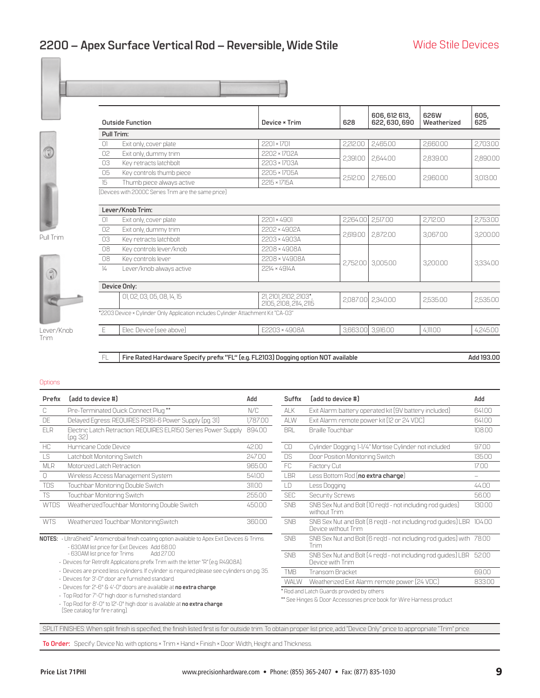<span id="page-8-0"></span>

|        | <b>Outside Function</b>                             | Device × Trim      | 628      | 606, 612 613,<br>622, 630, 690 | 626W<br>Weatherized | 605,<br>625 |
|--------|-----------------------------------------------------|--------------------|----------|--------------------------------|---------------------|-------------|
|        | Pull Trim:                                          |                    |          |                                |                     |             |
| $\Box$ | Exit only, cover plate                              | $2201 \times 1701$ | 2,212.00 | 2.465.00                       | 2.660.00            | 2,703.00    |
| 02     | Exit only, dummy trim                               | 2202 × 1702A       | 2,391.00 | 2,644.00                       | 2.839.00            | 2,890.00    |
| 03     | Key retracts latchbolt                              | 2203 × 1703A       |          |                                |                     |             |
| 05     | Key controls thumb piece                            | 2205 × 1705A       |          |                                |                     |             |
| 15     | Thumb piece always active                           | 2215 × 1715A       | 2,512.00 | 2,765.00                       | 2,960.00            | 3,013.00    |
|        | [Devices with 2000C Series Trim are the same price] |                    |          |                                |                     |             |
|        |                                                     |                    |          |                                |                     |             |

01 Exit only, cover plate 2201 × 4901 2,264.00 2,517.00 2,712.00 2,753.00

Pull Trim



02 Exit only, dummy trim 2202 × 4902A 2,619.00 2,872.00 3,067.00 3,200.00 3,200.00 3,200.00 3,067.00 3,200.00 3,200.00 3,200.00 3,200.00 3,200.00 3,<br>03 Key retracts latchbolt 08 Key controls lever/knob 2208 × 4908A 2,752.00 3,005.00 3,200.00 3,334.00 <sup>08</sup> Key controls lever 2208 × V4908A 14 Lever/knob always active 2214 × 4914A **Device Only:** 01, 02, 03, 05, 08, 14, 15 21, 21, 2101, 2102, 2103<sup>\*</sup>, 21, 210, 2102, 2103<sup>-</sup>,<br>2105, 2108, 2114, 2115 2,087.00 2,340.00 2,535.00 2,535.00 2,535.00 \*2203 Device × Cylinder Only Application includes Cylinder Attachment Kit "CA-03" E Elec. Device (see above) E2203 × 4908A 3,663.00 3,916.00 4,111.00 4,245.00

FL **Fire Rated Hardware Specify prefi x "FL" (e.g. FL2103) Dogging option NOT available Add 193.00**

#### **Options**

Trim

| Prefix          | (add to device #)                                                          | Add      | Suffix     | [add to device #]                                                          | Add    |
|-----------------|----------------------------------------------------------------------------|----------|------------|----------------------------------------------------------------------------|--------|
| U.              | Pre-Terminated Quick Connect Plug**                                        | N/C      | <b>ALK</b> | Exit Alarm: battery operated kit (9V battery included)                     | 641.00 |
| DE              | Delayed Egress: REQUIRES PS161-6 Power Supply (pg. 31)                     | 1.787.00 | <b>ALW</b> | Exit Alarm: remote power kit (12 or 24 VDC)                                | 641.00 |
| FI <sub>R</sub> | Electric Latch Retraction: REQUIRES ELRI50 Series Power Supply<br>(pg. 32) | 894.00   | <b>BRL</b> | <b>Braille Touchbar</b>                                                    | 108.00 |
| HC.             | Hurricane Code Device                                                      | 42.00    | <b>CD</b>  | Cylinder Dogging: 1-1/4" Mortise Cylinder not included                     | 97.00  |
| LS              | Latchbolt Monitoring Switch                                                | 247.00   | <b>DS</b>  | Door Position Monitoring Switch                                            | 135.00 |
| <b>MLR</b>      | Motorized Latch Retraction                                                 | 965.00   | FC.        | Factory Cut                                                                | 17.00  |
|                 | Wireless Access Management System                                          | 541.00   | LBR        | Less Bottom Rod ( <b>no extra charge</b> )                                 |        |
| <b>TDS</b>      | Touchbar Monitoring Double Switch                                          | 311.00   | LD         | Less Dogging                                                               | 44.00  |
| <b>TS</b>       | Touchbar Monitoring Switch                                                 | 255.00   | <b>SEC</b> | <b>Security Screws</b>                                                     | 56.00  |
| <b>WTDS</b>     | WeatherizedTouchbar Monitoring Double Switch                               | 450.00   | <b>SNB</b> | SNB Sex Nut and Bolt (10 req'd - not including rod quides)<br>without Trim | 130.00 |
| <b>WTS</b>      | Weatherized Touchbar MonitoringSwitch                                      | 360.00   | <b>SNB</b> | SNB Sex Nut and Bolt (8 reg'd - not including rod guides) LBR              | 104.00 |

**NOTES:** • UltraShield™ Antimicrobial finish coating option available to Apex Exit Devices & Trims. - 630AM list price for Exit Devices Add 68.00

- 630AM list price for Trims

• Devices for Retrofit Applications prefix Trim with the letter "R" (e.g. R4908A).

• Devices are priced less cylinders. If cylinder is required please see cylinders on pg. 35.

• Devices for 3'-0" door are furnished standard.

• Devices for 2'-6" & 4'-0" doors are available at **no extra charge**.

• Top Rod for 7'-0" high door is furnished standard.

• Top Rod for 8'-0" to 12'-0" high door is available at **no extra charge**. (See catalog for fire rating).

**Prefix** (add to device #) **Add Add** ALK Exit Alarm: battery operated kit (9V battery included) 641.00 ALW Exit Alarm: remote power kit (12 or 24 VDC) 641.00 BRL Braille Touchbar 108.00 CD Cylinder Dogging: 1-1/4" Mortise Cylinder not included 97.00 Latechbolt Door Position Monitoring Switch 247.000 DS Door Position Monitoring Switch 247.00 LBR Less Bottom Rod (**no extra charge**) SEC Security Screws 56.00 SNB SNB Sex Nut and Bolt (10 req'd - not including rod guides) without Trim 130.00 Device without Trim SNB SNB Sex Nut and Bolt (6 req'd - not including rod guides) with 78.00 Trim SNB SNB Sex Nut and Bolt (4 req'd - not including rod guides) LBR 52.00 Device with Trim TMB Transom Bracket 69.00 WALW Weatherized Exit Alarm: remote power (24 VDC) 833.00 \* Rod and Latch Guards provided by others

\*\* See Hinges & Door Accessories price book for Wire Harness product

SPLIT FINISHES: When split finish is specified, the finish listed first is for outside trim. To obtain proper list price, add "Device Only" price to appropriate "Trim" price.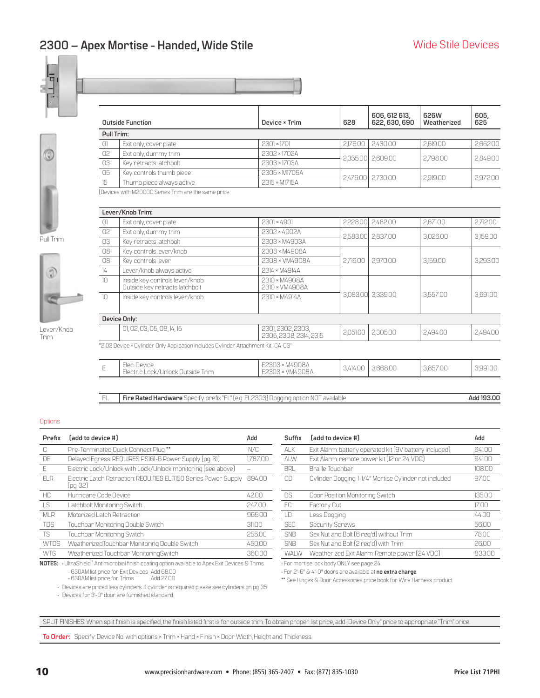# <span id="page-9-0"></span>**2300 – Apex Mortise - Handed, Wide Stile**



|            | <b>Outside Function</b>   | Device × Trim | 628               | 606, 612 613,<br>622, 630, 690 | 626W<br>Weatherized | 605,<br>625 |
|------------|---------------------------|---------------|-------------------|--------------------------------|---------------------|-------------|
| Pull Trim: |                           |               |                   |                                |                     |             |
| 0          | Exit only, cover plate    | 2301×1701     |                   | 2.176.00 2.430.00              | 2.619.00            | 2,662.00    |
| 02         | Exit only, dummy trim     | 2302 × 1702A  |                   | 2,355.00 2,609.00              | 2.798.00            | 2,849.00    |
| 03         | Key retracts latchbolt    | 2303 × 1703A  |                   |                                |                     |             |
| 05         | Key controls thumb piece  | 2305 × M1705A |                   |                                |                     |             |
| 15         | Thumb piece always active | 2315 × M1715A | 2,476.00 2,730.00 |                                | 2,919.00            | 2,972.00    |



Q



Lever/Knob Trim

|                 | [Devices with M2000C Series Trim are the same price                               |                                             |          |          |          |          |
|-----------------|-----------------------------------------------------------------------------------|---------------------------------------------|----------|----------|----------|----------|
|                 | Lever/Knob Trim:                                                                  |                                             |          |          |          |          |
| $\Box$          | Exit only, cover plate                                                            | 2301×4901                                   | 2,228.00 | 2,482.00 | 2,671.00 | 2,712.00 |
| 02 <sup>°</sup> | Exit only, dummy trim                                                             | 2302 × 4902A                                |          |          |          |          |
| 03              | Key retracts latchbolt                                                            | 2303 × M4903A                               | 2.583.00 | 2.837.00 | 3,026.00 | 3,159.00 |
| 08              | Key controls lever/knob                                                           | 2308 × M4908A                               |          |          |          |          |
| 08              | Key controls lever                                                                | 2308 × VM4908A                              | 2.716.00 | 2.970.00 | 3.159.00 | 3,293.00 |
| $\frac{1}{4}$   | Lever/knob always active                                                          | 2314 × M4914A                               |          |          |          |          |
| 10              | Inside key controls lever/knob<br>Outside key retracts latchbolt                  | 2310 × M4908A<br>2310 × VM4908A             |          |          |          |          |
| 10              | Inside key controls lever/knob                                                    | 2310 × M4914A                               | 3,083.00 | 3,339.00 | 3.557.00 | 3,691.00 |
|                 | Device Only:                                                                      |                                             |          |          |          |          |
|                 | 01, 02, 03, 05, 08, 14, 15                                                        | 2301, 2302, 2303,<br>2305, 2308, 2314, 2315 | 2,051.00 | 2,305.00 | 2,494.00 | 2,494.00 |
|                 | *2103 Device × Cylinder Only Application includes Cylinder Attachment Kit "CA-03" |                                             |          |          |          |          |
| F               | Flec Device<br>Electric Lock/Unlock Outside Trim                                  | E2303 × M4908A<br>E2303 × VM4908A           | 3.414.00 | 3.668.00 | 3.857.00 | 3,991.00 |

Electric Lock/Unlock Outside Trim

FL **Fire Rated Hardware** Specify prefix "FL" (e.g. FL2303) Dogging option NOT available **Add 193.00** 

#### **Options**

| Prefix      | [add to device #]                                                                                 | Add      | Suffix      | [add to device #]                                      | Add    |
|-------------|---------------------------------------------------------------------------------------------------|----------|-------------|--------------------------------------------------------|--------|
| C           | Pre-Terminated Quick Connect Plug**                                                               | N/C      | <b>ALK</b>  | Exit Alarm: battery operated kit (9V battery included) | 641.00 |
| DE          | Delayed Egress: REQUIRES PS161-6 Power Supply (pg. 31)                                            | 1.787.00 | ALW         | Exit Alarm: remote power kit (12 or 24 VDC)            | 641.00 |
| E           | Electric Lock/Unlock with Lock/Unlock monitoring (see above)                                      |          | <b>BRL</b>  | Braille Touchbar                                       | 108.00 |
| <b>FIR</b>  | Electric Latch Retraction: REQUIRES ELRI50 Series Power Supply<br>(pg. 32)                        | 894.00   | CD          | Cylinder Dogging: 1-1/4" Mortise Cylinder not included | 97.00  |
| HC.         | Hurricane Code Device                                                                             | 42.00    | <b>DS</b>   | Door Position Monitoring Switch                        | 135.00 |
| <b>LS</b>   | Latchbolt Monitoring Switch                                                                       | 247.00   | FC          | Factory Cut                                            | 17.00  |
| <b>MLR</b>  | Motorized Latch Retraction                                                                        | 965.00   | LD          | Less Dogging                                           | 44.00  |
| TDS         | Touchbar Monitoring Double Switch                                                                 | 311.00   | <b>SEC</b>  | <b>Security Screws</b>                                 | 56.00  |
| <b>TS</b>   | Touchbar Monitoring Switch                                                                        | 255.00   | <b>SNB</b>  | Sex Nut and Bolt [6 reg'd] without Trim                | 78.00  |
| <b>WTDS</b> | WeatherizedTouchbar Monitoring Double Switch                                                      | 450.00   | <b>SNB</b>  | Sex Nut and Bolt (2 reg'd) with Trim                   | 2600   |
| <b>WTS</b>  | Weatherized Touchbar MonitoringSwitch                                                             | 360.00   | <b>WALW</b> | Weatherized Exit Alarm: Remote power [24 VDC]          | 833.00 |
|             | NOTES: · UltraShield™ Antimicrobial finish coating option available to Apex Exit Devices & Trims. |          |             | · For mortise lock body ONLY see page 24.              |        |

**NOTES:** • UltraShield™ Antimicrobial finish coating option available to Apex Exit Devices & Trims. - 630AM list price for Exit Devices Add 68.00

- 630AM list price for Trims

• Devices are priced less cylinders. If cylinder is required please see cylinders on pg. 35

| - DS       | Door Position Monitoring Switch               | ĸ  |  |  |  |  |
|------------|-----------------------------------------------|----|--|--|--|--|
| FC         | Factory Cut                                   | 17 |  |  |  |  |
| LD         | Less Dogging                                  | 4  |  |  |  |  |
| <b>SEC</b> | <b>Security Screws</b>                        | 51 |  |  |  |  |
| SNB        | Sex Nut and Bolt (6 reg'd) without Trim       | 71 |  |  |  |  |
| <b>SNB</b> | Sex Nut and Bolt [2 reg'd] with Trim          | 21 |  |  |  |  |
| WAI W      | Weatherized Exit Alarm: Remote power [24 VDC] | 8. |  |  |  |  |
|            | • For mortise lock body ONLY see page 24.     |    |  |  |  |  |
|            |                                               |    |  |  |  |  |

• For 2'-6" & 4'-0" doors are available at **no extra charge**.

\*\* See Hinges & Door Accessories price book for Wire Harness product

• Devices for 3'-0" door are furnished standard.

SPLIT FINISHES: When split finish is specified, the finish listed first is for outside trim. To obtain proper list price, add "Device Only" price to appropriate "Trim" price.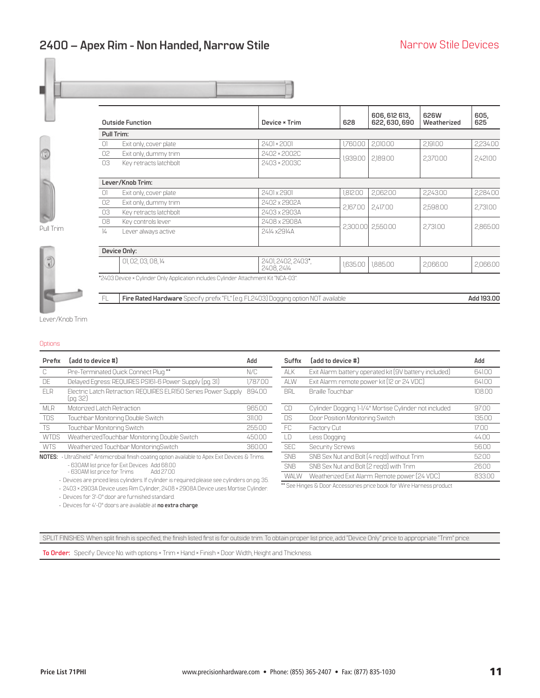### <span id="page-10-0"></span>**2400 – Apex Rim - Non Handed, Narrow Stile**



Pull Trim



|               | <b>Outside Function</b>                                                             | Device × Trim                 | 628      | 606, 612 613,<br>622, 630, 690 | 626W<br>Weatherized | 605.<br>625 |  |
|---------------|-------------------------------------------------------------------------------------|-------------------------------|----------|--------------------------------|---------------------|-------------|--|
| Pull Trim:    |                                                                                     |                               |          |                                |                     |             |  |
| 0             | Exit only, cover plate                                                              | $2401 \times 2001$            | 1.760.00 | 2,010.00                       | 2,191.00            | 2,234.00    |  |
| 02            | Exit only, dummy trim                                                               | 2402 × 2002C                  | 1.939.00 | 2,189.00                       | 2.370.00            |             |  |
| 03            | Key retracts latchbolt                                                              | 2403 × 2003C                  |          |                                |                     | 2,421.00    |  |
|               | Lever/Knob Trim:                                                                    |                               |          |                                |                     |             |  |
| 0             | Exit only, cover plate                                                              | 2401 x 2901                   | 1,812.00 | 2,062.00                       | 2,243.00            | 2,284.00    |  |
| 02            | Exit only, dummy trim                                                               | 2402 x 2902A                  |          |                                |                     |             |  |
| 03            | Key retracts latchbolt                                                              | 2403 x 2903A                  | 2,167.00 | 2,417.00                       | 2,598.00            | 2,731.00    |  |
| 08            | Key controls lever                                                                  | 2408 x 2908A                  |          |                                |                     |             |  |
| $\frac{1}{4}$ | Lever always active                                                                 | 2414 x2914A                   |          | 2,300.00 2,550.00              | 2,731.00            | 2,865.00    |  |
|               | Device Only:                                                                        |                               |          |                                |                     |             |  |
|               | 01, 02, 03, 08, 14                                                                  | 2401 2402 2403*<br>2408, 2414 | 1.635.00 | 1,885.00                       | 2,066.00            | 2,066.00    |  |
|               | *2403 Device × Cylinder Only Application includes Cylinder Attachment Kit "NCA-03". |                               |          |                                |                     |             |  |

Lever/Knob Trim

FL **Fire Rated Hardware** Specify prefix "FL" (e.g. FL2403) Dogging option NOT available **Add 193.00** 

### **Options**

| Prefix          | (add to device #)                                                                                                                      | Add      | Suffix      | [add to device #]                                      | Add    |
|-----------------|----------------------------------------------------------------------------------------------------------------------------------------|----------|-------------|--------------------------------------------------------|--------|
| U.              | Pre-Terminated Quick Connect Plug**                                                                                                    | N/C      | <b>ALK</b>  | Exit Alarm: battery operated kit (9V battery included) | 641.00 |
| DE              | Delayed Egress: REQUIRES PS161-6 Power Supply (pg. 31)                                                                                 | 1,787.00 | ALW         | Exit Alarm: remote power kit (12 or 24 VDC)            | 641.00 |
| FI <sub>R</sub> | Electric Latch Retraction: REQUIRES ELRI50 Series Power Supply<br>(pg. 32)                                                             | 894.00   | <b>BRL</b>  | <b>Braille Touchbar</b>                                | 108.00 |
| <b>MLR</b>      | Motorized Latch Retraction                                                                                                             | 965.00   | CD          | Cylinder Dogging: 1-1/4" Mortise Cylinder not included | 97.00  |
| <b>TDS</b>      | Touchbar Monitoring Double Switch                                                                                                      | 31100    | <b>DS</b>   | Door Position Monitoring Switch                        | 135.00 |
| <b>TS</b>       | Touchbar Monitoring Switch                                                                                                             | 255.00   | FC.         | Factory Cut                                            | 17.00  |
| <b>WTDS</b>     | WeatherizedTouchbar Monitoring Double Switch                                                                                           | 450.00   | LD          | Less Dogging                                           | 44.00  |
| <b>WTS</b>      | Weatherized Touchbar MonitoringSwitch                                                                                                  | 360.00   | <b>SEC</b>  | <b>Security Screws</b>                                 | 56.00  |
|                 | <b>NOTES:</b> UltraShield" Antimicrobial finish coating option available to Apex Exit Devices & Trims.                                 |          | <b>SNB</b>  | SNB Sex Nut and Bolt (4 req'd) without Trim            | 52.00  |
|                 | - 630AM list price for Exit Devices Add 68.00                                                                                          |          | <b>SNB</b>  | SNB Sex Nut and Bolt [2 reg'd] with Trim               | 26.00  |
|                 | - 630AM list price for Trims<br>Add 27.00<br>Dovidor are prioed loss ovlindore. If ovlindor is noguined please see ovlindors on pa. 25 |          | <b>WALW</b> | Weatherized Exit Alarm: Remote power [24 VDC]          | 833.00 |

- r is required please see cylinders on pg. 3
- 2403 × 2903A Device uses Rim Cylinder, 2408 × 2908A Device uses Mortise Cylinder.
- Devices for 3'-0" door are furnished standard.
- Devices for 4'-0" doors are available at **no extra charge**.

| Add        | Suffix      | (add to device #)                                                       | Add    |
|------------|-------------|-------------------------------------------------------------------------|--------|
| N/C        | <b>ALK</b>  | Exit Alarm: battery operated kit (9V battery included)                  | 641.00 |
| 1.787.00   | ALW         | Exit Alarm: remote power kit [12 or 24 VDC]                             | 641.00 |
| 89400      | <b>BRL</b>  | Braille Touchbar                                                        | 108.00 |
| 965.00     | CD          | Cylinder Dogging: 1-1/4" Mortise Cylinder not included                  | 97.00  |
| 31100      | <b>DS</b>   | Door Position Monitoring Switch                                         | 135.00 |
| 255.00     | FC.         | Factory Cut                                                             | 17.00  |
| 450.00     | I D         | Less Dogging                                                            | 44.00  |
| 360.00     | <b>SFC</b>  | Security Screws                                                         | 56.00  |
| s Trims    | <b>SNB</b>  | SNB Sex Nut and Bolt [4 reg'd] without Trim                             | 5200   |
|            | <b>SNB</b>  | SNB Sex Nut and Bolt [2 reg'd] with Trim                                | 26.00  |
| on pg. 35. | <b>WALW</b> | Weatherized Exit Alarm: Remote power [24 VDC]                           | 833.00 |
|            |             | ** Pea Llinges P. Dean Accordonico prios book for Wine Llanness product |        |

\* See Hinges & Door Accessories price book for Wire Harness pro

SPLIT FINISHES: When split finish is specified, the finish listed first is for outside trim. To obtain proper list price, add "Device Only" price to appropriate "Trim" price.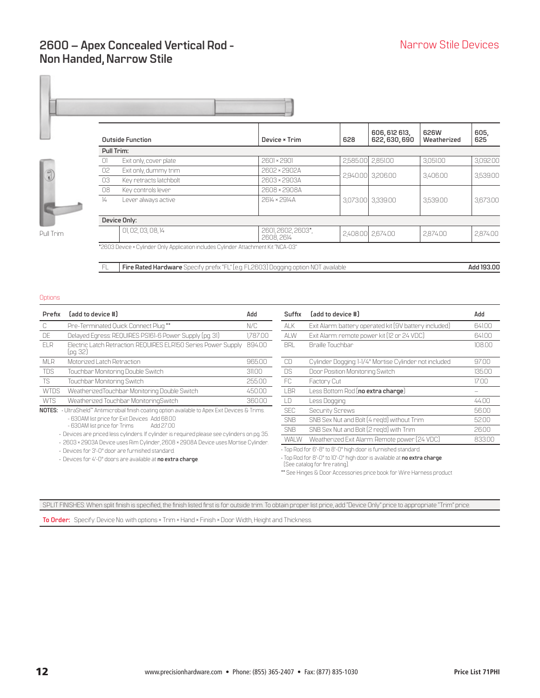### <span id="page-11-0"></span>**2600 – Apex Concealed Vertical Rod - Non Handed, Narrow Stile**

**605,**





| <b>Outside Function</b> |                                                                                    | Device * Trim                   | 628 | 622, 630, 690     | Weatherized | 625      |  |  |  |
|-------------------------|------------------------------------------------------------------------------------|---------------------------------|-----|-------------------|-------------|----------|--|--|--|
|                         | Pull Trim:                                                                         |                                 |     |                   |             |          |  |  |  |
| $\Box$                  | Exit only, cover plate                                                             | 2601×2901                       |     | 2.585.00 2.851.00 | 3.051.00    | 3.092.00 |  |  |  |
| 02                      | Exit only, dummy trim                                                              | 2602 × 2902A                    |     | 2,940.00 3,206.00 | 3,406.00    | 3,539.00 |  |  |  |
| 03                      | Key retracts latchbolt                                                             | 2603 × 2903A                    |     |                   |             |          |  |  |  |
| 08                      | Key controls lever                                                                 | 2608 × 2908A                    |     |                   |             |          |  |  |  |
| $\frac{1}{4}$           | Lever always active                                                                | 2614 × 2914A                    |     | 3.073.00 3.339.00 | 3,539.00    | 3,673.00 |  |  |  |
|                         |                                                                                    |                                 |     |                   |             |          |  |  |  |
|                         | Device Only:                                                                       |                                 |     |                   |             |          |  |  |  |
|                         | 01, 02, 03, 08, 14                                                                 | 2601, 2602, 2603*,<br>2608.2614 |     | 2,408,00 2.674,00 | 2.874.00    | 2,874.00 |  |  |  |
|                         | *2603 Device × Cylinder Only Application includes Cylinder Attachment Kit "NCA-03" |                                 |     |                   |             |          |  |  |  |

FL **Fire Rated Hardware** Specify prefix "FL" (e.g. FL2603) Dogging option NOT available **Add 193.00** 

**Options** 

| Prefix      | (add to device #)                                                                                 | Add      | Suffix        | [add to device #]                                      | Add    |
|-------------|---------------------------------------------------------------------------------------------------|----------|---------------|--------------------------------------------------------|--------|
| C           | Pre-Terminated Quick Connect Plug**                                                               | N/C      | <b>ALK</b>    | Exit Alarm: battery operated kit (9V battery included) | 641.00 |
| DE          | Delayed Egress: REQUIRES PS161-6 Power Supply (pg. 31)                                            | 1,787.00 | <b>ALW</b>    | Exit Alarm: remote power kit (12 or 24 VDC)            | 641.00 |
| <b>ELR</b>  | Electric Latch Retraction: REQUIRES ELRI50 Series Power Supply<br>(pg. 32)                        | 894.00   | <b>BRL</b>    | Braille Touchbar                                       | 108.00 |
| <b>MLR</b>  | Motorized Latch Retraction                                                                        | 965.00   | CD.           | Cylinder Dogging: 1-1/4" Mortise Cylinder not included | 97.00  |
| <b>TDS</b>  | Touchbar Monitoring Double Switch                                                                 | 311.00   | <b>DS</b>     | Door Position Monitoring Switch                        | 135.00 |
| TS.         | Touchbar Monitoring Switch                                                                        | 255.00   | FC.           | Factory Cut                                            | 17.00  |
| <b>WTDS</b> | WeatherizedTouchbar Monitoring Double Switch                                                      | 450.00   | LBR           | Less Bottom Rod (no extra charge)                      |        |
| <b>WTS</b>  | Weatherized Touchbar MonitoringSwitch                                                             | 360.00   | $\Box$        | Less Dogging                                           | 44.00  |
|             | NOTES: · UltraShield" Antimicrobial finish coating option available to Apex Exit Devices & Trims. |          | <b>SEC</b>    | Security Screws                                        | 56.00  |
|             | - 630AM list price for Exit Devices Add 68.00                                                     |          | <b>SNB</b>    | SNB Sex Nut and Bolt [4 reg'd] without Trim            | 52.00  |
|             | - 630AM list price for Trims<br>Add 27.00                                                         |          | $\bigcap_{n}$ | $OMBO \t M$ $\vdots$ $ID \t M$ $\vdots$ $ID \t M$      | 0000   |

• Devices are priced less cylinders. If cylinder is required please see cylinders on pg. 35.

• 2603 × 2903A Device uses Rim Cylinder, 2608 × 2908A Device uses Mortise Cylinder. • Devices for 3'-0" door are furnished standard.

• Devices for 4'-0" doors are available at **no extra charge**.

| Add        | Suffix      | (add to device #)                                      | Add    |
|------------|-------------|--------------------------------------------------------|--------|
| N/C        | AI K        | Exit Alarm: battery operated kit (9V battery included) | 641.00 |
| 1.787.00   | ALW         | Exit Alarm: remote power kit (12 or 24 VDC)            | 641.00 |
| 89400      | <b>BRI</b>  | Braille Touchbar                                       | 108.00 |
| 965.00     | CD          | Cylinder Dogging: 1-1/4" Mortise Cylinder not included | 97.00  |
| 31100      | DS          | Door Position Monitoring Switch                        | 135.00 |
| 255.00     | FC.         | Factory Cut                                            | 17.00  |
| 450.00     | I BR        | Less Bottom Rod (no extra charge)                      |        |
| 360.00     | I D         | Less Dogging                                           | 44.00  |
| } Trims    | <b>SFC</b>  | Security Screws                                        | 56.00  |
|            | <b>SNB</b>  | SNB Sex Nut and Bolt [4 reg'd] without Trim            | 52.00  |
| on pg. 35. | <b>SNB</b>  | SNB Sex Nut and Bolt [2 reg'd] with Trim               | 26.00  |
| Cylinder   | <b>WALW</b> | Weatherized Exit Alarm: Remote power [24 VDC]          | 83300  |

• Top Rod for 6'-8" to 8'-0" high door is furnished standard.

• Top Rod for 8'-0" to 10'-0" high door is available at **no extra charge**.

(See catalog for fire rating).

\*\* See Hinges & Door Accessories price book for Wire Harness product

SPLIT FINISHES: When split finish is specified, the finish listed first is for outside trim. To obtain proper list price, add "Device Only" price to appropriate "Trim" price.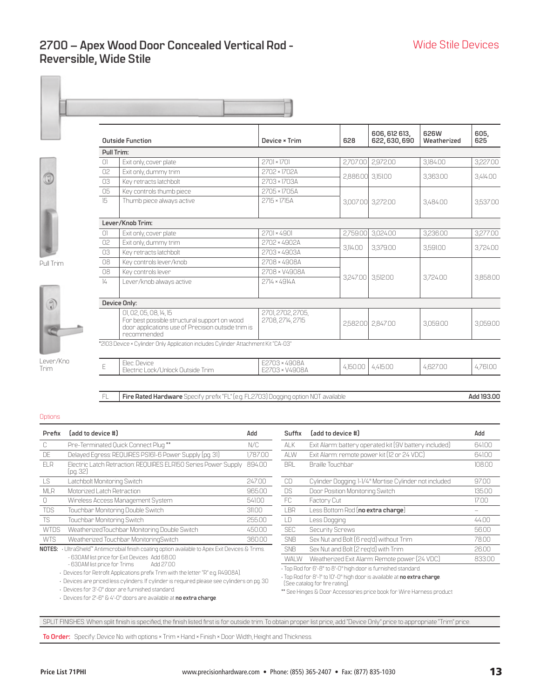### <span id="page-12-0"></span>**2700 – Apex Wood Door Concealed Vertical Rod - Reversible, Wide Stile**

 $\mathbf{I}$ 

 $\mathbb{R}^n$ 

Pull Trim



| <b>Outside Function</b> |                                                                                                                                             | Device × Trim                         | 628      | 606, 612 613,<br>622, 630, 690 | 626W<br>Weatherized | 605,<br>625 |  |
|-------------------------|---------------------------------------------------------------------------------------------------------------------------------------------|---------------------------------------|----------|--------------------------------|---------------------|-------------|--|
| Pull Trim:              |                                                                                                                                             |                                       |          |                                |                     |             |  |
| $\Box$                  | Exit only, cover plate                                                                                                                      | $2701 \times 1701$                    | 2,707.00 | 2,972.00                       | 3.184.00            | 3,227.00    |  |
| 02                      | Exit only, dummy trim                                                                                                                       | 2702 × 1702A                          | 2,886.00 | 3,151.00                       | 3,363.00            | 3,414.00    |  |
| 03                      | Key retracts latchbolt                                                                                                                      | 2703 × 1703A                          |          |                                |                     |             |  |
| 05                      | Key controls thumb piece                                                                                                                    | 2705 × 1705A                          |          |                                |                     |             |  |
| 15                      | Thumb piece always active                                                                                                                   | 2715 × 1715A                          |          | 3,007.00 3,272.00              | 3,484.00            | 3,537.00    |  |
|                         |                                                                                                                                             |                                       |          |                                |                     |             |  |
|                         | Lever/Knob Trim:                                                                                                                            |                                       |          |                                |                     |             |  |
| $\Box$                  | Exit only, cover plate                                                                                                                      | $2701 \times 4901$                    | 2,759.00 | 3,024.00                       | 3,236.00            | 3,277.00    |  |
| 02                      | Exit only, dummy trim                                                                                                                       | 2702 × 4902A                          | 3.114.00 | 3.379.00                       | 3.591.00            | 3.724.00    |  |
| 03                      | Kev retracts latchbolt                                                                                                                      | 2703 × 4903A                          |          |                                |                     |             |  |
| 08                      | Key controls lever/knob                                                                                                                     | 2708 × 4908A                          |          |                                |                     |             |  |
| 08                      | Key controls lever                                                                                                                          | 2708 × V4908A                         |          |                                |                     |             |  |
| $\frac{1}{4}$           | Lever/knob always active                                                                                                                    | 2714 × 4914A                          | 3,247.00 | 3.512.00                       | 3,724.00            | 3,858.00    |  |
|                         |                                                                                                                                             |                                       |          |                                |                     |             |  |
|                         | Device Only:                                                                                                                                |                                       |          |                                |                     |             |  |
|                         | 01, 02, 05, 08, 14, 15<br>For best possible structural support on wood<br>door applications use of Precision outside trim is<br>recommended | 2701, 2702, 2705,<br>2708, 2714, 2715 |          | 2,582.00 2,847.00              | 3,059.00            | 3,059.00    |  |
|                         | *2103 Device × Cylinder Only Application includes Cylinder Attachment Kit "CA-03"                                                           |                                       |          |                                |                     |             |  |
| E                       | Flec Device<br>Electric Lock/Unlock Outside Trim                                                                                            | E2703 × 4908A<br>F2703 × V4908A       | 4,150.00 | 4,415.00                       | 4,627.00            | 4,761.00    |  |
|                         |                                                                                                                                             |                                       |          |                                |                     |             |  |

FL **Fire Rated Hardware** Specify prefix "FL" (e.g. FL2703) Dogging option NOT available **Add 193.00** 

#### **Options**

Trim

| Prefix      | (add to device #)                                                                                                   | Add      | Suffix     | [add to device #]                                      | Add    |
|-------------|---------------------------------------------------------------------------------------------------------------------|----------|------------|--------------------------------------------------------|--------|
| C.          | Pre-Terminated Quick Connect Plug **                                                                                | N/C      | <b>ALK</b> | Exit Alarm: battery operated kit (9V battery included) | 641.00 |
| DE          | Delayed Egress: REQUIRES PS161-6 Power Supply (pg. 31)                                                              | 1,787.00 | ALW        | Exit Alarm: remote power kit (12 or 24 VDC)            | 641.00 |
| ELR         | Electric Latch Retraction: REQUIRES ELRI50 Series Power Supply<br>(pg. 32)                                          | 894.00   | <b>BRL</b> | Braille Touchbar                                       | 108.00 |
| LS          | Latchbolt Monitoring Switch                                                                                         | 247.00   | CD         | Cylinder Dogging: 1-1/4" Mortise Cylinder not included | 97.00  |
| <b>MLR</b>  | Motorized Latch Retraction                                                                                          | 965.00   | <b>DS</b>  | Door Position Monitoring Switch                        | 135.00 |
| O           | Wireless Access Management System                                                                                   | 541.00   | FC.        | Factory Cut                                            | 17.00  |
| <b>TDS</b>  | Touchbar Monitoring Double Switch                                                                                   | 311.00   | LBR        | Less Bottom Rod (no extra charge)                      |        |
| <b>TS</b>   | Touchbar Monitoring Switch                                                                                          | 255.00   | LD         | Less Dogging                                           | 44.00  |
| <b>WTDS</b> | WeatherizedTouchbar Monitoring Double Switch                                                                        | 450.00   | <b>SEC</b> | <b>Security Screws</b>                                 | 56.00  |
| <b>WTS</b>  | Weatherized Touchbar MonitoringSwitch                                                                               | 360.00   | <b>SNB</b> | Sex Nut and Bolt (6 reg'd) without Trim                | 78.00  |
|             | <b>NOTES:</b> UltraShield <sup>**</sup> Antimicrobial finish coating option available to Apex Exit Devices & Trims. |          | <b>SNB</b> | Sex Nut and Bolt (2 reg'd) with Trim                   | 2600   |

- 630AM list price for Exit Devices Add 68.00

- 630AM list price for Trims Add 27.00

• Devices for Retrofit Applications prefix Trim with the letter "R" e.g. R4908A).

• Devices are priced less cylinders. If cylinder is required please see cylinders on pg. 30

• Devices for 3'-0" door are furnished standard.

| Add      | Suffix      | Ladd to device #J                                             | Add    |
|----------|-------------|---------------------------------------------------------------|--------|
| N/C      | ai k        | Exit Alarm: battery operated kit (9V battery included)        | 641.00 |
| 1,787.00 | ALW         | Exit Alarm: remote power kit [12 or 24 VDC]                   | 641.00 |
| 89400    | <b>BRL</b>  | <b>Braille Touchbar</b>                                       | 108.00 |
| 247.00   | CD          | Cylinder Dogging: 1-1/4" Mortise Cylinder not included        | 97.00  |
| 96500    | DS          | Door Position Monitoring Switch                               | 135.00 |
| 54100    | FC.         | Factory Cut                                                   | 17.00  |
| 31100    | I BR        | Less Bottom Rod (no extra charge)                             |        |
| 255.00   | I D         | Less Dogging                                                  | 44.00  |
| 450.00   | <b>SFC</b>  | Security Screws                                               | 56.00  |
| 360.00   | <b>SNB</b>  | Sex Nut and Bolt (6 reg'd) without Trim                       | 78.00  |
| : Trims  | <b>SNB</b>  | Sex Nut and Bolt (2 reg'd) with Trim                          | 26.00  |
|          | <b>WALW</b> | Weatherized Exit Alarm: Remote power [24 VDC]                 | 833.00 |
|          |             | · Top Rod for 6'-8" to 8'-0" high door is furnished standard. |        |

• Top Rod for 8'-1" to 10'-0" high door is available at **no extra charge**.

(See catalog for fire rating).

\*\* See Hinges & Door Accessories price book for Wire Harness product

SPLIT FINISHES: When split finish is specified, the finish listed first is for outside trim. To obtain proper list price, add "Device Only" price to appropriate "Trim" price.

<sup>•</sup> Devices for 2'-6" & 4'-0" doors are available at **no extra charge**.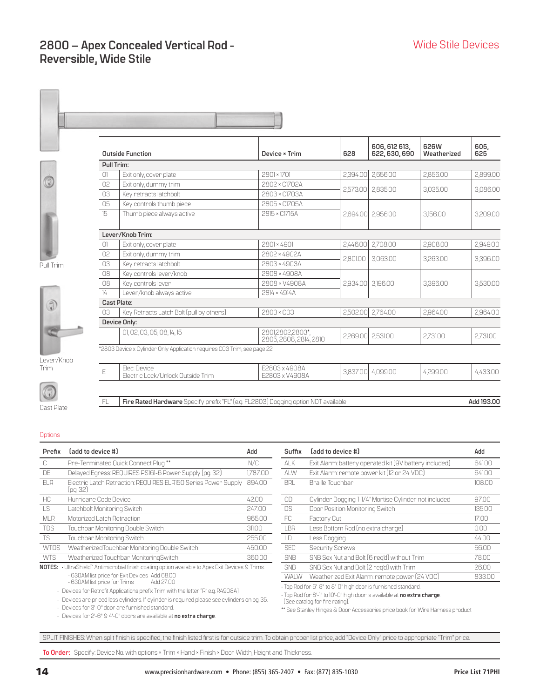### <span id="page-13-0"></span>**2800 – Apex Concealed Vertical Rod - Reversible, Wide Stile**



Pull Trim



Trim



Cast Plate

|                    | <b>Outside Function</b>                  | Device × Trim | 628      | 606, 612 613,<br>622, 630, 690 | 626W<br>Weatherized | 605,<br>625 |
|--------------------|------------------------------------------|---------------|----------|--------------------------------|---------------------|-------------|
| Pull Trim:         |                                          |               |          |                                |                     |             |
| O1.                | Exit only, cover plate                   | 2801×1701     | 2,394.00 | 2,656.00                       | 2,856.00            | 2,899.00    |
| 02 <sup>°</sup>    | Exit only, dummy trim                    | 2802 × C1702A | 2,573.00 | 2,835.00                       | 3,035.00            | 3,086.00    |
| 03                 | Key retracts latchbolt                   | 2803 × C1703A |          |                                |                     |             |
| 05                 | Key controls thumb piece                 | 2805 × C1705A |          |                                |                     |             |
| 15                 | Thumb piece always active                | 2815 × C1715A | 2,694.00 | 2,956.00                       | 3,156.00            | 3,209.00    |
|                    | Lever/Knob Trim:                         |               |          |                                |                     |             |
| $\Box$             | Exit only, cover plate                   | 2801×4901     | 2.446.00 | 2,708.00                       | 2.908.00            | 2,949.00    |
| 02                 | Exit only, dummy trim                    | 2802 × 4902A  |          |                                |                     |             |
| 03                 | Key retracts latchbolt                   | 2803 × 4903A  | 2,801.00 | 3,063.00                       | 3,263.00            | 3,396.00    |
| 08                 | Key controls lever/knob                  | 2808 × 4908A  |          |                                |                     |             |
| 08                 | Key controls lever                       | 2808 × V4908A | 2,934.00 | 3,196.00                       | 3,396.00            | 3,530.00    |
| $\frac{1}{4}$      | Lever/knob always active                 | 2814 × 4914A  |          |                                |                     |             |
| <b>Cast Plate:</b> |                                          |               |          |                                |                     |             |
| 03                 | Key Retracts Latch Bolt (pull by others) | 2803 × CO3    | 2,502.00 | 2,764.00                       | 2,964.00            | 2,964.00    |
|                    | Device Only:                             |               |          |                                |                     |             |

FL Fire Rated Hardware Specify prefix "FL" (e.g. FL2803) Dogging option NOT available **Add 193.00** 

Lever/Knob

#### **Options**

| Prefix      | (add to device #)                                                                                                                                                                 | Add      | Suffix      | [add to device #]                                                                                                                                                           | Add    |
|-------------|-----------------------------------------------------------------------------------------------------------------------------------------------------------------------------------|----------|-------------|-----------------------------------------------------------------------------------------------------------------------------------------------------------------------------|--------|
| C           | Pre-Terminated Quick Connect Plug**                                                                                                                                               | N/C      | <b>ALK</b>  | Exit Alarm: battery operated kit [9V battery included]                                                                                                                      | 641.00 |
| <b>DE</b>   | Delayed Egress: REQUIRES PS161-6 Power Supply (pg. 32)                                                                                                                            | 1.787.00 | ALW         | Exit Alarm: remote power kit (12 or 24 VDC)                                                                                                                                 | 641.00 |
| <b>ELR</b>  | Electric Latch Retraction: REQUIRES ELRI50 Series Power Supply<br>(pg. 32)                                                                                                        | 894.00   | <b>BRL</b>  | Braille Touchbar                                                                                                                                                            | 108.00 |
| HC.         | Hurricane Code Device                                                                                                                                                             | 42.00    | CD          | Cylinder Dogging: 1-1/4" Mortise Cylinder not included                                                                                                                      | 97.00  |
| <b>LS</b>   | Latchbolt Monitoring Switch                                                                                                                                                       | 247.00   | <b>DS</b>   | Door Position Monitoring Switch                                                                                                                                             | 135.00 |
| <b>MLR</b>  | Motorized Latch Retraction                                                                                                                                                        | 965.00   | FC.         | Factory Cut                                                                                                                                                                 | 17.00  |
| TDS         | Touchbar Monitoring Double Switch                                                                                                                                                 | 311.00   | <b>LBR</b>  | Less Bottom Rod (no extra charge)                                                                                                                                           | 0.00   |
| TS.         | Touchbar Monitoring Switch                                                                                                                                                        | 255.00   | LD          | Less Dogging                                                                                                                                                                | 44.00  |
| <b>WTDS</b> | WeatherizedTouchbar Monitoring Double Switch                                                                                                                                      | 450.00   | <b>SEC</b>  | <b>Security Screws</b>                                                                                                                                                      | 56.00  |
| <b>WTS</b>  | Weatherized Touchbar MonitoringSwitch                                                                                                                                             | 360.00   | <b>SNB</b>  | SNB Sex Nut and Bolt (6 reg'd) without Trim                                                                                                                                 | 78.00  |
|             | NOTES: · UltraShield" Antimicrobial finish coating option available to Apex Exit Devices & Trims.                                                                                 |          | <b>SNB</b>  | SNB Sex Nut and Bolt (2 reg'd) with Trim                                                                                                                                    | 26.00  |
|             | - 630AM list price for Exit Devices Add 68.00<br>- 630AM list price for Trims<br>Add 2700                                                                                         |          | <b>WALW</b> | Weatherized Exit Alarm: remote power [24 VDC]                                                                                                                               | 833.0  |
|             | · Devices for Retrofit Applications prefix Trim with the letter "R" e.g. R4908A).<br>. Devices are priced less cylinders. If cylinder is required please see cylinders on pq. 35. |          |             | · Top Rod for 6'-8" to 8'-0" high door is furnished standard.<br>· Top Rod for 8'-1" to 10'-0" high door is available at no extra charge.<br>(See catalog for fire rating). |        |

01, 02, 03, 05, 08, 14, 15

E Elec. Device

\*2803 Device x Cylinder Only Application requires C03 Trim, see page 22

Electric Lock/Unlock Outside Trim

• Devices for 3'-0" door are furnished standard.

• Devices for 2'-6" & 4'-0" doors are available at **no extra charge**.

| bbA      | Suffix      | (add to device #)                                            | Add    |
|----------|-------------|--------------------------------------------------------------|--------|
| N/C      | ai k        | Exit Alarm: battery operated kit (9V battery included)       | 641.00 |
| 1.787.00 | AI W        | Exit Alarm: remote power kit (12 or 24 VDC)                  | 641.00 |
| 89400    | <b>BRL</b>  | Braille Touchbar                                             | 108.00 |
| 4200     | CD          | Cylinder Dogging: 1-1/4" Mortise Cylinder not included       | 9700   |
| 247.00   | <b>DS</b>   | Door Position Monitoring Switch                              | 135.00 |
| 965.00   | FC.         | Factory Cut                                                  | 17.00  |
| 311.00   | I BR        | Less Bottom Rod (no extra charge)                            | 0.00   |
| 255.00   | I D         | Less Dogging                                                 | 44.00  |
| 450.00   | <b>SFC</b>  | <b>Security Screws</b>                                       | 56.00  |
| 360.00   | <b>SNB</b>  | SNB Sex Nut and Bolt [6 reg'd] without Trim                  | 78.00  |
| Frims.   | <b>SNB</b>  | SNB Sex Nut and Bolt (2 reg'd) with Trim                     | 26.00  |
|          | <b>WALW</b> | Weatherized Exit Alarm: remote power [24 VDC]                | 833.00 |
|          |             | . Top Dod for 6'-8" to 8'-0" bigh door is furnished standard |        |

2805, 2808, 2814, 2810 2,269.00 2,531.00 2,731.00 2,731.00

E2803 x 4908A E2803 x V4908A 3,837.00 4,099.00 4,299.00 4,433.00

(See catalog for fire rating).

\*\* See Stanley Hinges & Door Accessories price book for Wire Harness product

SPLIT FINISHES: When split finish is specified, the finish listed first is for outside trim. To obtain proper list price, add "Device Only" price to appropriate "Trim" price.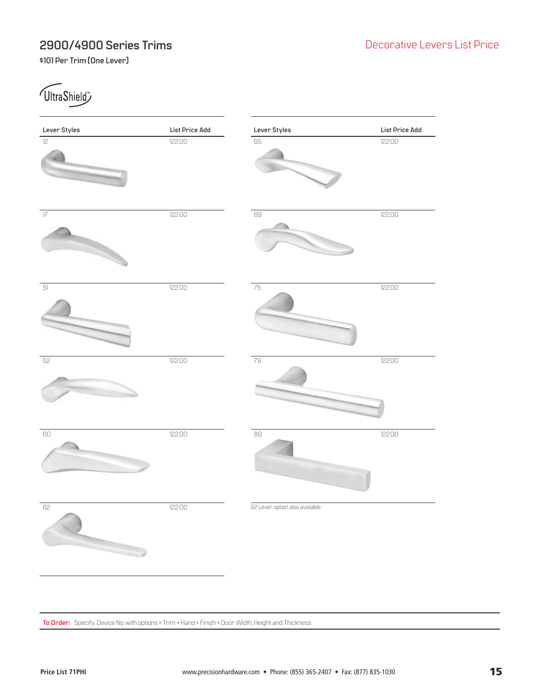### <span id="page-14-0"></span>**2900/4900 Series Trims**

**\$101 Per Trim (One Lever)**

**UltraShield** 

| Lever Styles    | List Price Add | Lever Styles                   | List Price Add |
|-----------------|----------------|--------------------------------|----------------|
| l2              | 122.00         | 65                             | 122.00         |
| $\overline{17}$ | 122.00         | $69\,$                         | 122.00         |
| $5]$            | 122.00         | 75                             | 122.00         |
| 52              | 122.00         | 79                             | 122.00         |
| $60\,$          | 122.00         | $89$                           | 122.00         |
| 62              | 122.00         | 92 Lever option also available |                |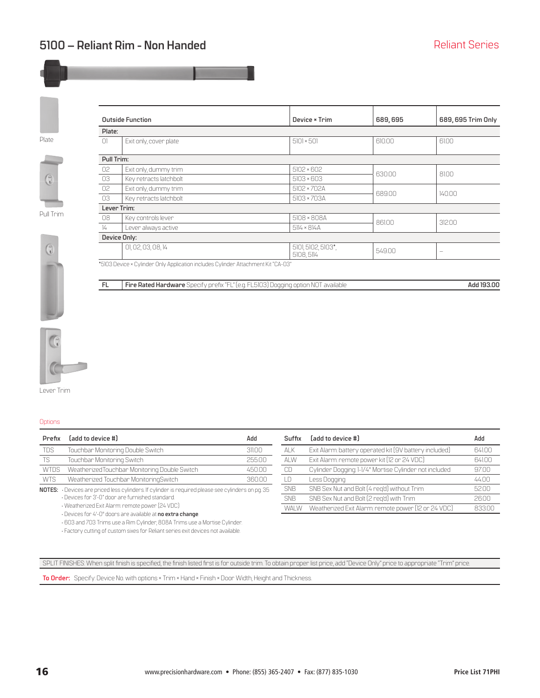<span id="page-15-0"></span>Plate

Pull Trim

0

|               | <b>Outside Function</b> | Device × Trim                    | 689,695 | 689, 695 Trim Only |
|---------------|-------------------------|----------------------------------|---------|--------------------|
| Plate:        |                         |                                  |         |                    |
| $\Box$        | Exit only, cover plate  | $5101 \times 501$                | 610.00  | 61.00              |
| Pull Trim:    |                         |                                  |         |                    |
| 02            | Exit only, dummy trim   | $5102 \times 602$                | 630.00  | 81.00              |
| 03            | Key retracts latchbolt  | $5103 \times 603$                |         |                    |
| 02            | Exit only, dummy trim   | 5102 × 702A                      | 689.00  | 140.00             |
| 03            | Key retracts latchbolt  | 5103 × 703A                      |         |                    |
|               | Lever Trim:             |                                  |         |                    |
| 08            | Key controls lever      | 5108 × 808A                      | 861.00  | 312.00             |
| $\frac{1}{4}$ | Lever always active     | $514 \times 814$ A               |         |                    |
|               | Device Only:            |                                  |         |                    |
|               | 01, 02, 03, 08, 14      | 5101, 5102, 5103*.<br>5108, 5114 | 549.00  | -                  |
|               |                         |                                  |         |                    |

\*5103 Device × Cylinder Only Application includes Cylinder Attachment Kit "CA-03"

**FL Fire Rated Hardware** Specify prefix "FL" (e.g. FL5103) Dogging option NOT available **Add 193.00** 



Lever Trim

#### **Options**

| Prefix | [add to device #]                            | Add        | Suffix | [add to device #]                                      | Add   |
|--------|----------------------------------------------|------------|--------|--------------------------------------------------------|-------|
| TDS    | Touchbar Monitoring Double Switch            | 311.00     | ai k   | Exit Alarm: battery operated kit (9V battery included) | 64100 |
| TS     | Touchbar Monitoring Switch                   | 255.00     | AI W   | Exit Alarm: remote power kit [12 or 24 VDC]            | 64100 |
| WTDS   | WeatherizedTouchbar Monitoring Double Switch | 450.00     |        | Cylinder Dogging: 1-1/4" Mortise Cylinder not included | 97.00 |
| WTS    | Weatherized Touchbar MonitoringSwitch        | 360.00     |        | Less Dogging                                           | 4400  |
|        |                                              | $\sim$ $-$ | CN ID. | CND Carr Nine and Dale (7 magdal) critician of Taiwa   | EO OO |

**NOTES:** • Devices are priced less cylinders. If cylinder is required please see cylinders on pg. 35

• Devices for 3'-0" door are furnished standard.

• Weatherized Exit Alarm: remote power (24 VDC)

• Devices for 4'-0" doors are available at **no extra change**.

• 603 and 703 Trims use a Rim Cylinder, 808A Trims use a Mortise Cylinder. • Factory cutting of custom sixes for Reliant series exit devices not available.

| Suffix         | (add to device #)                                      | Add    |
|----------------|--------------------------------------------------------|--------|
| AI K           | Exit Alarm: battery operated kit [9V battery included] | 64100  |
| AI W           | Exit Alarm: remote power kit [12 or 24 VDC]            | 64100  |
| CD.            | Cylinder Dogging: 1-1/4" Mortise Cylinder not included | 9700   |
| $\overline{D}$ | Less Dogging                                           | 44 N N |
| <b>SNB</b>     | SNB Sex Nut and Bolt [4 reg'd] without Trim            | 5200   |
| <b>SNB</b>     | SNB Sex Nut and Bolt [2 reg'd] with Trim               | 2600   |
| WAI W          | Weatherized Exit Alarm: remote power [12 or 24 VDC]    | 83300  |

SPLIT FINISHES: When split finish is specified, the finish listed first is for outside trim. To obtain proper list price, add "Device Only" price to appropriate "Trim" price.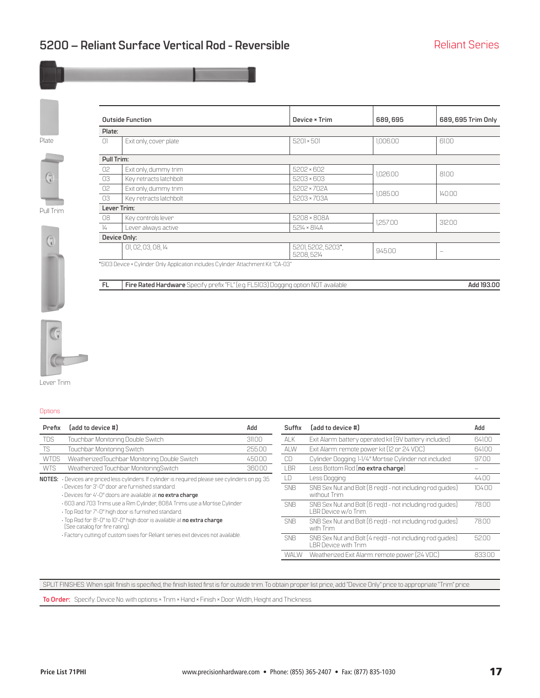<span id="page-16-0"></span>



G

Pull Trim

0

|               | <b>Outside Function</b> | Device × Trim                    | 689,695  | 689, 695 Trim Only |
|---------------|-------------------------|----------------------------------|----------|--------------------|
| Plate:        |                         |                                  |          |                    |
| $\Box$        | Exit only, cover plate  | $5201 \times 501$                | 1,006.00 | 61.00              |
| Pull Trim:    |                         |                                  |          |                    |
| 02            | Exit only, dummy trim   | $5202 \times 602$                | .026.00  | 81.00              |
| 03            | Key retracts latchbolt  | $5203 \times 603$                |          |                    |
| 02            | Exit only, dummy trim   | 5202 × 702A                      | .085.00  | 140.00             |
| 03            | Key retracts latchbolt  | 5203 × 703A                      |          |                    |
|               | Lever Trim:             |                                  |          |                    |
| 08            | Key controls lever      | 5208 × 808A                      | 1257.00  | 312.00             |
| $\frac{1}{4}$ | Lever always active     | $5214 \times 814$ A              |          |                    |
|               | Device Only:            |                                  |          |                    |
|               | 01, 02, 03, 08, 14      | 5201, 5202, 5203*,<br>5208, 5214 | 945.00   | -                  |
|               | $\blacksquare$          |                                  |          |                    |

\*5103 Device × Cylinder Only Application includes Cylinder Attachment Kit "CA-03"

**FL Fire Rated Hardware** Specify prefix "FL" (e.g. FL5103) Dogging option NOT available **Add 193.00** 



Lever Trim

**Options** 

| Prefix      | [add to device #]                                                                                                                | Add    | Suffix     | [add to device #]                                                                        | Add    |
|-------------|----------------------------------------------------------------------------------------------------------------------------------|--------|------------|------------------------------------------------------------------------------------------|--------|
| <b>TDS</b>  | Touchbar Monitoring Double Switch                                                                                                | 311.00 | ALK        | Exit Alarm: battery operated kit [9V battery included]                                   | 641.00 |
| <b>TS</b>   | Touchbar Monitoring Switch                                                                                                       | 255.00 | ALW        | Exit Alarm: remote power kit (12 or 24 VDC)                                              | 641.00 |
| <b>WTDS</b> | WeatherizedTouchbar Monitoring Double Switch                                                                                     | 45000  | CD         | Cylinder Dogging: 1-1/4" Mortise Cylinder not included                                   | 97.00  |
| <b>WTS</b>  | Weatherized Touchbar MonitoringSwitch                                                                                            | 36000  | LBR        | Less Bottom Rod (no extra charge)                                                        |        |
|             | NOTES: Devices are priced less cylinders. If cylinder is required please see cylinders on pg. 35.                                |        | LD         | Less Dogging                                                                             | 44.00  |
|             | · Devices for 3'-0" door are furnished standard.<br>· Devices for 4'-0" doors are available at no extra charge.                  |        | <b>SNB</b> | SNB Sex Nut and Bolt (8 reg'd - not including rod guides)<br>without Trim                | 10400  |
|             | .603 and 703 Trims use a Rim Cylinder, 808A Trims use a Mortise Cylinder<br>· Top Rod for 7'-0" high door is furnished standard. |        | <b>SNB</b> | SNB Sex Nut and Bolt (6 reg'd - not including rod guides)<br>LBR Device w/o Trim.        | 7800   |
|             | · Top Rod for 8'-0" to 10'-0" high door is available at no extra charge.<br>[See catalog for fire rating].                       |        | <b>SNB</b> | SNB Sex Nut and Bolt (6 reg'd - not including rod guides)<br>with Trim                   | 7800   |
|             | · Factory cutting of custom sixes for Reliant series exit devices not available.                                                 |        | <b>SNB</b> | SNB Sex Nut and Bolt [4 reg'd - not including rod guides]<br><b>LBR Device with Trim</b> | 5200   |

WALW Weatherized Exit Alarm: remote power (24 VDC) 833.00

SPLIT FINISHES: When split finish is specified, the finish listed first is for outside trim. To obtain proper list price, add "Device Only" price to appropriate "Trim" price.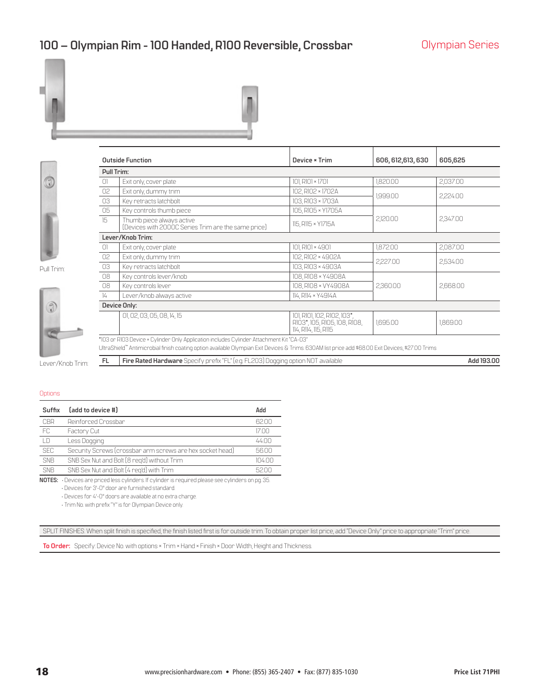### <span id="page-17-0"></span>100 – Olympian Rim - 100 Handed, R100 Reversible, Crossbar **Diges Colympian Series**





Pull Trim:

7

|               | <b>Outside Function</b>                                                                                                                            | Device × Trim                                                                       | 606, 612, 613, 630 | 605,625    |
|---------------|----------------------------------------------------------------------------------------------------------------------------------------------------|-------------------------------------------------------------------------------------|--------------------|------------|
| Pull Trim:    |                                                                                                                                                    |                                                                                     |                    |            |
| 0             | Exit only, cover plate                                                                                                                             | 101, R101 × 1701                                                                    | 1,820.00           | 2,037.00   |
| 02            | Exit only, dummy trim                                                                                                                              | 102, R102 × 1702A                                                                   |                    |            |
| 03            | Key retracts latchbolt                                                                                                                             | 103, R103 × 1703A                                                                   | 1,999.00           | 2,224.00   |
| 05            | Key controls thumb piece                                                                                                                           | 105, R105 × Y1705A                                                                  |                    |            |
| 15            | Thumb piece always active<br>(Devices with 2000C Series Trim are the same price)                                                                   | 115, R115 × Y1715A                                                                  | 2,120.00           | 2,347.00   |
|               | Lever/Knob Trim:                                                                                                                                   |                                                                                     |                    |            |
| $\bigcap$     | Exit only, cover plate                                                                                                                             | 101, R101 × 4901                                                                    | 1.872.00           | 2,087.00   |
| 02            | Exit only, dummy trim                                                                                                                              | 102, R102 × 4902A                                                                   |                    |            |
| 03            | Key retracts latchbolt                                                                                                                             | 103, R103 × 4903A                                                                   | 2,227.00           | 2,534.00   |
| 08            | Key controls lever/knob                                                                                                                            | 108, R108 × Y4908A                                                                  |                    |            |
| 08            | Key controls lever                                                                                                                                 | 108, R108 × VY4908A                                                                 | 2,360.00           | 2,668.00   |
| $\frac{1}{4}$ | Lever/knob always active                                                                                                                           | 114, R114 × Y4914A                                                                  |                    |            |
|               | Device Only:                                                                                                                                       |                                                                                     |                    |            |
|               | 01, 02, 03, 05, 08, 14, 15                                                                                                                         | 101, R101, 102, R102, 103*,<br>R103*, 105, R105, 108, R108,<br>114, R114, 115, R115 | 1,695.00           | 1,869.00   |
|               | *103 or R103 Device × Cylinder Only Application includes Cylinder Attachment Kit "CA-03"                                                           |                                                                                     |                    |            |
|               | UltraShield" Antimicrobial finish coating option available Olympian Exit Devices & Trims. 630AM list price add \$68.00 Exit Devices, \$27.00 Trims |                                                                                     |                    |            |
| FL.           | Fire Rated Hardware Specify prefix "FL" (e.g. FL203) Dogging option NOT available                                                                  |                                                                                     |                    | Add 193,00 |

Lever/Knob Trim:

#### **Options**

| Suffix | [add to device #]                                         | Add    |
|--------|-----------------------------------------------------------|--------|
| CBR    | Reinforced Crossbar                                       | 62 N N |
| FC     | Factory Cut                                               | 17 N N |
| LD     | Less Dogging                                              | 4400   |
| SFC    | Security Screws (crossbar arm screws are hex socket head) | 5600   |
| SNB    | SNB Sex Nut and Bolt [8 reg'd] without Trim               | 10400  |
| SNR    | SNB Sex Nut and Bolt [4 reg'd] with Trim                  | 52 N N |

**NOTES:** • Devices are priced less cylinders. If cylinder is required please see cylinders on pg. 35.

• Devices for 3'-0" door are furnished standard.

• Devices for 4'-0" doors are available at no extra charge.

• Trim No. with prefix "Y" is for Olympian Device only.

SPLIT FINISHES: When split finish is specified, the finish listed first is for outside trim. To obtain proper list price, add "Device Only" price to appropriate "Trim" price.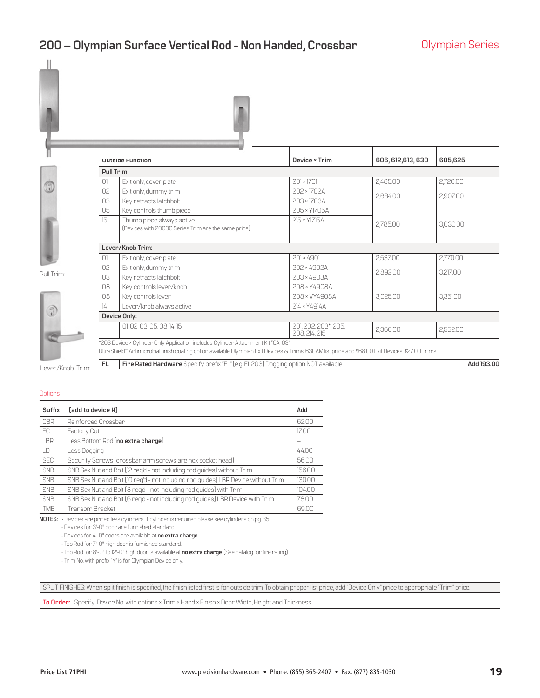### <span id="page-18-0"></span>**200 – Olympian Surface Vertical Rod - Non Handed, Crossbar Olympian Series**



|                  |                                                                                                                                                                                                                                        | Uutside Function                                                                  | Device × Trim                         | 606, 612, 613, 630 | 605,625    |  |  |
|------------------|----------------------------------------------------------------------------------------------------------------------------------------------------------------------------------------------------------------------------------------|-----------------------------------------------------------------------------------|---------------------------------------|--------------------|------------|--|--|
|                  | Pull Trim:                                                                                                                                                                                                                             |                                                                                   |                                       |                    |            |  |  |
|                  | 0                                                                                                                                                                                                                                      | Exit only, cover plate                                                            | $201 \times 1701$                     | 2,485.00           | 2,720.00   |  |  |
|                  | 02                                                                                                                                                                                                                                     | Exit only, dummy trim                                                             | 202 × 1702A                           |                    |            |  |  |
|                  | 03                                                                                                                                                                                                                                     | Key retracts latchbolt                                                            | 203 × 1703A                           | 2,664.00           | 2,907.00   |  |  |
|                  | 05                                                                                                                                                                                                                                     | Key controls thumb piece                                                          | 205 × Y1705A                          |                    |            |  |  |
|                  | 15                                                                                                                                                                                                                                     | Thumb piece always active<br>[Devices with 2000C Series Trim are the same price]  | 215 × Y1715A                          | 2,785.00           | 3,030.00   |  |  |
|                  |                                                                                                                                                                                                                                        | Lever/Knob Trim:                                                                  |                                       |                    |            |  |  |
|                  | $\Omega$                                                                                                                                                                                                                               | Exit only, cover plate                                                            | $201 \times 4901$                     | 2,537.00           | 2,770.00   |  |  |
|                  | 02                                                                                                                                                                                                                                     | Exit only, dummy trim                                                             | 202 × 4902A                           |                    |            |  |  |
| Pull Trim:       | 03                                                                                                                                                                                                                                     | Key retracts latchbolt                                                            | 203 × 4903A                           | 2,892.00           | 3,217.00   |  |  |
|                  | 08                                                                                                                                                                                                                                     | Key controls lever/knob                                                           | 208 × Y4908A                          |                    |            |  |  |
|                  | 08                                                                                                                                                                                                                                     | Key controls lever                                                                | 208 × VY4908A                         | 3,025.00           | 3,351.00   |  |  |
|                  | $\frac{1}{4}$                                                                                                                                                                                                                          | Lever/knob always active                                                          | 214 × Y4914A                          |                    |            |  |  |
|                  | Device Only:                                                                                                                                                                                                                           |                                                                                   |                                       |                    |            |  |  |
|                  |                                                                                                                                                                                                                                        | 01, 02, 03, 05, 08, 14, 15                                                        | 201, 202, 203*, 205,<br>208, 214, 215 | 2,360.00           | 2,552.00   |  |  |
|                  | *203 Device × Cylinder Only Application includes Cylinder Attachment Kit "CA-03"<br>UltraShield" Antimicrobial finish coating option available Olympian Exit Devices & Trims. 630AM list price add \$68.00 Exit Devices, \$27.00 Trims |                                                                                   |                                       |                    |            |  |  |
| Lever/Knob Trim: | <b>FL</b>                                                                                                                                                                                                                              | Fire Rated Hardware Specify prefix "FL" (e.g. FL203) Dogging option NOT available |                                       |                    | Add 193.00 |  |  |

**Options** 

| Suffix     | (add to device #)                                                                  | Add    |
|------------|------------------------------------------------------------------------------------|--------|
| CBR        | Reinforced Crossbar                                                                | 6200   |
| FC.        | Factory Cut                                                                        | 1700   |
| <b>IBR</b> | Less Bottom Rod (no extra charge)                                                  |        |
| I D        | Less Dogging                                                                       | 4400   |
| <b>SEC</b> | Security Screws (crossbar arm screws are hex socket head)                          | 5600   |
| <b>SNB</b> | SNB Sex Nut and Bolt (12 reg'd - not including rod guides) without Trim            | 15600  |
| <b>SNB</b> | SNB Sex Nut and Bolt (10 reg'd - not including rod guides) LBR Device without Trim | 130.00 |
| <b>SNB</b> | SNB Sex Nut and Bolt [8 reg'd - not including rod guides] with Trim                | 10400  |
| <b>SNB</b> | SNB Sex Nut and Bolt (6 req'd - not including rod guides) LBR Device with Trim     | 7800   |
| <b>TMR</b> | Transom Bracket                                                                    | 6900   |

**NOTES:** • Devices are priced less cylinders. If cylinder is required please see cylinders on pg. 35.

• Devices for 3'-0" door are furnished standard.

• Devices for 4'-0" doors are available at **no extra charge**.

• Top Rod for 7'-0" high door is furnished standard.

• Top Rod for 8'-0" to 12'-0" high door is available at **no extra charge**. (See catalog for fire rating).

• Trim No. with prefix "Y" is for Olympian Device only.

SPLIT FINISHES: When split finish is specified, the finish listed first is for outside trim. To obtain proper list price, add "Device Only" price to appropriate "Trim" price.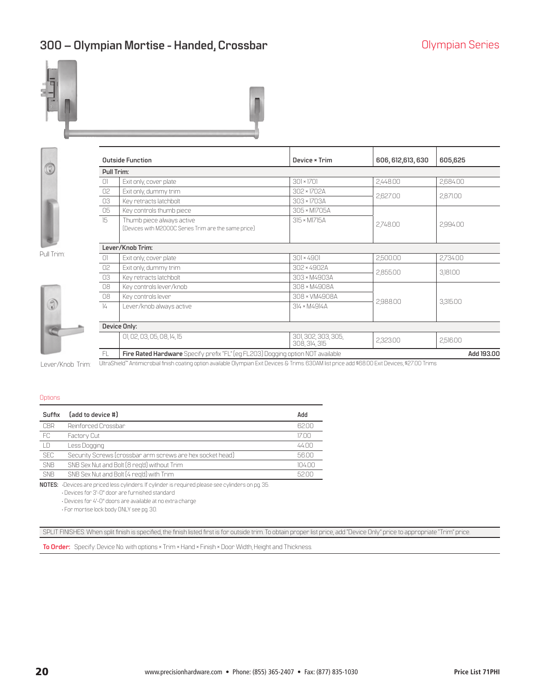### <span id="page-19-0"></span>**300 – Olympian Mortise - Handed, Crossbar Canadian Series Olympian Series**







|               | <b>Outside Function</b>                                                           | Device * Trim                        | 606, 612, 613, 630 | 605,625    |
|---------------|-----------------------------------------------------------------------------------|--------------------------------------|--------------------|------------|
| Pull Trim:    |                                                                                   |                                      |                    |            |
| $\Box$        | Exit only, cover plate                                                            | $301 \times 1701$                    | 2,448.00           | 2.684.00   |
| 02            | Exit only, dummy trim                                                             | 302 × 1702A                          | 2,627.00           |            |
| 03            | Key retracts latchbolt                                                            | 303 × 1703A                          |                    | 2,871.00   |
| 05            | Key controls thumb piece                                                          | 305 × MI705A                         |                    |            |
| 15            | Thumb piece always active<br>[Devices with M2000C Series Trim are the same price] | 315 × M1715A                         | 2,748.00           | 2,994.00   |
|               | Lever/Knob Trim:                                                                  |                                      |                    |            |
| 01            | Exit only, cover plate                                                            | $301 \times 4901$                    | 2,500.00           | 2,734.00   |
| 02            | Exit only, dummy trim                                                             | 302 × 4902A                          | 2,855.00           | 3,181.00   |
| 03            | Key retracts latchbolt                                                            | 303 × M4903A                         |                    |            |
| 08            | Key controls lever/knob                                                           | 308 × M4908A                         |                    |            |
| 08            | Key controls lever                                                                | 308 × VM4908A                        |                    |            |
| $\frac{1}{4}$ | Lever/knob always active                                                          | 314 × M4914A                         | 2,988.00           | 3,315.00   |
|               | Device Only:                                                                      |                                      |                    |            |
|               | 01, 02, 03, 05, 08, 14, 15                                                        | 301, 302, 303, 305,<br>308, 314, 315 | 2,323.00           | 2,516.00   |
| FL.           | Fire Rated Hardware Specify prefix "FL" (eg FL203) Dogging option NOT available   |                                      |                    | Add 193.00 |

Pull Trim:



Lever/Knob Trim: UltraShield™Antimicrobial finish coating option available Olympian Exit Devices & Trims. 630AM list price add \$68.00 Exit Devices, \$27.00 Trims

#### **Options**

| Suffix     | (add to device #)                                         | Add    |
|------------|-----------------------------------------------------------|--------|
| CBR        | Reinforced Crossbar                                       | 6200   |
| FC         | Factory Cut                                               | 1700   |
| LD         | Less Dogging                                              | 4400   |
| <b>SEC</b> | Security Screws (crossbar arm screws are hex socket head) | 5600   |
| <b>SNB</b> | SNB Sex Nut and Bolt [8 reg'd] without Trim               | 10400  |
| <b>SNB</b> | SNB Sex Nut and Bolt [4 reg'd] with Trim                  | 52 N N |

**NOTES:** •Devices are priced less cylinders. If cylinder is required please see cylinders on pg. 35.

• Devices for 3'-0" door are furnished standard

• Devices for 4'-0" doors are available at no extra charge

• For mortise lock body ONLY see pg. 30.

SPLIT FINISHES: When split finish is specified, the finish listed first is for outside trim. To obtain proper list price, add "Device Only" price to appropriate "Trim" price.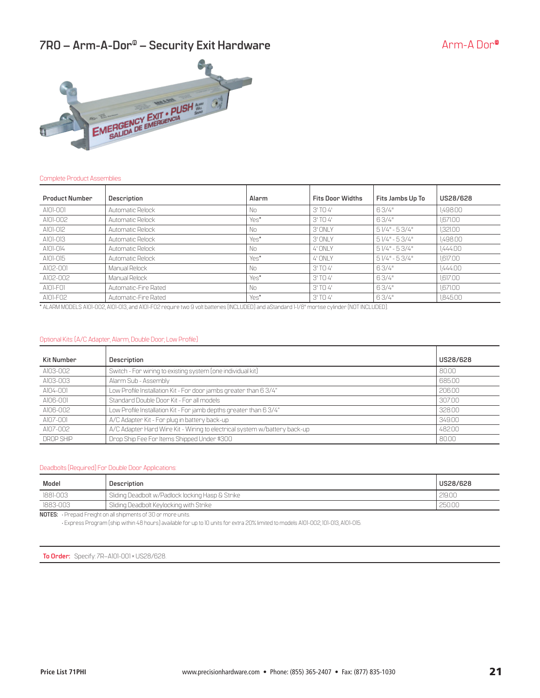### <span id="page-20-0"></span>**7R0 – Arm-A-Dor<sup>®</sup> – Security Exit Hardware** And American Arm-A Dor®



### Complete Product Assemblies

| <b>Product Number</b> | Description          | Alarm | <b>Fits Door Widths</b> | Fits Jambs Up To | US28/628 |
|-----------------------|----------------------|-------|-------------------------|------------------|----------|
| A101-001              | Automatic Relock     | No    | $3'$ TO $4'$            | 63/4"            | 1.498.00 |
| A101-002              | Automatic Relock     | Yes*  | $3'$ TO $4'$            | 63/4"            | 1.671.00 |
| A101-012              | Automatic Relock     | No    | $3'$ ONI Y              | $51/4" - 53/4"$  | 1,321.00 |
| A101-013              | Automatic Relock     | Yes*  | 3' ONLY                 | $51/4" - 53/4"$  | 1.498.00 |
| A101-014              | Automatic Relock     | No    | $4'$ ONI Y              | $51/4" - 53/4"$  | 1,444.00 |
| A101-015              | Automatic Relock     | Yes*  | 4' ONLY                 | $51/4" - 53/4"$  | 1,617.00 |
| A102-001              | Manual Relock        | No    | $3'$ TO $4'$            | 63/4"            | 1,444.00 |
| A102-002              | Manual Relock        | Yes*  | $3'$ TO $4'$            | 63/4"            | 1,617.00 |
| A101-F01              | Automatic-Fire Rated | No    | $3'$ TO $4'$            | 63/4"            | 1.671.00 |
| A101-F02              | Automatic-Fire Rated | Yes*  | $3'$ TO $4'$            | 63/4"            | 1.845.00 |

\* ALARM MODELS A101-002, A101-013, and A101-F02 require two 9 volt batteries (INCLUDED) and aStandard 1-1/8" mortise cylinder (NOT INCLUDED).

### Optional Kits: (A/C Adapter, Alarm, Double Door, Low Profile)

| <b>Kit Number</b> | Description                                                               | US28/628 |
|-------------------|---------------------------------------------------------------------------|----------|
| A103-002          | Switch - For wiring to existing system (one individual kit)               | 80.00    |
| A103-003          | Alarm Sub - Assembly                                                      | 685.00   |
| A104-001          | Low Profile Installation Kit - For door jambs greater than 6 3/4"         | 20600    |
| A106-001          | Standard Double Door Kit - For all models                                 | 307.00   |
| A106-002          | Low Profile Installation Kit - For jamb depths greater than 6 3/4"        | 328.00   |
| A107-001          | A/C Adapter Kit - For plug in battery back-up                             | 349.00   |
| A107-002          | A/C Adapter Hard Wire Kit - Wiring to electrical system w/battery back-up | 482.00   |
| DROP SHIP         | Drop Ship Fee For Items Shipped Under \$300                               | 80.00    |

#### Deadbolts (Required) For Double Door Applications:

| Model    | Description                                      | US28/628 |
|----------|--------------------------------------------------|----------|
| 1881-003 | Sliding Deadbolt w/Padlock locking Hasp & Strike | 219.00   |
| 1883-003 | Sliding Deadbolt Keylocking with Strike          | 250.00   |
|          |                                                  |          |

**NOTES:** • Prepaid Freight on all shipments of 30 or more units.

• Express Program (ship within 48 hours) available for up to 10 units for extra 20% limited to models A101-002, 101-013, A101-015.

**To Order:** Specify: 7R–A101-001 × US28/628.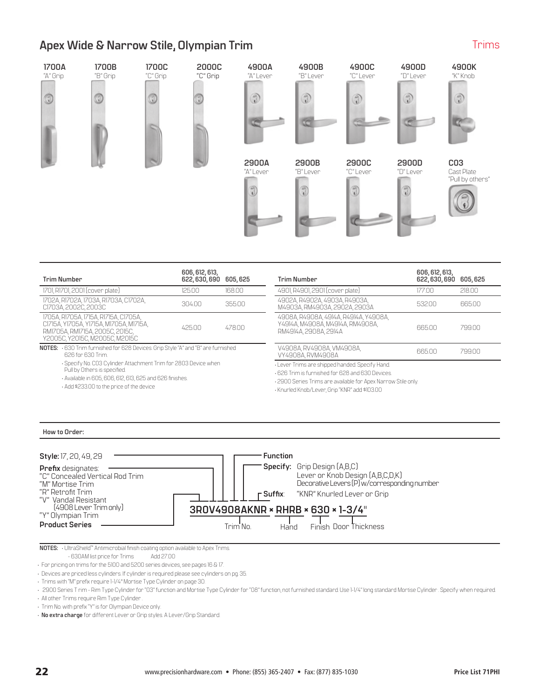### <span id="page-21-0"></span>**Apex Wide & Narrow Stile, Olympian Trim**

### **1700A 1700B 1700C 2000C 4900A 4900B 4900C 4900D 4900K** "A" Grip "B" Grip "C" Grip "C" Grip "A" Lever "B" Lever "C" Lever "D" Lever "K" Knob ۵ G 0 ۵ 3 3 3 3 Đ **2900A 2900B 2900C 2900D C03** "A" Lever "B" Lever "C" Lever "D" Lever Cast Plate "Pull by others" 1  $\overline{\mathbf{e}}$

| <b>Trim Number</b>                                                                                                                                                                                       | 606, 612, 613,<br>622, 630, 690 605, 625 |        | <b>Trim Number</b>                                                                                                                                                                                                   | 606, 612, 613,<br>622, 630, 690 605, 625 |        |
|----------------------------------------------------------------------------------------------------------------------------------------------------------------------------------------------------------|------------------------------------------|--------|----------------------------------------------------------------------------------------------------------------------------------------------------------------------------------------------------------------------|------------------------------------------|--------|
| 1701, R1701, 2001 (cover plate)                                                                                                                                                                          | 125.00                                   | 168.00 | 4901, R4901, 2901 (cover plate)                                                                                                                                                                                      | 17700                                    | 218.00 |
| 1702A, R1702A, 1703A, R1703A, C1702A,<br>CI703A, 2002C, 2003C                                                                                                                                            | 30400                                    | 35500  | 4902A, R4902A, 4903A, R4903A,<br>M4903A, RM4903A, 2902A, 2903A                                                                                                                                                       | 53200                                    | 665.00 |
| 1705A, R1705A, 1715A, R1715A, C1705A,<br>C1715A, Y1705A, Y1715A, M1705A, M1715A,<br>RMI705A, RMI715A, 2005C, 2015C,<br>Y2005C, Y2015C, M2005C, M2015C                                                    | 425.00                                   | 478.00 | 4908A R4908A 4914A R4914A Y4908A<br>Y4914A, M4908A, M4914A, RM4908A,<br>RM4914A, 2908A, 2914A                                                                                                                        | 66500                                    | 79900  |
| NOTES: G30 Trim furnished for 628 Devices. Grip Style "A" and "B" are furnished<br>626 for 630 Trim                                                                                                      |                                          |        | V4908A, RV4908A, VM4908A,<br>VY4908A, RVM4908A                                                                                                                                                                       | 665.00                                   | 79900  |
| - Specify No. CO3 Cylinder Attachment Trim for 2803 Device when<br>Pull by Others is specified.<br>. Available in 605, 606, 612, 613, 625 and 626 finishes.<br>. Add \$233.00 to the price of the device |                                          |        | · Lever Trims are shipped handed. Specify Hand.<br>.626 Trim is furnished for 628 and 630 Devices.<br>. 2900 Series Trims are available for Apex Narrow Stile only.<br>· Knurled Knob/Lever, Grip "KNR" add \$103.00 |                                          |        |

### **How to Order:**



**NOTES:** • UltraShield™ Antimicrobial finish coating option available to Apex Trims.<br>- 630AM list price for Trims 4dd 27.00

- 630AM list price for Trims

• For pricing on trims for the 5100 and 5200 series devices, see pages 16 & 17.

• Devices are priced less cylinders. If cylinder is required please see cylinders on pg. 35.

• Trims with "M" prefix require 1-1/4" Mortise Type Cylinder on page 30.

• 2900 Series T rim - Rim Type Cylinder for "03" function and Mortise Type Cylinder for "08" function, not furnished standard. Use 1-1/4" long standard Mortise Cylinder . Specify when required.

• All other Trims require Rim Type Cylinder .

• Trim No. with prefix "Y" is for Olympian Device only.

• **No extra charge** for different Lever or Grip styles. A Lever/Grip Standard.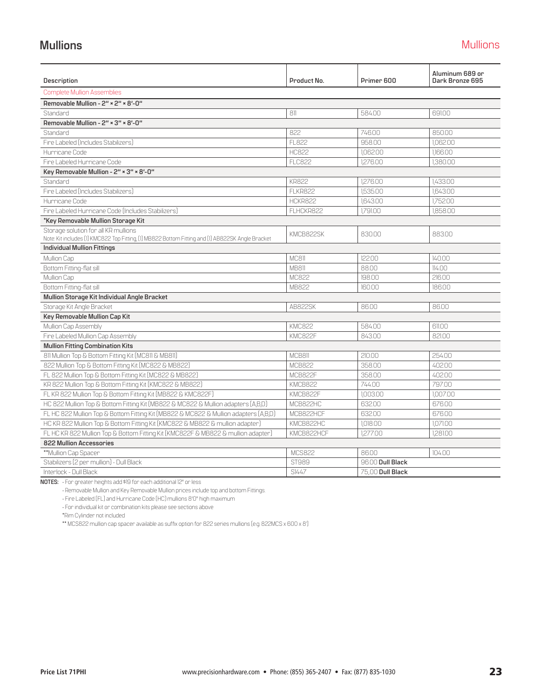### <span id="page-22-0"></span>**Mullions** Mullions

| <b>Description</b>                                                                                                                        | Product No.    | Primer 600       | Aluminum 689 or<br>Dark Bronze 695 |  |  |  |  |
|-------------------------------------------------------------------------------------------------------------------------------------------|----------------|------------------|------------------------------------|--|--|--|--|
| <b>Complete Mullion Assemblies</b>                                                                                                        |                |                  |                                    |  |  |  |  |
| Removable Mullion - 2" × 2" × 8'-0"                                                                                                       |                |                  |                                    |  |  |  |  |
| Standard                                                                                                                                  | 811            | 58400            | 69100                              |  |  |  |  |
| Removable Mullion - 2" × 3" × 8'-0"                                                                                                       |                |                  |                                    |  |  |  |  |
| Standard                                                                                                                                  | 822            | 746.00           | 850.00                             |  |  |  |  |
| Fire Labeled (Includes Stabilizers)                                                                                                       | FI 822         | 958.00           | 1.062.00                           |  |  |  |  |
| Hurricane Code                                                                                                                            | <b>HC822</b>   | 1.062.00         | 1.166.00                           |  |  |  |  |
| Fire Labeled Hurricane Code                                                                                                               | <b>FLC822</b>  | 1,276.00         | 1,380.00                           |  |  |  |  |
| Key Removable Mullion - 2" × 3" × 8'-0"                                                                                                   |                |                  |                                    |  |  |  |  |
| Standard                                                                                                                                  | <b>KR822</b>   | 1276.00          | 1,433.00                           |  |  |  |  |
| Fire Labeled (Includes Stabilizers)                                                                                                       | <b>FLKR822</b> | 1.535.00         | 1.643.00                           |  |  |  |  |
| Hurricane Code                                                                                                                            | HCKR822        | 1,643.00         | 1,752.00                           |  |  |  |  |
| Fire Labeled Hurricane Code (Includes Stabilizers)                                                                                        | FLHCKR822      | 1.791.00         | 1.858.00                           |  |  |  |  |
| *Key Removable Mullion Storage Kit                                                                                                        |                |                  |                                    |  |  |  |  |
| Storage solution for all KR mullions<br>Note: Kit includes (1) KMC822 Top Fitting, (1) MB822 Bottom Fitting and (1) AB822SK Angle Bracket | KMCB822SK      | 830.00           | 883.00                             |  |  |  |  |
| <b>Individual Mullion Fittings</b>                                                                                                        |                |                  |                                    |  |  |  |  |
| Mullion Cap                                                                                                                               | MC811          | 122.00           | 140.00                             |  |  |  |  |
| Bottom Fitting-flat sill                                                                                                                  | <b>MB811</b>   | 8800             | 11400                              |  |  |  |  |
| Mullion Cap                                                                                                                               | MC822          | 198.00           | 216.00                             |  |  |  |  |
| Bottom Fitting-flat sill                                                                                                                  | MB822          | 160.00           | 186.00                             |  |  |  |  |
| Mullion Storage Kit Individual Angle Bracket                                                                                              |                |                  |                                    |  |  |  |  |
| Storage Kit Angle Bracket                                                                                                                 | AB822SK        | 8600             | 8600                               |  |  |  |  |
| Key Removable Mullion Cap Kit                                                                                                             |                |                  |                                    |  |  |  |  |
| Mullion Cap Assembly                                                                                                                      | <b>KMC822</b>  | 584.00           | 61100                              |  |  |  |  |
| Fire Labeled Mullion Cap Assembly                                                                                                         | KMC822F        | 84300            | 82100                              |  |  |  |  |
| <b>Mullion Fitting Combination Kits</b>                                                                                                   |                |                  |                                    |  |  |  |  |
| 811 Mullion Top & Bottom Fitting Kit (MC811 & MB811)                                                                                      | MCB811         | 210.00           | 25400                              |  |  |  |  |
| 822 Mullion Top & Bottom Fitting Kit (MC822 & MB822)                                                                                      | <b>MCB822</b>  | 358.00           | 402.00                             |  |  |  |  |
| FL 822 Mullion Top & Bottom Fitting Kit (MC822 & MB822)                                                                                   | MCB822F        | 358.00           | 402.00                             |  |  |  |  |
| KR 822 Mullion Top & Bottom Fitting Kit (KMC822 & MB822)                                                                                  | KMCB822        | 744.00           | 797.00                             |  |  |  |  |
| FL KR 822 Mullion Top & Bottom Fitting Kit (MB822 & KMC822F)                                                                              | KMCB822F       | 1,003.00         | 1,007.00                           |  |  |  |  |
| HC 822 Mullion Top & Bottom Fitting Kit (MB822 & MC822 & Mullion adapters (A,B,D)                                                         | MCB822HC       | 632.00           | 676.00                             |  |  |  |  |
| FL HC 822 Mullion Top & Bottom Fitting Kit (MB822 & MC822 & Mullion adapters (A,B,D)                                                      | MCB822HCF      | 632.00           | 676.00                             |  |  |  |  |
| HC KR 822 Mullion Top & Bottom Fitting Kit (KMC822 & MB822 & mullion adapter)                                                             | KMCB822HC      | 1,018.00         | 1,071.00                           |  |  |  |  |
| FL HC KR 822 Mullion Top & Bottom Fitting Kit (KMC822F & MB822 & mullion adapter)                                                         | KMCB822HCF     | 1277.00          | 1,281.00                           |  |  |  |  |
| 822 Mullion Accessories                                                                                                                   |                |                  |                                    |  |  |  |  |
| **Mullion Cap Spacer                                                                                                                      | <b>MCS822</b>  | 8600             | 10400                              |  |  |  |  |
| Stabilizers (2 per mullion) - Dull Black                                                                                                  | <b>ST989</b>   | 96.00 Dull Black |                                    |  |  |  |  |
| Interlock - Dull Black                                                                                                                    | S1447          | 75.00 Dull Black |                                    |  |  |  |  |

**NOTES:** • For greater heights add \$19 for each additional 12" or less

• Removable Mullion and Key Removable Mullion prices include top and bottom Fittings.

• Fire Labeled (FL) and Hurricane Code (HC) mullions 8'0" high maximum

• For individual kit or combination kits please see sections above

\*Rim Cylinder not included

\*\* MCS822 mullion cap spacer available as suffix option for 822 series mullions (e.g. 822MCS x 600 x 8')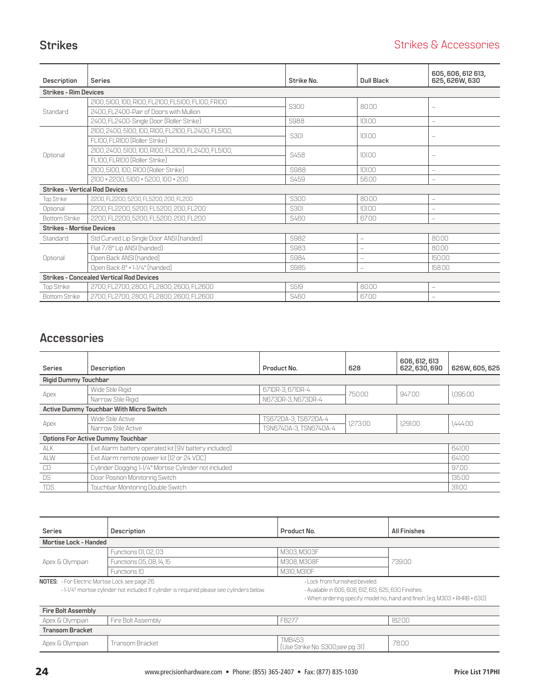### <span id="page-23-0"></span>**Strikes** Strikes **Strikes Strikes Strikes** & Accessories

| <b>Description</b>                    | <b>Series</b>                                        | Strike No.  | Dull Black               | 605, 606, 612 613,<br>625, 626W, 630 |
|---------------------------------------|------------------------------------------------------|-------------|--------------------------|--------------------------------------|
| <b>Strikes - Rim Devices</b>          |                                                      |             |                          |                                      |
|                                       | 2100, 5100, 100, R100, FL2100, FL5100, FL100, FR100  | S300        | 8000                     | $\qquad \qquad -$                    |
| Standard                              | 2400, FL2400-Pair of Doors with Mullion              |             |                          |                                      |
|                                       | 2400, FL2400-Single Door (Roller Strike)             | S988        | 101.00                   |                                      |
|                                       | 2100, 2400, 5100, 100, R100, FL2100, FL2400, FL5100, | S301        | 101.00                   | $\qquad \qquad -$                    |
|                                       | FL100, FLR100 (Roller Strike)                        |             |                          |                                      |
| Optional                              | 2100, 2400, 5100, 100, R100, FL2100, FL2400, FL5100, | S458        | 10100                    |                                      |
|                                       | FL100, FLR100 (Roller Strike)                        |             |                          |                                      |
|                                       | 2100, 5100, 100, R100 [Roller Strike]                | S988        | 101.00                   | $\qquad \qquad -$                    |
|                                       | 2100 × 2200, 5100 × 5200, 100 × 200                  | S459        | 56.00                    |                                      |
| <b>Strikes - Vertical Rod Devices</b> |                                                      |             |                          |                                      |
| Top Strike                            | 2200, FL2200, 5200, FL5200, 200, FL200               | S300        | 8000                     |                                      |
| Optional                              | 2200, FL2200, 5200, FL5200, 200, FL200               | <b>S301</b> | 101.00                   |                                      |
| <b>Bottom Strike</b>                  | 2200, FL2200, 5200, FL5200, 200, FL200               | S460        | 67.00                    |                                      |
| <b>Strikes - Mortise Devices</b>      |                                                      |             |                          |                                      |
| Standard                              | Std Curved Lip Single Door ANSI (handed)             | S982        | $\overline{\phantom{a}}$ | 8000                                 |
|                                       | Flat 7/8" Lip ANSI (handed)                          | S983        | $\overline{\phantom{m}}$ | 80.00                                |
| Optional                              | Open Back ANSI (handed)                              | S984        | $\overline{\phantom{m}}$ | 150.00                               |
|                                       | Open Back 8" × 1-1/4" (handed)                       | S985        | $\overline{\phantom{m}}$ | 158.00                               |
|                                       | <b>Strikes - Concealed Vertical Rod Devices</b>      |             |                          |                                      |
| Top Strike                            | 2700, FL2700, 2800, FL2800, 2600, FL2600             | S519        | 8000                     | $\qquad \qquad -$                    |
| <b>Bottom Strike</b>                  | 2700, FL2700, 2800, FL2800, 2600, FL2600             | S460        | 67.00                    |                                      |

# **Accessories**

| <b>Series</b>               | <b>Description</b>                                     | Product No.            | 628     | 606, 612, 613<br>622, 630, 690 | 626W, 605, 625 |  |  |
|-----------------------------|--------------------------------------------------------|------------------------|---------|--------------------------------|----------------|--|--|
| <b>Rigid Dummy Touchbar</b> |                                                        |                        |         |                                |                |  |  |
|                             | Wide Stile Rigid                                       | 671DR-3, 671DR-4       | 75000   | 94700                          |                |  |  |
| Apex                        | Narrow Stile Rigid                                     | N673DR-3, N673DR-4     |         |                                | 1.095.00       |  |  |
|                             | <b>Active Dummy Touchbar With Micro Switch</b>         |                        |         |                                |                |  |  |
|                             | Wide Stile Active                                      | TS672DA-3, TS672DA-4   | 1273.00 | 1291.00                        | 1.444.00       |  |  |
| Apex                        | Narrow Stile Active                                    | TSN674DA-3, TSN674DA-4 |         |                                |                |  |  |
|                             | <b>Options For Active Dummy Touchbar</b>               |                        |         |                                |                |  |  |
| ALK                         | Exit Alarm: battery operated kit (9V battery included) |                        |         |                                | 641.00         |  |  |
| ALW                         | Exit Alarm: remote power kit [12 or 24 VDC]            |                        |         |                                |                |  |  |
| CD                          | Cylinder Dogging: 1-1/4" Mortise Cylinder not included |                        |         |                                |                |  |  |
| <b>DS</b>                   | Door Position Monitoring Switch                        |                        |         |                                |                |  |  |
| <b>TDS</b>                  | Touchbar Monitoring Double Switch                      |                        |         |                                | 311.00         |  |  |

| <b>Series</b>                                                                                                                                       | Description              | Product No.                                                                                                                                                               | <b>All Finishes</b> |  |
|-----------------------------------------------------------------------------------------------------------------------------------------------------|--------------------------|---------------------------------------------------------------------------------------------------------------------------------------------------------------------------|---------------------|--|
| Mortise Lock - Handed                                                                                                                               |                          |                                                                                                                                                                           |                     |  |
|                                                                                                                                                     | Functions 01, 02, 03     | M303, M303F                                                                                                                                                               |                     |  |
| Apex & Olympian                                                                                                                                     | Functions 05, 08, 14, 15 | M308, M308F                                                                                                                                                               | 739.00              |  |
|                                                                                                                                                     | Functions 10             | M310, M310F                                                                                                                                                               |                     |  |
| <b>NOTES:</b> For Electric Mortise Lock see page 26.<br>· 1-1/4" mortise cylinder not included. If cylinder is required please see cylinders below. |                          | . Lock front furnished beveled.<br>· Available in 605, 606, 612, 613, 625, 630 Finishes.<br>. When ordering specify: model no., hand and finish. [e.g. M303 × RHRB × 630] |                     |  |
| <b>Fire Bolt Assembly</b>                                                                                                                           |                          |                                                                                                                                                                           |                     |  |
| Apex & Olympian                                                                                                                                     | Fire Bolt Assembly       | FB277                                                                                                                                                                     | 18200               |  |
| <b>Transom Bracket</b>                                                                                                                              |                          |                                                                                                                                                                           |                     |  |

| Apex & Olympian | Transom Bracket | <b>TMB453</b><br>(Use Strike No. S300, see pg. 31) | 78.00 |
|-----------------|-----------------|----------------------------------------------------|-------|
|                 |                 |                                                    |       |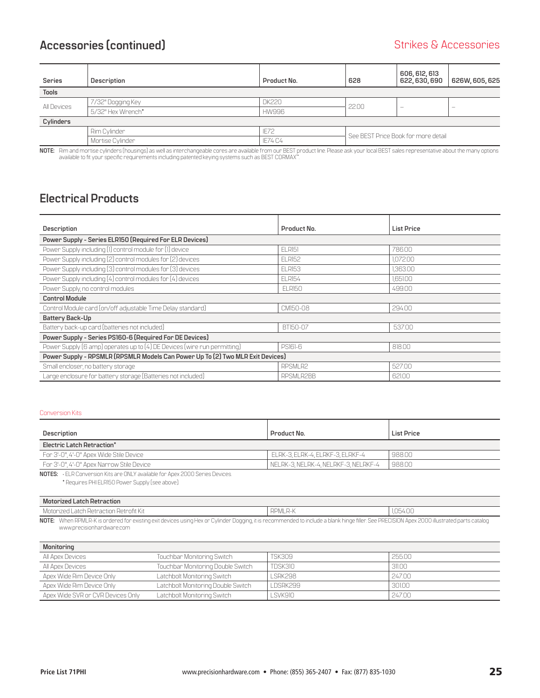### <span id="page-24-0"></span>**Accessories (continued)** and the strikes of accessories of the Strikes & Accessories

| <b>Series</b> | Description       | Product No.  | 628                                 | 606, 612, 613<br>622, 630, 690 | 626W, 605, 625 |
|---------------|-------------------|--------------|-------------------------------------|--------------------------------|----------------|
| <b>Tools</b>  |                   |              |                                     |                                |                |
| All Devices   | 7/32" Dogging Key | <b>DK220</b> | 22.00                               | $\overline{\phantom{a}}$       |                |
|               | 5/32" Hex Wrench* | <b>HW996</b> |                                     |                                |                |
| Cylinders     |                   |              |                                     |                                |                |
|               | Rim Cylinder      | <b>IE72</b>  | See BEST Price Book for more detail |                                |                |
|               | Mortise Cylinder  | IE74 C4      |                                     |                                |                |

**NOTE:** Rim and mortise cylinders (housings) as well as interchangeable cores are available from our BEST product line. Please ask your local BEST sales representative about the many options<br>available to fit your specific

### **Electrical Products**

| Description                                                                    | Product No.   | <b>List Price</b> |  |
|--------------------------------------------------------------------------------|---------------|-------------------|--|
| Power Supply - Series ELR150 (Required For ELR Devices)                        |               |                   |  |
| Power Supply including (1) control module for (1) device                       | ELRI51        | 786.00            |  |
| Power Supply including [2] control modules for [2] devices                     | <b>ELR152</b> | 1.072.00          |  |
| Power Supply including [3] control modules for [3] devices                     | <b>ELR153</b> | 1,363.00          |  |
| Power Supply including [4] control modules for [4] devices                     | <b>ELR154</b> | 1,651.00          |  |
| Power Supply, no control modules                                               | ELR150        | 499.00            |  |
| <b>Control Module</b>                                                          |               |                   |  |
| Control Module card (on/off adjustable Time Delay standard)                    | CM150-08      | 294.00            |  |
| Battery Back-Up                                                                |               |                   |  |
| Battery back-up card (batteries not included)                                  | BT150-07      | 537.00            |  |
| Power Supply - Series PS160-6 (Required For DE Devices)                        |               |                   |  |
| Power Supply (6 amp) operates up to (4) DE Devices (wire run permitting)       | PS161-6       | 818.00            |  |
| Power Supply - RPSMLR (RPSMLR Models Can Power Up To (2) Two MLR Exit Devices) |               |                   |  |
| Small encloser, no battery storage                                             | RPSMLR2       | 527.00            |  |
| Large enclosure for battery storage [Batteries not included]                   | RPSMLR2BB     | 621.00            |  |

### Conversion Kits

| Description                               | Product No.                          | <b>List Price</b> |  |
|-------------------------------------------|--------------------------------------|-------------------|--|
| Electric Latch Retraction*                |                                      |                   |  |
| For 3'-0" 4'-0" Apex Wide Stile Device    | , ELRK-3, ELRK-4, ELRKF-3, ELRKF-4   | 988.00            |  |
| For 3'-0", 4'-0" Apex Narrow Stile Device | NELRK-3, NELRK-4, NELRKF-3, NELRKF-4 | 988.00            |  |

**NOTES:** • ELR Conversion Kits are ONLY available for Apex 2000 Series Devices.

\* Requires PHI ELR150 Power Supply (see above).

| Motorized Latch Retraction                                                                                                                                                                                                                                              |                 |                         |  |
|-------------------------------------------------------------------------------------------------------------------------------------------------------------------------------------------------------------------------------------------------------------------------|-----------------|-------------------------|--|
| $\sim$ +10tp0fit $1/1$<br>: atob Unteaction L<br>uuu                                                                                                                                                                                                                    | RPML,<br>$\sim$ | <b>INE</b><br>nг<br>∪∪. |  |
| $\sim$ $\sim$ $\sim$<br><b>DDMI</b><br><b>NOTE:</b><br>.Mhon ′<br>lank hingo fillor Soo DDF<br>l Anov<br>( is ondered for evisting evit devices i ising Hey on I 'vlinder I logging it is recomme<br>uetratod narts<br>to include:<br>a hl<br>1 L L<br>・ロレルバ<br>/II レ_x |                 |                         |  |

**NOTE:** When RPMLR-K is ordered for existing exit devices using Hex or Cylinder Dogging, it is recommended to include a blank hinge filler. See PRECISION Apex 2000 www.precisionhardware.com

| Monitoring                        |                                    |               |        |
|-----------------------------------|------------------------------------|---------------|--------|
| All Apex Devices                  | Touchbar Monitoring Switch         | <b>TSK309</b> | 255.00 |
| All Apex Devices                  | Touchbar Monitoring Double Switch  | TDSK310       | 311.00 |
| Apex Wide Rim Device Only         | Latchbolt Monitoring Switch        | LSRK298       | 24700  |
| Apex Wide Rim Device Only         | Latchbolt Monitoring Double Switch | LDSRK299      | 301.00 |
| Apex Wide SVR or CVR Devices Only | Latchbolt Monitoring Switch        | LSVK910       | 247.00 |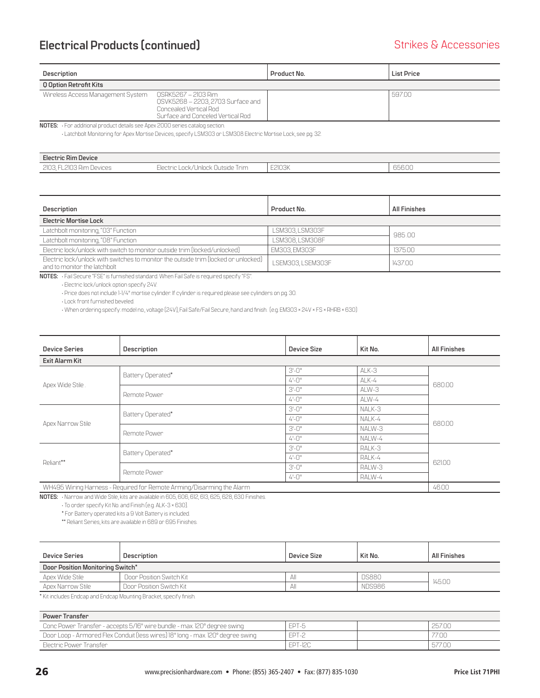### **Electrical Products (continued)** and a strikes & Accessories and Strikes & Accessories

| Description                                                                 |                                                                                                                         | Product No. | List Price |  |
|-----------------------------------------------------------------------------|-------------------------------------------------------------------------------------------------------------------------|-------------|------------|--|
| <b>Q Option Retrofit Kits</b>                                               |                                                                                                                         |             |            |  |
| Wireless Access Management System                                           | OSRK5267 – 2103 Rim<br>OSVK5268 - 2203, 2703 Surface and<br>Concealed Vertical Rod<br>Surface and Conceled Vertical Rod |             | 59700      |  |
| NOTES: For additional product details see Apex 2000 series catalog section. |                                                                                                                         |             |            |  |

• Latchbolt Monitoring for Apex Mortise Devices, specify LSM303 or LSM308 Electric Mortise Lock, see pg. 32.

| <b>Electric Rim Device</b>                           |                                                               |        |                       |
|------------------------------------------------------|---------------------------------------------------------------|--------|-----------------------|
| כחור<br>$\cap$<br>-L2IU3 Rim Devices .<br>--<br>LIUU | -lootnia<br>Irım<br>ric Lock/Unlock Uutside I<br><b>LIACH</b> | E2103K | OEO OC<br>hhh<br>uuuu |

| Description                                                                                                         | Product No.       | <b>All Finishes</b> |  |
|---------------------------------------------------------------------------------------------------------------------|-------------------|---------------------|--|
| <b>Electric Mortise Lock</b>                                                                                        |                   |                     |  |
| Latchbolt monitoring, "03" Function                                                                                 | LSM303, LSM303F   | 985.00              |  |
| Latchbolt monitoring, "08" Function                                                                                 | LSM308, LSM308F   |                     |  |
| Electric lock/unlock with switch to monitor outside trim (locked/unlocked)                                          | EM303, EM303F     | 1375.00             |  |
| Electric lock/unlock with switches to monitor the outside trim (locked or unlocked)<br>and to monitor the latchbolt | LSEM303, LSEM303F | 143700              |  |

**NOTES:** • Fail Secure "FSE" is furnished standard. When Fail Safe is required specify "FS".

• Electric lock/unlock option specify 24V.

• Price does not include 1-1/4" mortise cylinder. If cylinder is required please see cylinders on pg. 30.

• Lock front furnished beveled.

• When ordering specify: model no., voltage (24V), Fail Safe/Fail Secure, hand and finish. (e.g. EM303 × 24V × FS × RHRB × 630)

| <b>Device Series</b>                                                  | <b>Description</b> | Device Size | Kit No. | <b>All Finishes</b> |
|-----------------------------------------------------------------------|--------------------|-------------|---------|---------------------|
| Exit Alarm Kit                                                        |                    |             |         |                     |
|                                                                       | Battery Operated*  | $3'-0''$    | ALK-3   | 680.00              |
| Apex Wide Stile.                                                      |                    | $4 - 0"$    | ALK-4   |                     |
|                                                                       |                    | $3'-0''$    | ALW-3   |                     |
|                                                                       | Remote Power       | $4 - 0$ "   | ALW-4   |                     |
|                                                                       | Battery Operated*  | $3 - 0"$    | NALK-3  | 680.00              |
|                                                                       |                    | $4 - 0$ "   | NALK-4  |                     |
| Apex Narrow Stile                                                     | Remote Power       | $3'-0''$    | NALW-3  |                     |
|                                                                       |                    | $4 - 0$ "   | NALW-4  |                     |
|                                                                       | Battery Operated*  | $3'-0''$    | RALK-3  | 621.00              |
| Reliant**                                                             |                    | $4 - 0$ "   | RALK-4  |                     |
|                                                                       |                    | $3-0"$      | RALW-3  |                     |
|                                                                       | Remote Power       | $4 - 0$ "   | RALW-4  |                     |
| WH495 Wiring Harness - Required for Remote Arming/Disarming the Alarm | 46.00              |             |         |                     |

**NOTES:** • Narrow and Wide Stile, kits are available in 605, 606, 612, 613, 625, 628, 630 Finishes.

• To order specify Kit No. and Finish (e.g. ALK-3 × 630).

\* For Battery operated kits a 9 Volt Battery is included.

\*\* Reliant Series, kits are available in 689 or 695 Finishes.

| <b>Device Series</b>             | Description              | Device Size | Kit No.       | <b>All Finishes</b> |  |
|----------------------------------|--------------------------|-------------|---------------|---------------------|--|
| Door Position Monitoring Switch* |                          |             |               |                     |  |
| Apex Wide Stile                  | Door Position Switch Kit | All         | <b>DS880</b>  |                     |  |
| Apex Narrow Stile                | Door Position Switch Kit | All         | <b>NDS986</b> | 145.00              |  |

\* Kit includes Endcap and Endcap Mounting Bracket, specify finish.

| <b>Power Transfer</b>                                                           |         |  |        |  |  |  |
|---------------------------------------------------------------------------------|---------|--|--------|--|--|--|
| Conc Power Transfer - accepts 5/16" wire bundle - max. 120° degree swing        | FPT-5   |  | 257.00 |  |  |  |
| Door Loop - Armored Flex Conduit (less wires) 18" long - max. 120° degree swing | EPT-2   |  | 77.00  |  |  |  |
| Electric Power Transfer                                                         | FPT-12C |  | 577.00 |  |  |  |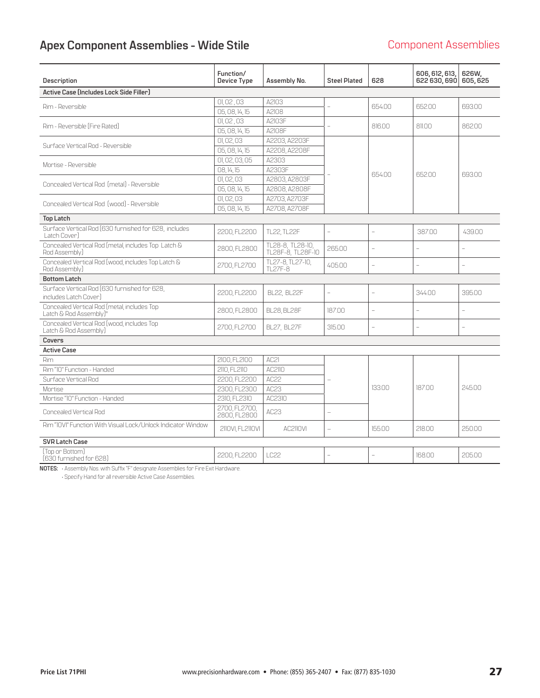# <span id="page-26-0"></span>Apex Component Assemblies - Wide Stile **Component Assemblies** Component Assemblies

| <b>Description</b>                                                                  | Function/<br>Device Type      | Assembly No.                          | <b>Steel Plated</b>      | 628                      | 606, 612, 613,<br>622 630, 690 | 626W,<br>605.625         |
|-------------------------------------------------------------------------------------|-------------------------------|---------------------------------------|--------------------------|--------------------------|--------------------------------|--------------------------|
| Active Case (Includes Lock Side Filler)                                             |                               |                                       |                          |                          |                                |                          |
| Rim - Reversible                                                                    | 01,02,03                      | A2103                                 |                          | 654.00                   | 652.00                         | 693.00                   |
|                                                                                     | 05,08,14,15                   | A2108                                 |                          |                          |                                |                          |
| Rim - Reversible [Fire Rated]                                                       | 01,02,03                      | A2103F                                |                          | 816.00                   | 811.00                         | 862.00                   |
|                                                                                     | 05,08,14,15                   | A2108F                                |                          |                          |                                |                          |
| Surface Vertical Rod - Reversible                                                   | 01,02,03                      | A2203, A2203F                         |                          |                          |                                |                          |
|                                                                                     | 05,08,14,15                   | A2208, A2208F                         |                          |                          |                                |                          |
| Mortise - Reversible                                                                | 01, 02, 03, 05                | A2303                                 |                          |                          |                                |                          |
|                                                                                     | 08, 14, 15                    | A2303F                                |                          | 654.00                   | 65200                          | 693.00                   |
| Concealed Vertical Rod [metal] - Reversible                                         | 01, 02, 03                    | A2803, A2803F                         |                          |                          |                                |                          |
|                                                                                     | 05,08,14,15                   | A2808.A2808F                          |                          |                          |                                |                          |
| Concealed Vertical Rod [wood] - Reversible                                          | 01,02,03                      | A2703, A2703F                         |                          |                          |                                |                          |
|                                                                                     | 05,08,14,15                   | A2708, A2708F                         |                          |                          |                                |                          |
| <b>Top Latch</b>                                                                    |                               |                                       |                          |                          |                                |                          |
| Surface Vertical Rod (630 furnished for 628, includes<br>Latch Cover                | 2200, FL2200                  | <b>TL22, TL22F</b>                    | $\overline{\phantom{a}}$ | $\overline{\phantom{0}}$ | 387.00                         | 439.00                   |
| Concealed Vertical Rod [metal, includes Top Latch &<br>Rod Assembly)                | 2800, FL2800                  | TL28-8, TL28-10,<br>TL28F-8, TL28F-10 | 265.00                   | $\overline{\phantom{a}}$ |                                | $\overline{\phantom{a}}$ |
| Concealed Vertical Rod (wood, includes Top Latch &<br>Rod Assembly)                 | 2700, FL2700                  | TL27-8, TL27-10,<br>TI 27F-8          | 40500                    | L                        |                                | $\overline{a}$           |
| <b>Bottom Latch</b>                                                                 |                               |                                       |                          |                          |                                |                          |
| Surface Vertical Rod [630 furnished for 628,<br>includes Latch Cover]               | 2200, FL2200                  | <b>BL22, BL22F</b>                    |                          |                          | 34400                          | 395.00                   |
| Concealed Vertical Rod (metal, includes Top<br>Latch & Rod Assembly)"               | 2800, FL2800                  | <b>BL28, BL28F</b>                    | 187.00                   | $\overline{a}$           |                                | $\overline{\phantom{a}}$ |
| Concealed Vertical Rod (wood, includes Top<br>Latch & Rod Assembly)                 | 2700, FL2700                  | <b>BL27, BL27F</b>                    | 315.00                   | $\overline{a}$           | $\overline{a}$                 | $\overline{a}$           |
| Covers                                                                              |                               |                                       |                          |                          |                                |                          |
| <b>Active Case</b>                                                                  |                               |                                       |                          |                          |                                |                          |
| Rim                                                                                 | 2100, FL2100                  | AC21                                  |                          |                          |                                |                          |
| Rim "10" Function - Handed                                                          | 2110. FL2110                  | AC2110                                |                          |                          |                                |                          |
| Surface Vertical Rod                                                                | 2200, FL2200                  | AC22                                  |                          |                          |                                |                          |
| Mortise                                                                             | 2300, FL2300                  | AC23                                  |                          | 13300                    | 18700                          | 24500                    |
| Mortise "10" Function - Handed                                                      | 2310. FL2310                  | AC2310                                |                          |                          |                                |                          |
| <b>Concealed Vertical Rod</b>                                                       | 2700, FL2700,<br>2800, FL2800 | AC23                                  |                          |                          |                                |                          |
| Rim "IOVI" Function With Visual Lock/Unlock Indicator Window                        | 2110VI, FL2110VI              | AC2110VI                              |                          | 155.00                   | 218.00                         | 250.00                   |
| <b>SVR Latch Case</b>                                                               |                               |                                       |                          |                          |                                |                          |
| (Top or Bottom)<br>[630 furnished for 628]                                          | 2200, FL2200                  | IC22                                  |                          |                          | 168.00                         | 205.00                   |
| NOTES: · Assembly Nos. with Suffix "F" designate Assemblies for Fire Exit Hardware. |                               |                                       |                          |                          |                                |                          |

• Specify Hand for all reversible Active Case Assemblies.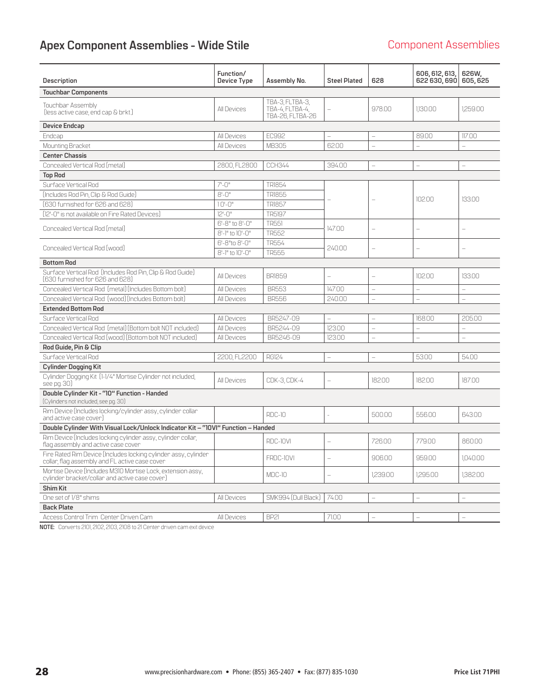# Apex Component Assemblies - Wide Stile **Component Assemblies** Component Assemblies

| <b>Description</b>                                                                                                | Function/<br>Device Type | Assembly No.                                           | <b>Steel Plated</b>      | 628                      | 606, 612, 613,<br>622 630, 690 | 626W.<br>605, 625        |
|-------------------------------------------------------------------------------------------------------------------|--------------------------|--------------------------------------------------------|--------------------------|--------------------------|--------------------------------|--------------------------|
| <b>Touchbar Components</b>                                                                                        |                          |                                                        |                          |                          |                                |                          |
| Touchbar Assembly<br>(less active case, end cap & brkt.)                                                          | All Devices              | TBA-3, FLTBA-3,<br>TBA-4, FLTBA-4,<br>TBA-26. FLTBA-26 |                          | 97800                    | 1,130.00                       | 1,259.00                 |
| <b>Device Endcap</b>                                                                                              |                          |                                                        |                          |                          |                                |                          |
| Endcap                                                                                                            | <b>All Devices</b>       | EC992                                                  |                          | L.                       | 89.00                          | 117.00                   |
| Mounting Bracket                                                                                                  | <b>All Devices</b>       | MB305                                                  | 62.00                    | $\equiv$                 | $\equiv$                       | $\overline{a}$           |
| <b>Center Chassis</b>                                                                                             |                          |                                                        |                          |                          |                                |                          |
| Concealed Vertical Rod (metal)                                                                                    | 2800, FL2800             | <b>CCH344</b>                                          | 394.00                   | $\qquad \qquad -$        | $\overline{a}$                 | $\overline{a}$           |
| <b>Top Rod</b>                                                                                                    |                          |                                                        |                          |                          |                                |                          |
| Surface Vertical Rod                                                                                              | $7 - 0$ "                | TR1854                                                 |                          |                          |                                |                          |
| (Includes Rod Pin, Clip & Rod Guide)                                                                              | $8 - 0$ "                | <b>TR1855</b>                                          |                          |                          | 102.00                         | 13300                    |
| [630 furnished for 626 and 628]                                                                                   | $10 - 0$ "               | <b>TR1857</b>                                          |                          |                          |                                |                          |
| (12'-0" is not available on Fire Rated Devices)                                                                   | $12 - 0$ "               | <b>TR5197</b>                                          |                          |                          |                                |                          |
| Concealed Vertical Rod (metal)                                                                                    | 6'-8" to 8'-0"           | <b>TR551</b>                                           | 147.00                   | $\frac{1}{2}$            | L,                             | $\overline{\phantom{a}}$ |
|                                                                                                                   | 8'-1" to 10'-0"          | <b>TR552</b>                                           |                          |                          |                                |                          |
| Concealed Vertical Rod (wood)                                                                                     | 6'-8"to 8'-0"            | TR554                                                  | 240.00                   |                          |                                |                          |
|                                                                                                                   | 8'-1" to 10'-0"          | <b>TR555</b>                                           |                          |                          |                                |                          |
| <b>Bottom Rod</b>                                                                                                 |                          |                                                        |                          |                          |                                |                          |
| Surface Vertical Rod (Includes Rod Pin, Clip & Rod Guide)<br>[630 furnished for 626 and 628]                      | All Devices              | <b>BR1859</b>                                          |                          | $\overline{a}$           | 10200                          | 13300                    |
| Concealed Vertical Rod [metal] [Includes Bottom bolt]                                                             | <b>All Devices</b>       | <b>BR553</b>                                           | 147.00                   | $\overline{a}$           | L.                             | $\overline{a}$           |
| Concealed Vertical Rod (wood) (Includes Bottom bolt)                                                              | <b>All Devices</b>       | <b>BR556</b>                                           | 240.00                   | $\overline{\phantom{0}}$ |                                |                          |
| <b>Extended Bottom Rod</b>                                                                                        |                          |                                                        |                          |                          |                                |                          |
| Surface Vertical Rod                                                                                              | All Devices              | BR5247-09                                              | $\overline{a}$           | $\overline{a}$           | 168.00                         | 205.00                   |
| Concealed Vertical Rod [metal] [Bottom bolt NOT included]                                                         | <b>All Devices</b>       | BR5244-09                                              | 12300                    | $\overline{\phantom{0}}$ |                                | $\overline{\phantom{0}}$ |
| Concealed Vertical Rod (wood) (Bottom bolt NOT included)                                                          | <b>All Devices</b>       | BR5246-09                                              | 123.00                   | $\overline{\phantom{0}}$ | L                              | $\overline{a}$           |
| Rod Guide, Pin & Clip                                                                                             |                          |                                                        |                          |                          |                                |                          |
| Surface Vertical Rod                                                                                              | 2200, FL2200             | <b>RG124</b>                                           | $\overline{\phantom{0}}$ | $\overline{\phantom{0}}$ | 53.00                          | 54.00                    |
| <b>Cylinder Dogging Kit</b>                                                                                       |                          |                                                        |                          |                          |                                |                          |
| Cylinder Dogging Kit (1-1/4" Mortise Cylinder not included.<br>see pg. 30)                                        | All Devices              | CDK-3, CDK-4                                           |                          | 182.00                   | 182.00                         | 18700                    |
| Double Cylinder Kit - "10" Function - Handed<br>(Cylinders not included, see pg. 30)                              |                          |                                                        |                          |                          |                                |                          |
| Rim Device (Includes locking/cylinder assy., cylinder collar<br>and active case cover)                            |                          | <b>RDC-10</b>                                          |                          | 500.00                   | 556.00                         | 643.00                   |
| Double Cylinder With Visual Lock/Unlock Indicator Kit - "10VI" Function - Handed                                  |                          |                                                        |                          |                          |                                |                          |
| Rim Device (Includes locking cylinder assy, cylinder collar,<br>flag assembly and active case cover               |                          | RDC-10VI                                               |                          | 726.00                   | 779.00                         | 860.00                   |
| Fire Rated Rim Device (Includes locking cylinder assy, cylinder<br>collar, flag assembly and FL active case cover |                          | FRDC-10VI                                              |                          | 906.00                   | 959.00                         | 1.040.00                 |
| Mortise Device (Includes M310 Mortise Lock, extension assy.,<br>cylinder bracket/collar and active case cover]    |                          | MDC-10                                                 |                          | 1,239.00                 | 1.295.00                       | 1.382.00                 |
| <b>Shim Kit</b>                                                                                                   |                          |                                                        |                          |                          |                                |                          |
| One set of 1/8" shims                                                                                             | <b>All Devices</b>       | SMK994 (Dull Black)                                    | 74.00                    | L                        |                                |                          |
| <b>Back Plate</b>                                                                                                 |                          |                                                        |                          |                          |                                |                          |
| Access Control Trim Center Driven Cam                                                                             | All Devices              | BP21                                                   | 71.00                    | $\overline{a}$           | $\equiv$                       | $\equiv$                 |

**NOTE:** Converts 2101, 2102, 2103, 2108 to 21 Center driven cam exit device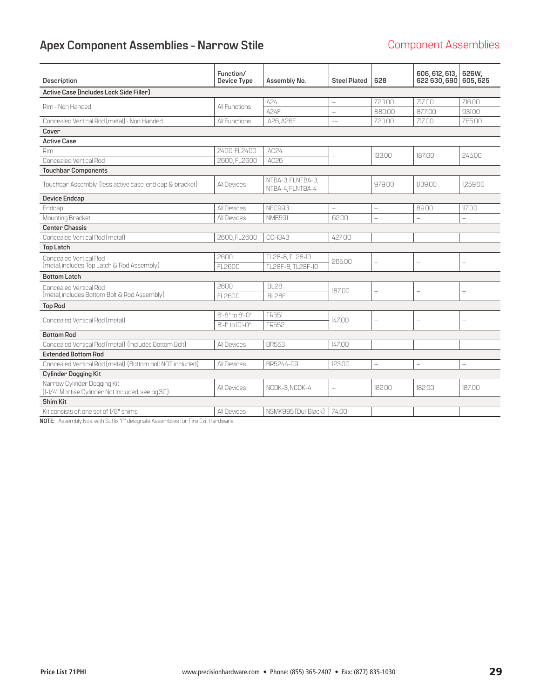# <span id="page-28-0"></span>Apex Component Assemblies - Narrow Stile **Component Assemblies**

| Description                                                                                                                             | Function/<br>Device Type | Assembly No.                          | <b>Steel Plated</b>      | 628                      | 606, 612, 613,<br>622 630, 690 | 626W,<br>605, 625        |
|-----------------------------------------------------------------------------------------------------------------------------------------|--------------------------|---------------------------------------|--------------------------|--------------------------|--------------------------------|--------------------------|
| Active Case (Includes Lock Side Filler)                                                                                                 |                          |                                       |                          |                          |                                |                          |
| Rim - Non Handed                                                                                                                        | All Functions            | A24                                   |                          | 720.00                   | 717.00                         | 716.00                   |
|                                                                                                                                         |                          | A24F                                  | $\qquad \qquad -$        | 880.00                   | 877.00                         | 931.00                   |
| Concealed Vertical Rod [metal] - Non Handed                                                                                             | All Functions            | A26, A26F                             | $-$                      | 720.00                   | 717.00                         | 765.00                   |
| Cover                                                                                                                                   |                          |                                       |                          |                          |                                |                          |
| <b>Active Case</b>                                                                                                                      |                          |                                       |                          |                          |                                |                          |
| Rim                                                                                                                                     | 2400, FL2400             | AC24                                  |                          | 133.00                   | 187.00                         | 245.00                   |
| Concealed Vertical Rod                                                                                                                  | 2600, FL2600             | AC26                                  |                          |                          |                                |                          |
| <b>Touchbar Components</b>                                                                                                              |                          |                                       |                          |                          |                                |                          |
| Touchbar Assembly (less active case, end cap & bracket)                                                                                 | All Devices              | NTBA-3, FLNTBA-3,<br>NTBA-4, FLNTBA-4 | L.                       | 979.00                   | 1.139.00                       | 1,259.00                 |
| <b>Device Endcap</b>                                                                                                                    |                          |                                       |                          |                          |                                |                          |
| Endcap                                                                                                                                  | <b>All Devices</b>       | NEC993                                |                          | $\overline{\phantom{0}}$ | 89.00                          | 117.00                   |
| Mounting Bracket                                                                                                                        | All Devices              | <b>NMB591</b>                         | 62.00                    | $\overline{\phantom{0}}$ |                                | $\overline{\phantom{0}}$ |
| <b>Center Chassis</b>                                                                                                                   |                          |                                       |                          |                          |                                |                          |
| Concealed Vertical Rod [metal]                                                                                                          | 2600, FL2600             | <b>CCH343</b>                         | 427.00                   |                          | $\qquad \qquad -$              |                          |
| <b>Top Latch</b>                                                                                                                        |                          |                                       |                          |                          |                                |                          |
| <b>Concealed Vertical Rod</b>                                                                                                           | 2600                     | TL28-8, TL28-10                       | 265.00                   | $\overline{\phantom{0}}$ | $\overline{\phantom{a}}$       | $\overline{\phantom{m}}$ |
| [metal, includes Top Latch & Rod Assembly]                                                                                              | FL2600                   | TL28F-8. TL28F-10                     |                          |                          |                                |                          |
| <b>Bottom Latch</b>                                                                                                                     |                          |                                       |                          |                          |                                |                          |
| Concealed Vertical Rod                                                                                                                  | 2600                     | <b>BL28</b>                           | 18700                    | $\overline{\phantom{0}}$ |                                | $\qquad \qquad -$        |
| [metal, includes Bottom Bolt & Rod Assembly]                                                                                            | FL2600                   | BL28F                                 |                          |                          |                                |                          |
| <b>Top Rod</b>                                                                                                                          |                          |                                       |                          |                          |                                |                          |
| Concealed Vertical Rod [metal]                                                                                                          | 6'-8" to 8'-0"           | <b>TR551</b>                          | 147.00                   | $\overline{\phantom{0}}$ | ÷                              | $\equiv$                 |
|                                                                                                                                         | 8'-1" to 10'-0"          | TR552                                 |                          |                          |                                |                          |
| <b>Bottom Rod</b>                                                                                                                       |                          |                                       |                          |                          |                                |                          |
| Concealed Vertical Rod [metal] [Includes Bottom Bolt]                                                                                   | <b>All Devices</b>       | <b>BR553</b>                          | 14700                    | $\overline{\phantom{0}}$ | L,                             |                          |
| <b>Extended Bottom Rod</b>                                                                                                              |                          |                                       |                          |                          |                                |                          |
| Concealed Vertical Rod (metal) (Bottom bolt NOT included)                                                                               | All Devices              | BR5244-09                             | 123.00                   | $\overline{\phantom{0}}$ | ÷                              | ÷                        |
| <b>Cylinder Dogging Kit</b>                                                                                                             |                          |                                       |                          |                          |                                |                          |
| Narrow Cylinder Dogging Kit                                                                                                             | All Devices              | NCDK-3, NCDK-4                        | $\overline{\phantom{0}}$ | 182.00                   | 182.00                         | 187.00                   |
| [1-1/4" Mortise Cylinder Not Included, see pg.30]                                                                                       |                          |                                       |                          |                          |                                |                          |
| Shim Kit                                                                                                                                |                          |                                       |                          |                          |                                |                          |
| Kit consists of: one set of 1/8" shims<br>MOTE. Appropriately March 1966, C. (66), "F" deployment a Appropriately from Fine Field Lands | <b>All Devices</b>       | NSMK995 (Dull Black)                  | 7400                     | $\overline{\phantom{0}}$ | L,                             | $\overline{\phantom{0}}$ |

**NOTE:** Assembly Nos. with Suffix "F" designate Assemblies for Fire Exit Hardware.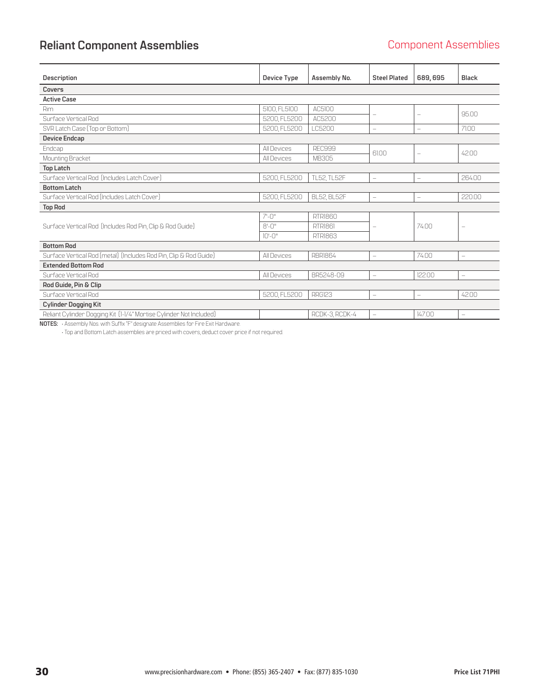# <span id="page-29-0"></span>**Reliant Component Assemblies Component Assemblies**

| <b>Description</b>                                                  | Device Type        | Assembly No.       | <b>Steel Plated</b>      | 689,695                  | Black                    |
|---------------------------------------------------------------------|--------------------|--------------------|--------------------------|--------------------------|--------------------------|
| Covers                                                              |                    |                    |                          |                          |                          |
| <b>Active Case</b>                                                  |                    |                    |                          |                          |                          |
| Rim                                                                 | 5100, FL5100       | AC5100             |                          | ÷                        | 95.00                    |
| Surface Vertical Rod                                                | 5200, FL5200       | AC5200             |                          |                          |                          |
| SVR Latch Case (Top or Bottom)                                      | 5200, FL5200       | LC5200             | $\qquad \qquad -$        | $\overline{\phantom{0}}$ | 7100                     |
| <b>Device Endcap</b>                                                |                    |                    |                          |                          |                          |
| Endcap                                                              | All Devices        | REC999             | 6100                     | $\qquad \qquad -$        | 4200                     |
| Mounting Bracket                                                    | All Devices        | <b>MB305</b>       |                          |                          |                          |
| <b>Top Latch</b>                                                    |                    |                    |                          |                          |                          |
| Surface Vertical Rod [Includes Latch Cover]                         | 5200, FL5200       | <b>TL52, TL52F</b> | $\qquad \qquad -$        | $\overline{\phantom{0}}$ | 264.00                   |
| <b>Bottom Latch</b>                                                 |                    |                    |                          |                          |                          |
| Surface Vertical Rod [Includes Latch Cover]                         | 5200, FL5200       | <b>BL52, BL52F</b> |                          | $\overline{\phantom{0}}$ | 220.00                   |
| <b>Top Rod</b>                                                      |                    |                    |                          |                          |                          |
|                                                                     | $7 - 0$ "          | RTRI860            |                          |                          |                          |
| Surface Vertical Rod (Includes Rod Pin, Clip & Rod Guide)           | $8 - 0$ "          | RTRI861            |                          | 74.00                    |                          |
|                                                                     | $10 - 0$ "         | <b>RTR1863</b>     |                          |                          |                          |
| <b>Bottom Rod</b>                                                   |                    |                    |                          |                          |                          |
| Surface Vertical Rod (metal) (Includes Rod Pin, Clip & Rod Guide)   | <b>All Devices</b> | <b>RBR1864</b>     | $\qquad \qquad -$        | 7400                     | $\overline{\phantom{0}}$ |
| <b>Extended Bottom Rod</b>                                          |                    |                    |                          |                          |                          |
| Surface Vertical Rod                                                | All Devices        | BR5248-09          | $\equiv$                 | 122.00                   | $\overline{\phantom{0}}$ |
| Rod Guide, Pin & Clip                                               |                    |                    |                          |                          |                          |
| Sunface Ventical Rod                                                | 5200, FL5200       | RRG123             | $\qquad \qquad -$        | $\overline{\phantom{0}}$ | 42.00                    |
| <b>Cylinder Dogging Kit</b>                                         |                    |                    |                          |                          |                          |
| Reliant Cylinder Dogging Kit (1-1/4" Mortise Cylinder Not Included) |                    | RCDK-3, RCDK-4     | $\overline{\phantom{0}}$ | 147.00                   | $-$                      |

**NOTES:** • Assembly Nos. with Suffix "F" designate Assemblies for Fire Exit Hardware.

• Top and Bottom Latch assemblies are priced with covers, deduct cover price if not required.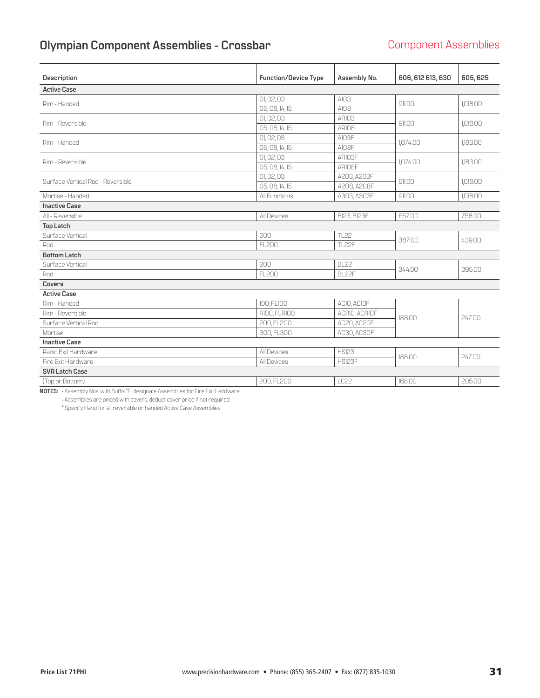# <span id="page-30-0"></span>**Olympian Component Assemblies - Crossbar** Component Assemblies

| Description                       | <b>Function/Device Type</b> | Assembly No.       | 606, 612 613, 630 | 605, 625 |
|-----------------------------------|-----------------------------|--------------------|-------------------|----------|
|                                   |                             |                    |                   |          |
| <b>Active Case</b>                |                             |                    |                   |          |
| Rim - Handed                      | 01, 02, 03                  | A103               | 911.00            | 1,018.00 |
|                                   | 05, 08, 14, 15              | A108               |                   |          |
| Rim - Reversible                  | 01,02,03                    | <b>AR103</b>       | 911.00            | 1.018.00 |
|                                   | 05, 08, 14, 15              | ARIO <sub>8</sub>  |                   |          |
| Rim - Handed                      | 01,02,03                    | AI03F              | 1,074.00          | 1,183.00 |
|                                   | 05, 08, 14, 15              | A108F              |                   |          |
| Rim - Reversible                  | 01,02,03                    | ARIO3F             | 1.074.00          | 1,183.00 |
|                                   | 05, 08, 14, 15              | ARIO8F             |                   |          |
| Surface Vertical Rod - Reversible | 01,02,03                    | A203, A203F        | 911.00            | 1,018.00 |
|                                   | 05, 08, 14, 15              | A208, A208F        |                   |          |
| Mortise - Handed                  | All Functions               | A303, A303F        | 911.00            | 1.018.00 |
| <b>Inactive Case</b>              |                             |                    |                   |          |
| All - Reversible                  | All Devices                 | <b>B123, B123F</b> | 657.00            | 758.00   |
| <b>Top Latch</b>                  |                             |                    |                   |          |
| Surface Vertical                  | 200                         | <b>TL22</b>        | 387.00            | 439.00   |
| Rod                               | <b>FL200</b>                | <b>TL22F</b>       |                   |          |
| <b>Bottom Latch</b>               |                             |                    |                   |          |
| Surface Vertical                  | 200                         | <b>BL22</b>        | 344.00            | 395.00   |
| Rod                               | FL 200                      | <b>BI 22F</b>      |                   |          |
| Covers                            |                             |                    |                   |          |
| <b>Active Case</b>                |                             |                    |                   |          |
| Rim - Handed                      | 100, FL100                  | ACIO, ACIOF        |                   |          |
| Rim - Reversible                  | R100, FLR100                | ACRIO, ACRIOF      | 188.00            |          |
| Surface Vertical Rod              | 200.FL200                   | AC20, AC20F        |                   | 247.00   |
| Mortise                           | 300, FL300                  | AC30, AC30F        |                   |          |
| <b>Inactive Case</b>              |                             |                    |                   |          |
| Panic Exit Hardware               | All Devices                 | <b>HS123</b>       | 188.00            | 247.00   |
| Fire Exit Hardware                | All Devices                 | HS123F             |                   |          |
| <b>SVR Latch Case</b>             |                             |                    |                   |          |
| [Top or Bottom]                   | 200, FL200                  | LC22               | 168.00            | 205.00   |

**NOTES:** • Assembly Nos. with Suffix "F" designate Assemblies for Fire Exit Hardware. • Assemblies are priced with covers, deduct cover price if not required.

\* Specify Hand for all reversible or handed Active Case Assemblies.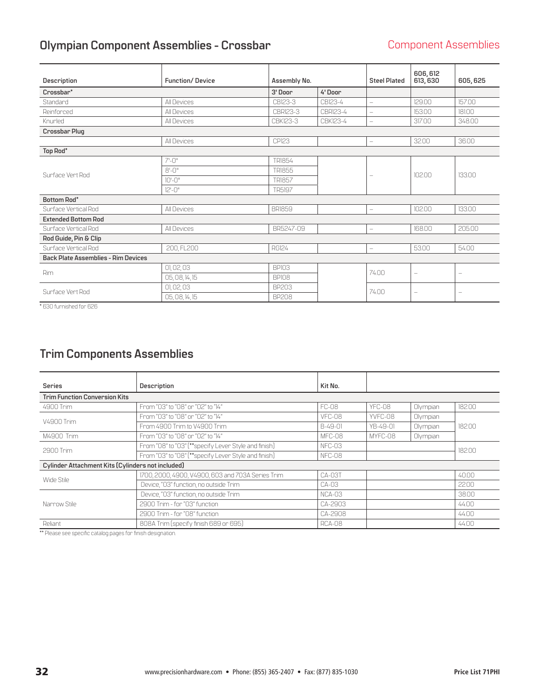# <span id="page-31-0"></span>**Olympian Component Assemblies - Crossbar** Component Assemblies

| Description                                | <b>Function/Device</b> | Assembly No.  |          | <b>Steel Plated</b>      | 606, 612<br>613, 630     | 605, 625                          |
|--------------------------------------------|------------------------|---------------|----------|--------------------------|--------------------------|-----------------------------------|
| Crossbar*                                  |                        | 3' Door       | 4'Door   |                          |                          |                                   |
| Standard                                   | All Devices            | CB123-3       | CB123-4  | $\overline{\phantom{0}}$ | 129.00                   | 157.00                            |
| Reinforced                                 | All Devices            | CBR123-3      | CBR123-4 | $\overline{\phantom{0}}$ | 153.00                   | 181.00                            |
| Knurled                                    | All Devices            | CBK123-3      | CBK123-4 | $\overline{\phantom{0}}$ | 317.00                   | 348.00                            |
| <b>Crossbar Plug</b>                       |                        |               |          |                          |                          |                                   |
|                                            | All Devices            | <b>CP123</b>  |          | $\overline{\phantom{0}}$ | 32.00                    | 36.00                             |
| Top Rod*                                   |                        |               |          |                          |                          |                                   |
|                                            | $7 - 0$ "              | TR1854        |          | $\qquad \qquad -$        |                          | 13300                             |
| Surface Vert Rod                           | $8 - 0$ "              | <b>TR1855</b> |          |                          | 10200                    |                                   |
|                                            | $10 - 0$ "             | <b>TR1857</b> |          |                          |                          |                                   |
|                                            | $12 - 0$ "             | <b>TR5197</b> |          |                          |                          |                                   |
| <b>Bottom Rod*</b>                         |                        |               |          |                          |                          |                                   |
| Surface Vertical Rod                       | All Devices            | <b>BRI859</b> |          | $\overline{\phantom{0}}$ | 102.00                   | 133.00                            |
| <b>Extended Bottom Rod</b>                 |                        |               |          |                          |                          |                                   |
| Surface Vertical Rod                       | All Devices            | BR5247-09     |          | $\overline{\phantom{0}}$ | 168.00                   | 205.00                            |
| Rod Guide, Pin & Clip                      |                        |               |          |                          |                          |                                   |
| Surface Vertical Rod                       | 200, FL200             | <b>RG124</b>  |          | $\overline{\phantom{0}}$ | 5300                     | 54.00                             |
| <b>Back Plate Assemblies - Rim Devices</b> |                        |               |          |                          |                          |                                   |
| Rim                                        | 01,02,03               | <b>BPI03</b>  |          | 7400                     |                          |                                   |
|                                            | 05, 08, 14, 15         | <b>BPI08</b>  |          |                          |                          | $\hspace{1.0cm} - \hspace{1.0cm}$ |
| Surface Vert Rod                           | 01,02,03               | <b>BP203</b>  |          | 7400                     |                          |                                   |
|                                            | 05, 08, 14, 15         | <b>BP208</b>  |          |                          | $\overline{\phantom{0}}$ | $\overline{\phantom{m}}$          |

\* 630 furnished for 626

# **Trim Components Assemblies**

| <b>Series</b>                                     | Description                                          | Kit No.      |          |          |        |  |  |
|---------------------------------------------------|------------------------------------------------------|--------------|----------|----------|--------|--|--|
| <b>Trim Function Conversion Kits</b>              |                                                      |              |          |          |        |  |  |
| 4900 Trim                                         | From "03" to "08" or "02" to "14"                    | <b>FC-08</b> | YFC-08   | Olympian | 18200  |  |  |
| V4900 Trim                                        | From "03" to "08" or "02" to "14"                    | VFC-08       | YVEC-08  | Olympian |        |  |  |
|                                                   | From 4900 Trim to V4900 Trim                         | B-49-01      | YB-49-01 | Olympian | 182.00 |  |  |
| M4900 Trim                                        | From "03" to "08" or "02" to "14"                    | MFC-08       | MYFC-08  | Olympian |        |  |  |
| 2900 Trim                                         | From "08" to "03" [**specify Lever Style and finish] | NFC-03       |          | 182.00   |        |  |  |
|                                                   | From "03" to "08" [**specify Lever Style and finish] | NFC-08       |          |          |        |  |  |
| Cylinder Attachment Kits (Cylinders not included) |                                                      |              |          |          |        |  |  |
| Wide Stile                                        | 1700, 2000, 4900, V4900, 603 and 703A Series Trim    | $CA-03T$     |          |          | 4000   |  |  |
|                                                   | Device, "03" function, no outside Trim               | $CA-03$      |          |          | 22.00  |  |  |
|                                                   | Device, "03" function, no outside Trim               | $NCA-03$     |          |          | 38.00  |  |  |
| Narrow Stile                                      | 2900 Trim - for "03" function                        | CA-2903      |          |          | 44.00  |  |  |
|                                                   | 2900 Trim - for "08" function                        | CA-2908      |          |          | 44.00  |  |  |
| Reliant                                           | 808A Trim (specify finish 689 or 695)                | RCA-08       |          |          | 44.00  |  |  |

\*\* Please see specific catalog pages for finish designation.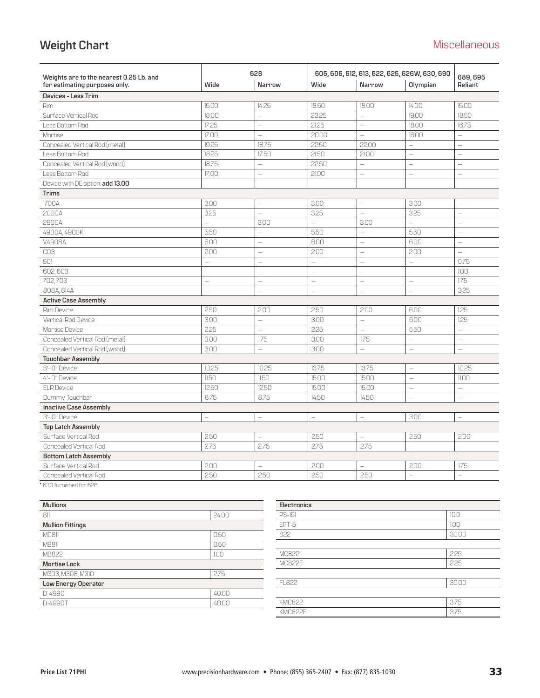# <span id="page-32-0"></span>**Weight Chart** Miscellaneous

|                                                                          |                          | 628                      |                          | 605, 606, 612, 613, 622, 625, 626W, 630, 690 |                          |                          |
|--------------------------------------------------------------------------|--------------------------|--------------------------|--------------------------|----------------------------------------------|--------------------------|--------------------------|
| Weights are to the nearest 0.25 Lb. and<br>for estimating purposes only. | Wide                     | Narrow                   | Wide                     | <b>Narrow</b>                                | Olympian                 | 689,695<br>Reliant       |
| Devices - Less Trim                                                      |                          |                          |                          |                                              |                          |                          |
| <b>Rim</b>                                                               | 15.00                    | 14.25                    | 18.50                    | 18.00                                        | 14.00                    | 15.00                    |
| Surface Vertical Rod                                                     | 18.00                    | $\overline{\phantom{a}}$ | 23.25                    | $\overline{\phantom{0}}$                     | 19.00                    | 18.50                    |
| Less Bottom Rod                                                          | 17.25                    | $\overline{\phantom{a}}$ | 21.25                    | $\qquad \qquad -$                            | 18.00                    | 16.75                    |
| Mortise                                                                  | 17.00                    | $\overline{\phantom{0}}$ | 20.00                    | $\overline{\phantom{0}}$                     | 16.00                    | $\equiv$                 |
| Concealed Vertical Rod (metal)                                           | 19.25                    | 18.75                    | 22.50                    | 22.00                                        | $\equiv$                 | ÷,                       |
| Less Bottom Rod                                                          | 18.25                    | 17.50                    | 21.50                    | 21.00                                        | $\overline{\phantom{0}}$ | $\overline{\phantom{0}}$ |
| Concealed Vertical Rod (wood)                                            | 18.75                    | $\overline{\phantom{0}}$ | 22.50                    | $\qquad \qquad -$                            | $\overline{\phantom{0}}$ | $\overline{\phantom{0}}$ |
| Less Bottom Rod                                                          | 17.00                    | $\overline{\phantom{m}}$ | 21.00                    | $\qquad \qquad -$                            | $\qquad \qquad -$        | $\overline{\phantom{0}}$ |
| Device with DE option: add 13.00                                         |                          |                          |                          |                                              |                          |                          |
| <b>Trims</b>                                                             |                          |                          |                          |                                              |                          |                          |
| 1700A                                                                    | 3.00                     | $\overline{\phantom{0}}$ | 3.00                     | $\overline{\phantom{0}}$                     | 3.00                     | $\overline{\phantom{0}}$ |
| 2000A                                                                    | 3.25                     | $\equiv$                 | 3.25                     | $\overline{\phantom{0}}$                     | 3.25                     | $\equiv$                 |
| 2900A                                                                    | $\equiv$                 | 3.00                     | $\equiv$                 | 3.00                                         | $\equiv$                 | $\overline{\phantom{0}}$ |
| 4900A, 4900K                                                             | 5.50                     | $\frac{1}{2}$            | 5.50                     | $\equiv$                                     | 5.50                     | $\overline{a}$           |
| V4908A                                                                   | 6.00                     | $\equiv$                 | 6.00                     | $\equiv$                                     | 6.00                     | $\equiv$                 |
| CO <sub>3</sub>                                                          | 2.00                     | $\equiv$                 | 200                      | $\qquad \qquad -$                            | 200                      | $\equiv$                 |
| 501                                                                      | $\overline{\phantom{0}}$ | $\equiv$                 | $\equiv$                 | $\overline{\phantom{0}}$                     | $\overline{\phantom{0}}$ | 0.75                     |
| 602,603                                                                  | $\equiv$                 | $\overline{\phantom{0}}$ | $\overline{\phantom{0}}$ | $\overline{\phantom{0}}$                     | $\equiv$                 | 1.00                     |
| 702,703                                                                  | $\equiv$                 | $\equiv$                 | $\overline{\phantom{0}}$ | $\overline{\phantom{0}}$                     | $\equiv$                 | 175                      |
| 808A, 814A                                                               | $\equiv$                 | $\equiv$                 | $\overline{\phantom{0}}$ | $\equiv$                                     | $\equiv$                 | 3.25                     |
| <b>Active Case Assembly</b>                                              |                          |                          |                          |                                              |                          |                          |
| Rim Device                                                               | 2.50                     | 2.00                     | 250                      | 2.00                                         | 6.00                     | 1.25                     |
| Vertical Rod Device                                                      | 3.00                     | $\equiv$                 | 3.00                     | $\qquad \qquad -$                            | 6.00                     | 1.25                     |
| Mortise Device                                                           | 2.25                     | $\overline{\phantom{0}}$ | 2.25                     | $\overline{\phantom{0}}$                     | 5.50                     | $\overline{\phantom{0}}$ |
| Concealed Vertical Rod [metal]                                           | 3.00                     | 175                      | 3.00                     | 1.75                                         | $\qquad \qquad -$        |                          |
| Concealed Vertical Rod (wood).                                           | 3.00                     | $\equiv$                 | 3.00                     | $\equiv$                                     | $\overline{\phantom{0}}$ | $\equiv$                 |
| <b>Touchbar Assembly</b>                                                 |                          |                          |                          |                                              |                          |                          |
| 3'- 0" Device                                                            | 10.25                    | 10.25                    | 13.75                    | 13.75                                        | $\equiv$                 | 10.25                    |
| 4'- 0" Device                                                            | 11.50                    | 11.50                    | 15.00                    | 15.00                                        | $\qquad \qquad -$        | 11.00                    |
| <b>ELR Device</b>                                                        | 12.50                    | 12.50                    | 15.00                    | 15.00                                        | $\overline{\phantom{0}}$ | $\overline{\phantom{0}}$ |
| Dummy Touchbar                                                           | 8.75                     | 8.75                     | 14.50                    | 14.50                                        | $\qquad \qquad -$        | $\qquad \qquad -$        |
| <b>Inactive Case Assembly</b>                                            |                          |                          |                          |                                              |                          |                          |
| 3'- 0" Device                                                            | $\equiv$                 | $\equiv$                 | $\equiv$                 | $\equiv$                                     | 3.00                     | $\overline{\phantom{0}}$ |
| <b>Top Latch Assembly</b>                                                |                          |                          |                          |                                              |                          |                          |
| Surface Vertical Rod                                                     | 2.50                     | $\overline{\phantom{0}}$ | 250                      | $\equiv$                                     | 250                      | 200                      |
| <b>Concealed Vertical Rod</b>                                            | 2.75                     | 2.75                     | 275                      | 2.75                                         | $\equiv$                 | $\overline{\phantom{0}}$ |
| <b>Bottom Latch Assembly</b>                                             |                          |                          |                          |                                              |                          |                          |
| Surface Vertical Rod                                                     | 2.00                     | $\qquad \qquad -$        | 2.00                     | $\overline{\phantom{0}}$                     | 2.00                     | 175                      |
| <b>Concealed Vertical Rod</b>                                            | 250                      | 250                      | 250                      | 250                                          | $\equiv$                 | $\equiv$                 |

\* 630 furnished for 626

| <b>Mullions</b>         |       |
|-------------------------|-------|
| 811                     | 24.00 |
| <b>Mullion Fittings</b> |       |
| MC811                   | 0.50  |
| MB811                   | 0.50  |
| MB822                   | 1.00  |
| <b>Mortise Lock</b>     |       |
| M303, M308, M310        | 2.75  |
| Low Energy Operator     |       |
| D-4990                  | 40.00 |
| D-4990T                 | 40.00 |

| Electronics   |       |
|---------------|-------|
| <b>PS-161</b> | 10.0  |
| EPT-5         | 1.00  |
| 822           | 30.00 |
|               |       |
| MC822         | 2.25  |
| <b>MC822F</b> | 2.25  |
|               |       |
| FL822         | 30.00 |
|               |       |
| <b>KMC822</b> | 3.75  |
| KMC822F       | 3.75  |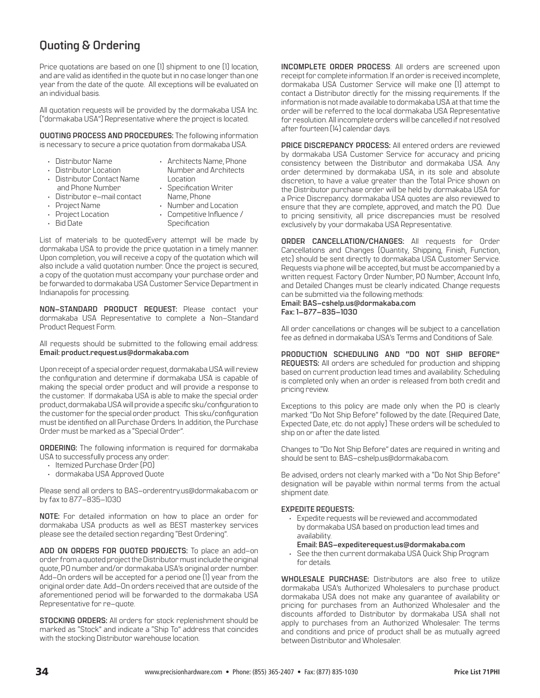## <span id="page-33-0"></span>**Quoting & Ordering**

Price quotations are based on one (1) shipment to one (1) location, and are valid as identified in the quote but in no case longer than one year from the date of the quote. All exceptions will be evaluated on an individual basis.

All quotation requests will be provided by the dormakaba USA Inc. ("dormakaba USA") Representative where the project is located.

**QUOTING PROCESS AND PROCEDURES:** The following information is necessary to secure a price quotation from dormakaba USA.

- Distributor Name • Distributor Location
- Architects Name, Phone Number and Architects Location
- Distributor Contact Name and Phone Number
- Specification Writer Name, Phone
- Distributor e–mail contact • Project Name
- Project Location
- Bid Date
- Number and Location • Competitive Influence / Specification

List of materials to be quotedEvery attempt will be made by dormakaba USA to provide the price quotation in a timely manner. Upon completion, you will receive a copy of the quotation which will also include a valid quotation number. Once the project is secured, a copy of the quotation must accompany your purchase order and be forwarded to dormakaba USA Customer Service Department in Indianapolis for processing.

**NON–STANDARD PRODUCT REQUEST:** Please contact your dormakaba USA Representative to complete a Non–Standard Product Request Form.

All requests should be submitted to the following email address: **Email: product.request.us@dormakaba.com**

Upon receipt of a special order request, dormakaba USA will review the configuration and determine if dormakaba USA is capable of making the special order product and will provide a response to the customer. If dormakaba USA is able to make the special order product, dormakaba USA will provide a specific sku/configuration to the customer for the special order product. This sku/configuration must be identified on all Purchase Orders. In addition, the Purchase Order must be marked as a "Special Order".

**ORDERING:** The following information is required for dormakaba USA to successfully process any order:

- Itemized Purchase Order (PO)
- dormakaba USA Approved Quote

Please send all orders to BAS–orderentry.us@dormakaba.com or by fax to 877–835–1030

**NOTE:** For detailed information on how to place an order for dormakaba USA products as well as BEST masterkey services please see the detailed section regarding "Best Ordering".

**ADD ON ORDERS FOR QUOTED PROJECTS:** To place an add–on order from a quoted project the Distributor must include the original quote, PO number and/or dormakaba USA's original order number. Add–On orders will be accepted for a period one (1) year from the original order date. Add–On orders received that are outside of the aforementioned period will be forwarded to the dormakaba USA Representative for re–quote.

**STOCKING ORDERS:** All orders for stock replenishment should be marked as "Stock" and indicate a "Ship To" address that coincides with the stocking Distributor warehouse location.

**INCOMPLETE ORDER PROCESS**: All orders are screened upon receipt for complete information. If an order is received incomplete, dormakaba USA Customer Service will make one (1) attempt to contact a Distributor directly for the missing requirements. If the information is not made available to dormakaba USA at that time the order will be referred to the local dormakaba USA Representative for resolution. All incomplete orders will be cancelled if not resolved after fourteen (14) calendar days.

**PRICE DISCREPANCY PROCESS:** All entered orders are reviewed by dormakaba USA Customer Service for accuracy and pricing consistency between the Distributor and dormakaba USA. Any order determined by dormakaba USA, in its sole and absolute discretion, to have a value greater than the Total Price shown on the Distributor purchase order will be held by dormakaba USA for a Price Discrepancy. dormakaba USA quotes are also reviewed to ensure that they are complete, approved, and match the PO. Due to pricing sensitivity, all price discrepancies must be resolved exclusively by your dormakaba USA Representative.

**ORDER CANCELLATION/CHANGES:** All requests for Order Cancellations and Changes (Quantity, Shipping, Finish, Function, etc) should be sent directly to dormakaba USA Customer Service. Requests via phone will be accepted, but must be accompanied by a written request. Factory Order Number, PO Number, Account Info, and Detailed Changes must be clearly indicated. Change requests can be submitted via the following methods:

**Email: BAS–cshelp.us@dormakaba.com Fax: 1–877–835–1030**

All order cancellations or changes will be subject to a cancellation fee as defined in dormakaba USA's Terms and Conditions of Sale.

**PRODUCTION SCHEDULING AND "DO NOT SHIP BEFORE" REQUESTS:** All orders are scheduled for production and shipping based on current production lead times and availability. Scheduling is completed only when an order is released from both credit and pricing review.

Exceptions to this policy are made only when the PO is clearly marked: "Do Not Ship Before" followed by the date. (Required Date, Expected Date, etc. do not apply) These orders will be scheduled to ship on or after the date listed.

Changes to "Do Not Ship Before" dates are required in writing and should be sent to: BAS–cshelp.us@dormakaba.com.

Be advised, orders not clearly marked with a "Do Not Ship Before" designation will be payable within normal terms from the actual shipment date.

#### **EXPEDITE REQUESTS:**

• Expedite requests will be reviewed and accommodated by dormakaba USA based on production lead times and availability.

**Email: [BAS–expediterequest.us@dormakaba.com](mailto:BAS-expediterequest.us%40dormakaba.com%20?subject=)**

• See the then current dormakaba USA Quick Ship Program for details.

**WHOLESALE PURCHASE:** Distributors are also free to utilize dormakaba USA's Authorized Wholesalers to purchase product. dormakaba USA does not make any guarantee of availability or pricing for purchases from an Authorized Wholesaler and the discounts afforded to Distributor by dormakaba USA shall not apply to purchases from an Authorized Wholesaler. The terms and conditions and price of product shall be as mutually agreed between Distributor and Wholesaler.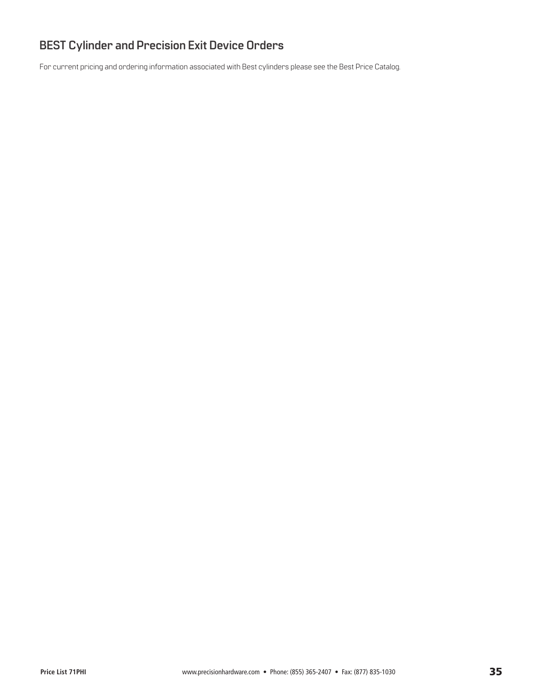# <span id="page-34-0"></span>**BEST Cylinder and Precision Exit Device Orders**

For current pricing and ordering information associated with Best cylinders please see the Best Price Catalog.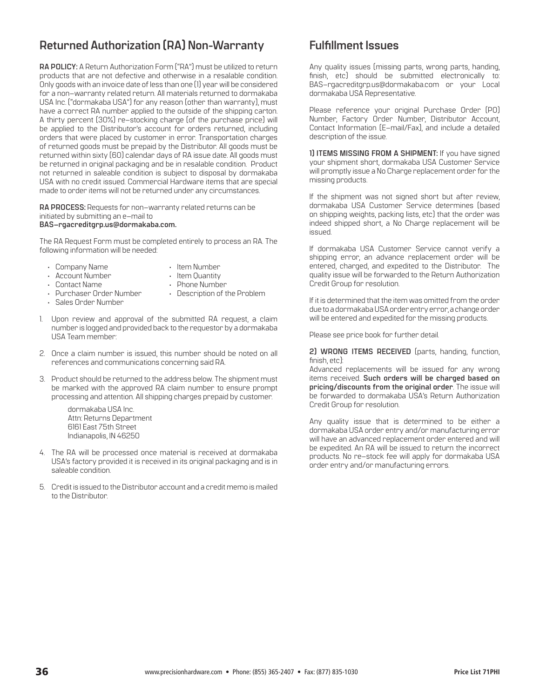### <span id="page-35-0"></span>**Returned Authorization (RA) Non-Warranty Fulfillment Issues**

**RA POLICY:** A Return Authorization Form ("RA") must be utilized to return products that are not defective and otherwise in a resalable condition. Only goods with an invoice date of less than one (1) year will be considered for a non–warranty related return. All materials returned to dormakaba USA Inc. ("dormakaba USA") for any reason (other than warranty), must have a correct RA number applied to the outside of the shipping carton. A thirty percent (30%) re–stocking charge (of the purchase price) will be applied to the Distributor's account for orders returned, including orders that were placed by customer in error. Transportation charges of returned goods must be prepaid by the Distributor. All goods must be returned within sixty (60) calendar days of RA issue date. All goods must be returned in original packaging and be in resalable condition. Product not returned in saleable condition is subject to disposal by dormakaba USA with no credit issued. Commercial Hardware items that are special made to order items will not be returned under any circumstances.

**RA PROCESS:** Requests for non–warranty related returns can be initiated by submitting an e–mail to **[BAS–rgacreditgrp.us@dormakaba.com.](mailto:BAS-rgacreditgrp.us%40dormakaba.com.%20?subject=)**

The RA Request Form must be completed entirely to process an RA. The following information will be needed:

- Company Name
- Item Number
- Account Number
- Item Quantity • Phone Number
- Contact Name • Purchaser Order Number
- Description of the Problem
- Sales Order Number
- 
- 1. Upon review and approval of the submitted RA request, a claim number is logged and provided back to the requestor by a dormakaba USA Team member:
- 2. Once a claim number is issued, this number should be noted on all references and communications concerning said RA.
- 3. Product should be returned to the address below. The shipment must be marked with the approved RA claim number to ensure prompt processing and attention. All shipping charges prepaid by customer.

 dormakaba USA Inc. Attn: Returns Department 6161 East 75th Street Indianapolis, IN 46250

- 4. The RA will be processed once material is received at dormakaba USA's factory provided it is received in its original packaging and is in saleable condition.
- 5. Credit is issued to the Distributor account and a credit memo is mailed to the Distributor.

Any quality issues (missing parts, wrong parts, handing, finish, etc) should be submitted electronically to: BAS–rgacreditgrp.us@dormakaba.com or your Local dormakaba USA Representative.

Please reference your original Purchase Order (PO) Number, Factory Order Number, Distributor Account, Contact Information (E–mail/Fax), and include a detailed description of the issue.

**1) ITEMS MISSING FROM A SHIPMENT:** If you have signed your shipment short, dormakaba USA Customer Service will promptly issue a No Charge replacement order for the missing products.

If the shipment was not signed short but after review, dormakaba USA Customer Service determines (based on shipping weights, packing lists, etc) that the order was indeed shipped short, a No Charge replacement will be issued.

If dormakaba USA Customer Service cannot verify a shipping error, an advance replacement order will be entered, charged, and expedited to the Distributor. The quality issue will be forwarded to the Return Authorization Credit Group for resolution.

If it is determined that the item was omitted from the order due to a dormakaba USA order entry error, a change order will be entered and expedited for the missing products.

Please see price book for further detail.

**2) WRONG ITEMS RECEIVED** (parts, handing, function, finish, etc):

Advanced replacements will be issued for any wrong items received. **Such orders will be charged based on pricing/discounts from the original order**. The issue will be forwarded to dormakaba USA's Return Authorization Credit Group for resolution.

Any quality issue that is determined to be either a dormakaba USA order entry and/or manufacturing error will have an advanced replacement order entered and will be expedited. An RA will be issued to return the incorrect products. No re–stock fee will apply for dormakaba USA order entry and/or manufacturing errors.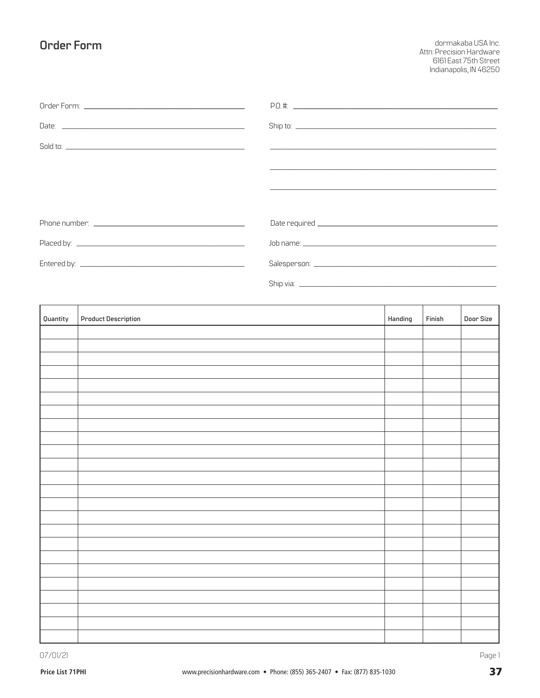### <span id="page-36-0"></span>**Order Form**

dormakaba USA Inc. Attn: Precision Hardware<br>6161 East 75th Street<br>Indianapolis, IN 46250

| Quantity | <b>Product Description</b> | Handing | Finish | Door Size |
|----------|----------------------------|---------|--------|-----------|
|          |                            |         |        |           |
|          |                            |         |        |           |
|          |                            |         |        |           |
|          |                            |         |        |           |
|          |                            |         |        |           |
|          |                            |         |        |           |
|          |                            |         |        |           |
|          |                            |         |        |           |
|          |                            |         |        |           |
|          |                            |         |        |           |
|          |                            |         |        |           |
|          |                            |         |        |           |
|          |                            |         |        |           |
|          |                            |         |        |           |
|          |                            |         |        |           |
|          |                            |         |        |           |
|          |                            |         |        |           |
|          |                            |         |        |           |
|          |                            |         |        |           |
|          |                            |         |        |           |
|          |                            |         |        |           |
|          |                            |         |        |           |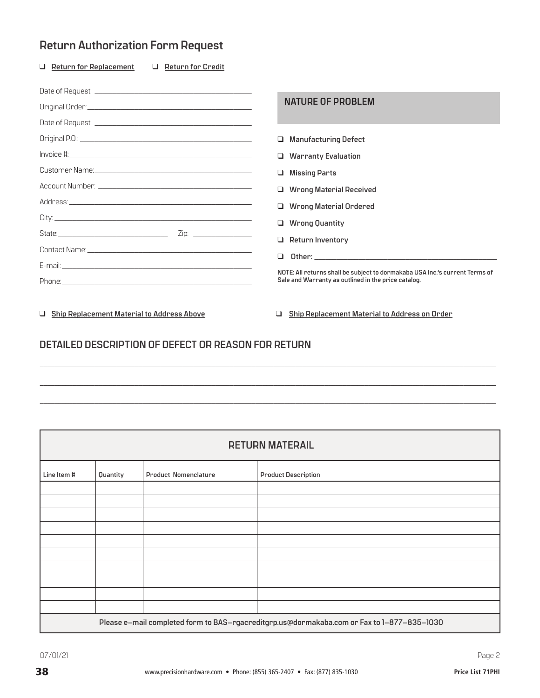# <span id="page-37-0"></span>**Return Authorization Form Request**

| $\Box$ Return for Replacement<br><b>Return for Credit</b><br>$\Box$ |                                                                                                                                    |
|---------------------------------------------------------------------|------------------------------------------------------------------------------------------------------------------------------------|
|                                                                     |                                                                                                                                    |
|                                                                     | <b>NATURE OF PROBLEM</b>                                                                                                           |
|                                                                     |                                                                                                                                    |
|                                                                     | <b>Manufacturing Defect</b>                                                                                                        |
|                                                                     | <b>U</b> Warranty Evaluation                                                                                                       |
|                                                                     | <b>Missing Parts</b><br>□                                                                                                          |
|                                                                     | $\Box$ Wrong Material Received                                                                                                     |
|                                                                     | Wrong Material Ordered                                                                                                             |
|                                                                     | $\Box$ Wrong Quantity                                                                                                              |
| State: 2010 2012 2012 2013                                          | ❏<br>Return Inventory                                                                                                              |
|                                                                     | $\Box$                                                                                                                             |
|                                                                     |                                                                                                                                    |
|                                                                     | NOTE: All returns shall be subject to dormakaba USA Inc.'s current Terms of<br>Sale and Warranty as outlined in the price catalog. |
|                                                                     |                                                                                                                                    |

q **Ship Replacement Material to Address Above** q **Ship Replacement Material to Address on Order**

### **DETAILED DESCRIPTION OF DEFECT OR REASON FOR RETURN**

| <b>RETURN MATERAIL</b>                                                                     |          |                             |                            |
|--------------------------------------------------------------------------------------------|----------|-----------------------------|----------------------------|
| Line Item #                                                                                | Quantity | <b>Product Nomenclature</b> | <b>Product Description</b> |
|                                                                                            |          |                             |                            |
|                                                                                            |          |                             |                            |
|                                                                                            |          |                             |                            |
|                                                                                            |          |                             |                            |
|                                                                                            |          |                             |                            |
|                                                                                            |          |                             |                            |
|                                                                                            |          |                             |                            |
|                                                                                            |          |                             |                            |
|                                                                                            |          |                             |                            |
|                                                                                            |          |                             |                            |
| Please e-mail completed form to BAS-rgacreditgrp.us@dormakaba.com or Fax to 1-877-835-1030 |          |                             |                            |

 $\_$  , and the set of the set of the set of the set of the set of the set of the set of the set of the set of the set of the set of the set of the set of the set of the set of the set of the set of the set of the set of th

 $\_$  , and the set of the set of the set of the set of the set of the set of the set of the set of the set of the set of the set of the set of the set of the set of the set of the set of the set of the set of the set of th

 $\_$  , and the set of the set of the set of the set of the set of the set of the set of the set of the set of the set of the set of the set of the set of the set of the set of the set of the set of the set of the set of th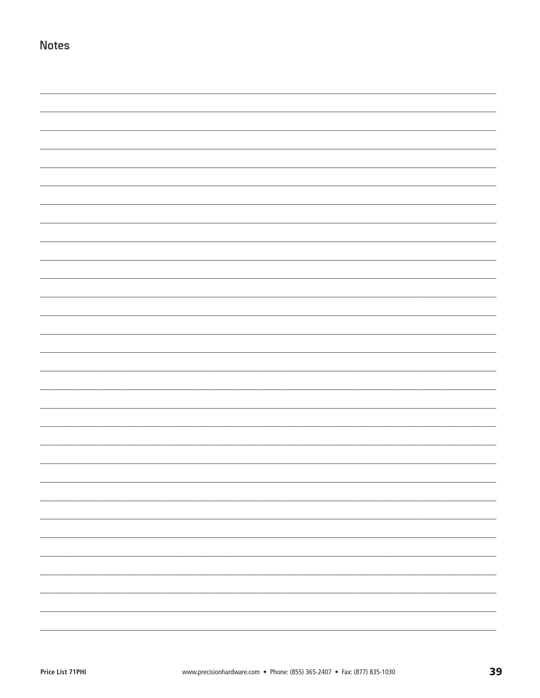**Notes**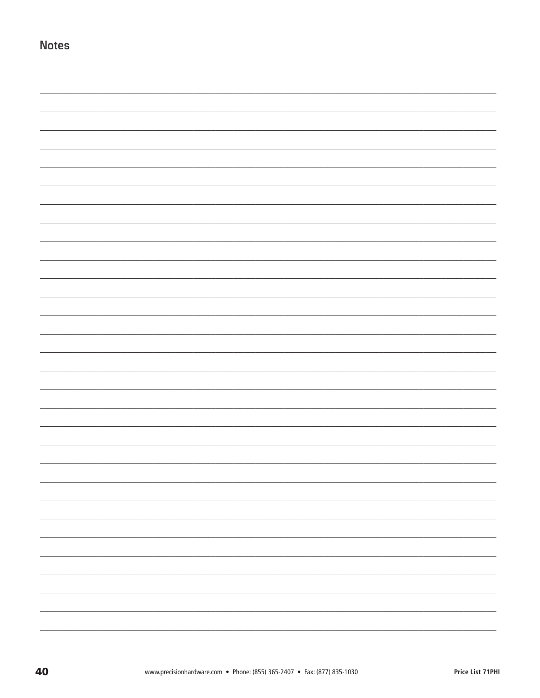**Notes**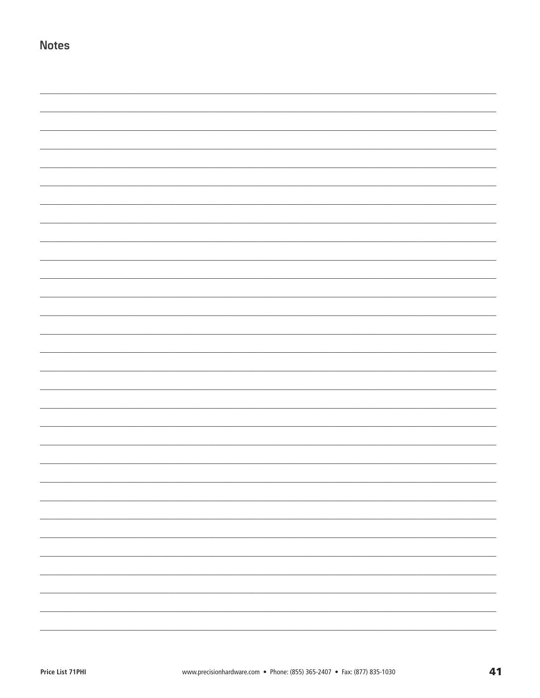**Notes**